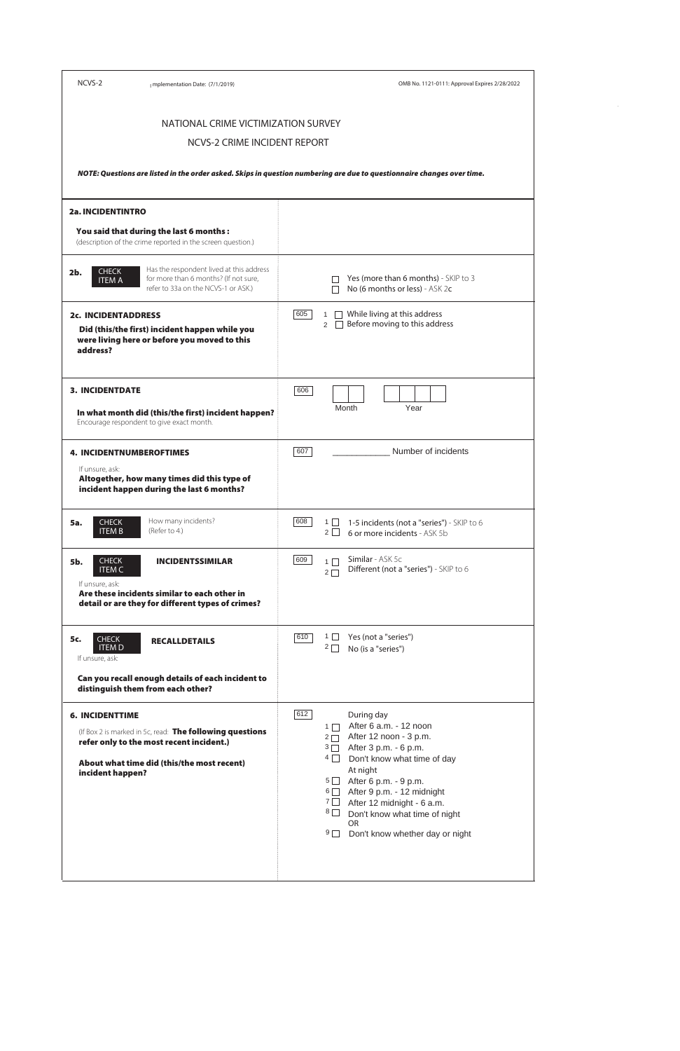| NCVS-2                                                         | mplementation Date: (7/1/2019)                                                                                                                     | OMB No. 1121-0111: Approval Expires 2/28/2022                                                                                                                               |
|----------------------------------------------------------------|----------------------------------------------------------------------------------------------------------------------------------------------------|-----------------------------------------------------------------------------------------------------------------------------------------------------------------------------|
|                                                                | NATIONAL CRIME VICTIMIZATION SURVEY                                                                                                                |                                                                                                                                                                             |
|                                                                | NCVS-2 CRIME INCIDENT REPORT                                                                                                                       |                                                                                                                                                                             |
|                                                                |                                                                                                                                                    | NOTE: Questions are listed in the order asked. Skips in question numbering are due to questionnaire changes over time.                                                      |
| <b>2a. INCIDENTINTRO</b>                                       |                                                                                                                                                    |                                                                                                                                                                             |
|                                                                | You said that during the last 6 months :<br>(description of the crime reported in the screen question.)                                            |                                                                                                                                                                             |
| <b>CHECK</b><br>2b.<br><b>ITEM A</b>                           | Has the respondent lived at this address<br>for more than 6 months? (If not sure,<br>refer to 33a on the NCVS-1 or ASK.)                           | Yes (more than 6 months) - SKIP to 3<br>No (6 months or less) - ASK 2c                                                                                                      |
| <b>2c. INCIDENTADDRESS</b><br>address?                         | Did (this/the first) incident happen while you<br>were living here or before you moved to this                                                     | While living at this address<br>605<br>1<br>Before moving to this address<br>$\mathcal{P}$                                                                                  |
| <b>3. INCIDENTDATE</b>                                         | In what month did (this/the first) incident happen?<br>Encourage respondent to give exact month.                                                   | 606<br>Year<br>Month                                                                                                                                                        |
| If unsure, ask:                                                | 4. INCIDENTNUMBEROFTIMES<br>Altogether, how many times did this type of<br>incident happen during the last 6 months?                               | 607<br>Number of incidents                                                                                                                                                  |
| <b>CHECK</b><br><b>5a.</b><br><b>ITEM B</b>                    | How many incidents?<br>(Refer to 4.)                                                                                                               | 608<br>$1\Box$<br>1-5 incidents (not a "series") - SKIP to 6<br>$2\Box$<br>6 or more incidents - ASK 5b                                                                     |
| <b>CHECK</b><br><b>5b.</b><br><b>ITEM C</b><br>If unsure, ask: | <b>INCIDENTSSIMILAR</b><br>Are these incidents similar to each other in<br>detail or are they for different types of crimes?                       | Similar - ASK 5c<br>609<br>$1\Box$<br>Different (not a "series") - SKIP to 6<br>$2\Box$                                                                                     |
| <b>CHECK</b><br>5c.<br><b>ITEM D</b><br>If unsure, ask:        | <b>RECALLDETAILS</b>                                                                                                                               | 610<br>$1 \mid$<br>Yes (not a "series")<br>$2\Box$<br>No (is a "series")                                                                                                    |
|                                                                | Can you recall enough details of each incident to<br>distinguish them from each other?                                                             |                                                                                                                                                                             |
| <b>6. INCIDENTTIME</b><br>incident hannen?                     | (If Box 2 is marked in 5c, read: The following questions<br>refer only to the most recent incident.)<br>About what time did (this/the most recent) | 612<br>During day<br>After 6 a.m. - 12 noon<br>$1 \Box$<br>$2 \Box$ After 12 noon - 3 p.m.<br>3 After 3 p.m. - 6 p.m.<br>$4\Box$<br>Don't know what time of day<br>At night |

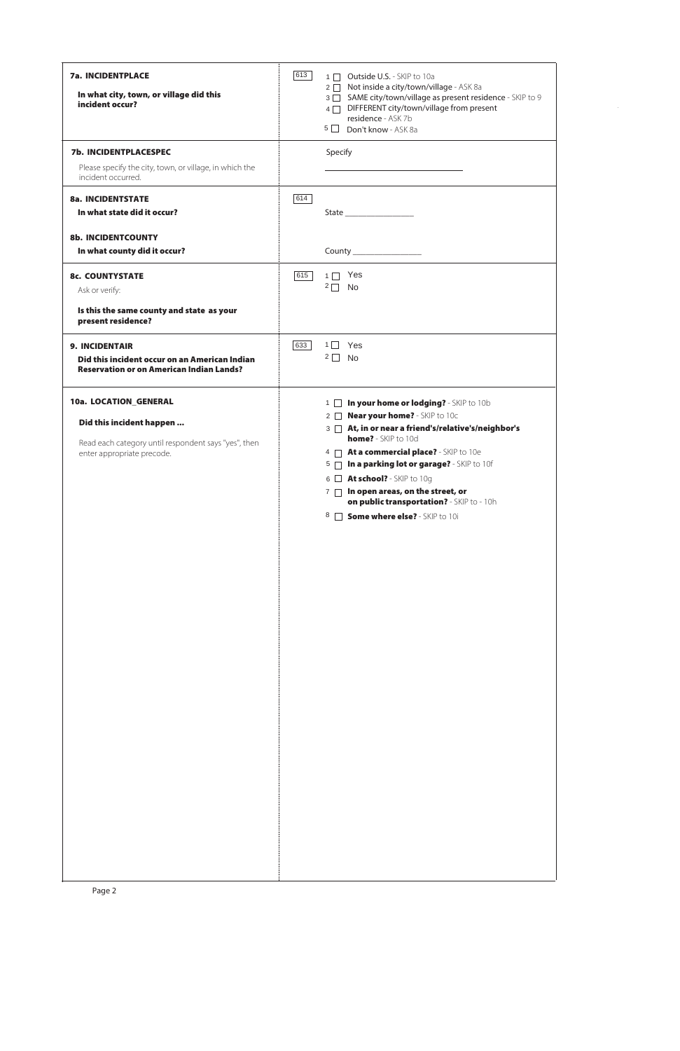| <b>7a. INCIDENTPLACE</b><br>In what city, town, or village did this<br>incident occur?           | 613 | 1   Outside U.S. - SKIP to 10a<br>2 □ Not inside a city/town/village - ASK 8a<br>3 SAME city/town/village as present residence - SKIP to 9<br>4 DIFFERENT city/town/village from present<br>residence - ASK 7b<br>5 Don't know - ASK 8a |
|--------------------------------------------------------------------------------------------------|-----|-----------------------------------------------------------------------------------------------------------------------------------------------------------------------------------------------------------------------------------------|
| <b>7b. INCIDENTPLACESPEC</b>                                                                     |     | Specify                                                                                                                                                                                                                                 |
| Please specify the city, town, or village, in which the<br>incident occurred.                    |     |                                                                                                                                                                                                                                         |
| <b>8a. INCIDENTSTATE</b>                                                                         | 614 |                                                                                                                                                                                                                                         |
| In what state did it occur?                                                                      |     |                                                                                                                                                                                                                                         |
| <b>8b. INCIDENTCOUNTY</b>                                                                        |     |                                                                                                                                                                                                                                         |
| In what county did it occur?                                                                     |     | County __________________                                                                                                                                                                                                               |
| <b>8c. COUNTYSTATE</b>                                                                           | 615 | $1 \Box$ Yes<br>$2\Box$<br>No                                                                                                                                                                                                           |
| Ask or verify:                                                                                   |     |                                                                                                                                                                                                                                         |
| Is this the same county and state as your<br>present residence?                                  |     |                                                                                                                                                                                                                                         |
| <b>9. INCIDENTAIR</b>                                                                            | 633 | $1 \square$ Yes                                                                                                                                                                                                                         |
| Did this incident occur on an American Indian<br><b>Reservation or on American Indian Lands?</b> |     | $2 \Box$ No                                                                                                                                                                                                                             |
| 10a. LOCATION_GENERAL                                                                            |     | In your home or lodging? - SKIP to 10b<br>$1 \mid$                                                                                                                                                                                      |
| Did this incident happen                                                                         |     | 2 <b>Near your home?</b> - SKIP to 10c<br>3 At, in or near a friend's/relative's/neighbor's                                                                                                                                             |
| Read each category until respondent says "yes", then                                             |     | home? - SKIP to 10d                                                                                                                                                                                                                     |
| enter appropriate precode.                                                                       |     | At a commercial place? - SKIP to 10e<br>$4\Box$<br>In a parking lot or garage? - SKIP to 10f<br>$5\Box$                                                                                                                                 |
|                                                                                                  |     | At school? - SKIP to 10g<br>$6 \Box$                                                                                                                                                                                                    |
|                                                                                                  |     | In open areas, on the street, or<br>$7 \Box$<br>on public transportation? - SKIP to - 10h                                                                                                                                               |
|                                                                                                  |     | <b>Some where else?</b> - SKIP to 10i<br>$8 \Box$                                                                                                                                                                                       |
|                                                                                                  |     |                                                                                                                                                                                                                                         |
|                                                                                                  |     |                                                                                                                                                                                                                                         |
|                                                                                                  |     |                                                                                                                                                                                                                                         |
|                                                                                                  |     |                                                                                                                                                                                                                                         |
|                                                                                                  |     |                                                                                                                                                                                                                                         |
|                                                                                                  |     |                                                                                                                                                                                                                                         |
|                                                                                                  |     |                                                                                                                                                                                                                                         |
|                                                                                                  |     |                                                                                                                                                                                                                                         |
|                                                                                                  |     |                                                                                                                                                                                                                                         |
|                                                                                                  |     |                                                                                                                                                                                                                                         |
|                                                                                                  |     |                                                                                                                                                                                                                                         |
|                                                                                                  |     |                                                                                                                                                                                                                                         |

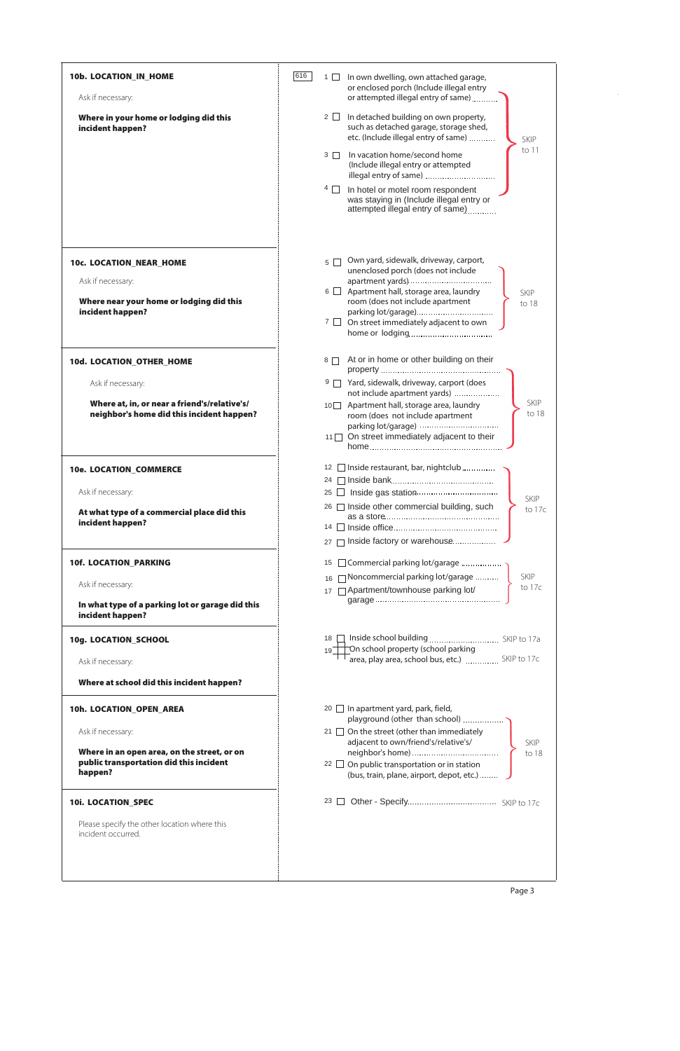| 10b. LOCATION_IN_HOME                                                                     | 616 | $1 \Box$        | In own dwelling, own attached garage,                                                                                                  |
|-------------------------------------------------------------------------------------------|-----|-----------------|----------------------------------------------------------------------------------------------------------------------------------------|
| Ask if necessary:                                                                         |     |                 | or enclosed porch (Include illegal entry<br>or attempted illegal entry of same)                                                        |
| Where in your home or lodging did this<br>incident happen?                                |     | $2 \Box$        | In detached building on own property,<br>such as detached garage, storage shed,<br>etc. (Include illegal entry of same)<br><b>SKIP</b> |
|                                                                                           |     | $3\Box$         | to 11<br>In vacation home/second home<br>(Include illegal entry or attempted<br>illegal entry of same)                                 |
|                                                                                           |     | $4\Box$         | In hotel or motel room respondent<br>was staying in (Include illegal entry or<br>attempted illegal entry of same)                      |
|                                                                                           |     |                 |                                                                                                                                        |
| 10c. LOCATION_NEAR_HOME                                                                   |     | $5 \mid$        | Own yard, sidewalk, driveway, carport,<br>unenclosed porch (does not include                                                           |
| Ask if necessary:<br>Where near your home or lodging did this                             |     |                 | $6 \Box$ Apartment hall, storage area, laundry<br><b>SKIP</b><br>room (does not include apartment                                      |
| incident happen?                                                                          |     |                 | to 18<br>parking lot/garage)                                                                                                           |
|                                                                                           |     |                 | $7 \Box$ On street immediately adjacent to own                                                                                         |
| 10d. LOCATION_OTHER_HOME                                                                  |     | $8\Box$         | At or in home or other building on their                                                                                               |
| Ask if necessary:                                                                         |     |                 | 9 Yard, sidewalk, driveway, carport (does<br>not include apartment yards)                                                              |
| Where at, in, or near a friend's/relative's/<br>neighbor's home did this incident happen? |     |                 | <b>SKIP</b><br>10 Apartment hall, storage area, laundry<br>to 18<br>room (does not include apartment                                   |
|                                                                                           |     | 11              | On street immediately adjacent to their                                                                                                |
| 10e. LOCATION_COMMERCE                                                                    |     |                 | 12   Inside restaurant, bar, nightclub                                                                                                 |
| Ask if necessary:                                                                         |     | 24<br>25        |                                                                                                                                        |
| At what type of a commercial place did this                                               |     |                 | SKIP<br>26   Inside other commercial building, such<br>to 17c                                                                          |
| incident happen?                                                                          |     |                 |                                                                                                                                        |
|                                                                                           |     | 27              | Inside factory or warehouse                                                                                                            |
| <b>10f. LOCATION_PARKING</b>                                                              |     | 15              | □ Commercial parking lot/garage                                                                                                        |
| Ask if necessary:                                                                         |     | 16<br>17        | Noncommercial parking lot/garage<br><b>SKIP</b><br>to 17c<br>□ Apartment/townhouse parking lot/                                        |
| In what type of a parking lot or garage did this<br>incident happen?                      |     |                 |                                                                                                                                        |
| 10g. LOCATION_SCHOOL                                                                      |     | 18 <sup>1</sup> | On school property (school parking                                                                                                     |
| Ask if necessary:                                                                         |     | 19              | area, play area, school bus, etc.)  SKIP to 17c                                                                                        |
| Where at school did this incident happen?                                                 |     |                 |                                                                                                                                        |
| 10h. LOCATION_OPEN_AREA                                                                   |     |                 | $20$ In apartment yard, park, field,<br>playground (other than school)                                                                 |
| Ask if necessary:                                                                         |     |                 | 21 $\Box$ On the street (other than immediately<br>adjacent to own/friend's/relative's/<br><b>SKIP</b>                                 |
| Where in an open area, on the street, or on<br>public transportation did this incident    |     | 22 $\Box$       | to 18<br>On public transportation or in station                                                                                        |
|                                                                                           |     |                 |                                                                                                                                        |

| happen?                                                            | (bus, train, plane, airport, depot, etc.) $\ldots$ . |  |  |
|--------------------------------------------------------------------|------------------------------------------------------|--|--|
| <b>10i. LOCATION_SPEC</b>                                          | 23 $\Box$                                            |  |  |
| Please specify the other location where this<br>incident occurred. |                                                      |  |  |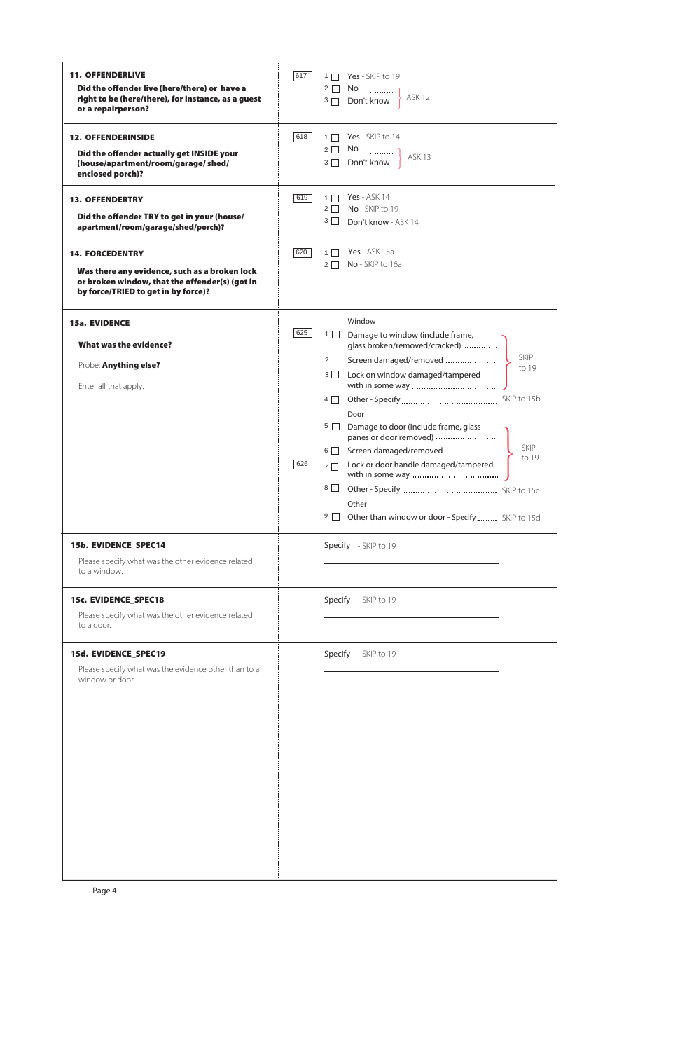| <b>11. OFFENDERLIVE</b><br>Did the offender live (here/there) or have a<br>right to be (here/there), for instance, as a guest<br>or a repairperson?              | 617        | 1 Yes - SKIP to 19<br>ASK <sub>12</sub>                                                                                                                                                                                                                                                                                                                                                          |                                              |
|------------------------------------------------------------------------------------------------------------------------------------------------------------------|------------|--------------------------------------------------------------------------------------------------------------------------------------------------------------------------------------------------------------------------------------------------------------------------------------------------------------------------------------------------------------------------------------------------|----------------------------------------------|
| <b>12. OFFENDERINSIDE</b><br>Did the offender actually get INSIDE your<br>(house/apartment/room/garage/shed/<br>enclosed porch)?                                 | 618        | 1 Yes - SKIP to 14                                                                                                                                                                                                                                                                                                                                                                               |                                              |
| <b>13. OFFENDERTRY</b><br>Did the offender TRY to get in your (house/<br>apartment/room/garage/shed/porch)?                                                      | 619        | <b>Yes</b> - ASK 14<br>$1\Box$<br>$2 \Box$ No - SKIP to 19<br>$3 \Box$<br>Don't know - ASK 14                                                                                                                                                                                                                                                                                                    |                                              |
| <b>14. FORCEDENTRY</b><br>Was there any evidence, such as a broken lock<br>or broken window, that the offender(s) (got in<br>by force/TRIED to get in by force)? | 620        | <b>Yes</b> - ASK 15a<br>$1\Box$<br>$2 \Box$ No - SKIP to 16a                                                                                                                                                                                                                                                                                                                                     |                                              |
| <b>15a. EVIDENCE</b><br><b>What was the evidence?</b><br>Probe: Anything else?<br>Enter all that apply.                                                          | 625<br>626 | Window<br>1 D Damage to window (include frame,<br>glass broken/removed/cracked)<br>Screen damaged/removed<br>$2\Box$<br>$3\Box$<br>Lock on window damaged/tampered<br>Door<br>$5 \Box$<br>Damage to door (include frame, glass<br>6 Screen damaged/removed<br>Lock or door handle damaged/tampered<br>$7\Box$<br>$8\Box$<br>Other<br>$9\Box$<br>Other than window or door - Specify  SKIP to 15d | <b>SKIP</b><br>to 19<br><b>SKIP</b><br>to 19 |
| 15b. EVIDENCE_SPEC14<br>Please specify what was the other evidence related<br>to a window.                                                                       |            | Specify - SKIP to 19                                                                                                                                                                                                                                                                                                                                                                             |                                              |
| 15c. EVIDENCE_SPEC18<br>Please specify what was the other evidence related<br>to a door.                                                                         |            | Specify - SKIP to 19                                                                                                                                                                                                                                                                                                                                                                             |                                              |
| 15d. EVIDENCE_SPEC19<br>Please specify what was the evidence other than to a<br>window or door.                                                                  |            | Specify - SKIP to 19                                                                                                                                                                                                                                                                                                                                                                             |                                              |

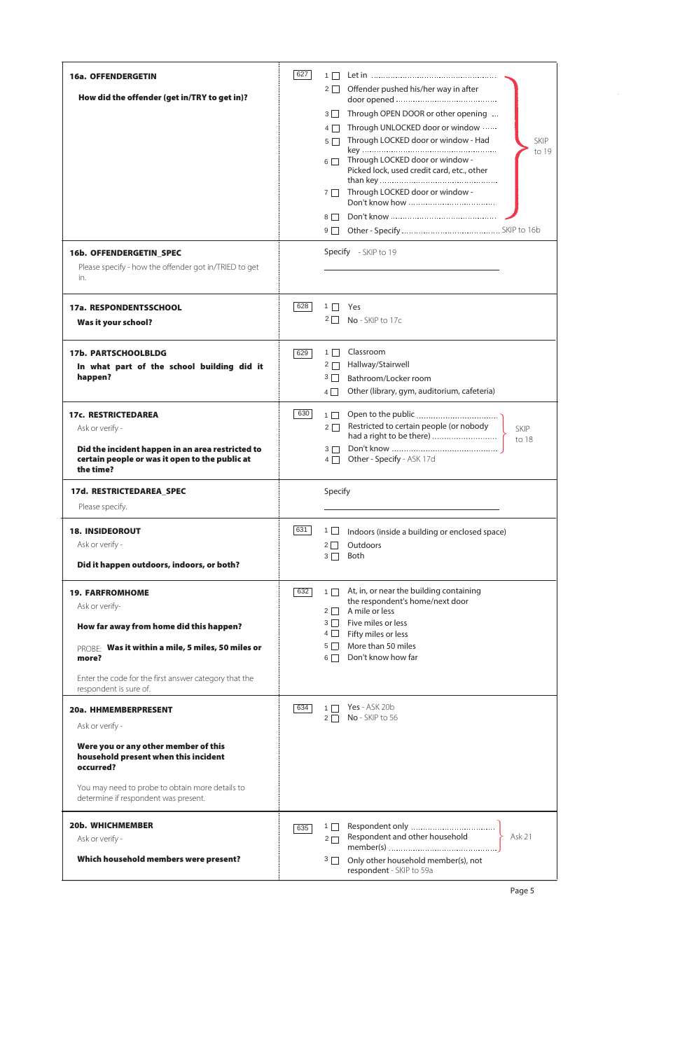| <b>16a. OFFENDERGETIN</b>                                                                 | 627 | $1\Box$                                                                                  |
|-------------------------------------------------------------------------------------------|-----|------------------------------------------------------------------------------------------|
| How did the offender (get in/TRY to get in)?                                              |     | Offender pushed his/her way in after<br>$2 \mid$                                         |
|                                                                                           |     | Through OPEN DOOR or other opening<br>$3 \mid$                                           |
|                                                                                           |     | Through UNLOCKED door or window<br>$4\Box$                                               |
|                                                                                           |     | Through LOCKED door or window - Had<br>$5\Box$<br><b>SKIP</b><br>to 19                   |
|                                                                                           |     | Through LOCKED door or window -<br>$6\Box$<br>Picked lock, used credit card, etc., other |
|                                                                                           |     | Through LOCKED door or window -<br>$7 \mid$                                              |
|                                                                                           |     | $8\Box$                                                                                  |
|                                                                                           |     | $9\Box$                                                                                  |
| 16b. OFFENDERGETIN_SPEC<br>Please specify - how the offender got in/TRIED to get<br>in.   |     | Specify - SKIP to 19                                                                     |
| 17a. RESPONDENTSSCHOOL                                                                    | 628 | 1    <br>Yes                                                                             |
| Was it your school?                                                                       |     | $2 \mid$<br>No - SKIP to 17c                                                             |
|                                                                                           |     |                                                                                          |
| <b>17b. PARTSCHOOLBLDG</b>                                                                | 629 | Classroom<br>$1\Box$<br>Hallway/Stairwell                                                |
| In what part of the school building did it<br>happen?                                     |     | $2\Box$<br>$3\Box$<br>Bathroom/Locker room                                               |
|                                                                                           |     | Other (library, gym, auditorium, cafeteria)<br>$4\Box$                                   |
| <b>17c. RESTRICTEDAREA</b>                                                                | 630 | $1\Box$                                                                                  |
| Ask or verify -                                                                           |     | Restricted to certain people (or nobody<br>$2\Box$<br><b>SKIP</b>                        |
| Did the incident happen in an area restricted to                                          |     | had a right to be there)<br>to 18<br>$3\Box$                                             |
| certain people or was it open to the public at                                            |     | Other - Specify - ASK 17d<br>$4\Box$                                                     |
| the time?                                                                                 |     |                                                                                          |
| 17d. RESTRICTEDAREA_SPEC                                                                  |     | Specify                                                                                  |
| Please specify.                                                                           |     |                                                                                          |
| <b>18. INSIDEOROUT</b>                                                                    | 631 | $1 \Box$<br>Indoors (inside a building or enclosed space)                                |
| Ask or verify -                                                                           |     | Outdoors<br>$2\Box$                                                                      |
| Did it happen outdoors, indoors, or both?                                                 |     | Both<br>$3\Box$                                                                          |
| <b>19. FARFROMHOME</b>                                                                    | 632 | At, in, or near the building containing<br>$1\Box$                                       |
| Ask or verify-                                                                            |     | the respondent's home/next door<br>A mile or less                                        |
| How far away from home did this happen?                                                   |     | $2\Box$<br>Five miles or less<br>$3\Box$                                                 |
|                                                                                           |     | $4\Box$<br>Fifty miles or less                                                           |
| PROBE: Was it within a mile, 5 miles, 50 miles or<br>more?                                |     | More than 50 miles<br>$5\Box$<br>Don't know how far<br>$6\Box$                           |
| Enter the code for the first answer category that the<br>respondent is sure of.           |     |                                                                                          |
| 20a. HHMEMBERPRESENT                                                                      | 634 | <b>Yes</b> - ASK 20b<br>$1 \mid$                                                         |
| Ask or verify -                                                                           |     | No - SKIP to 56<br>$2\Box$                                                               |
| Were you or any other member of this<br>household present when this incident<br>occurred? |     |                                                                                          |
| You may need to probe to obtain more details to<br>determine if respondent was present.   |     |                                                                                          |
| <b>20b. WHICHMEMBER</b>                                                                   |     | $1 \mid$                                                                                 |
| Ask or verify -                                                                           | 635 | Respondent and other household<br>Ask 21<br>$2\Box$                                      |
| Which household members were present?                                                     |     | Only other household member(s), not<br>$3\Box$                                           |

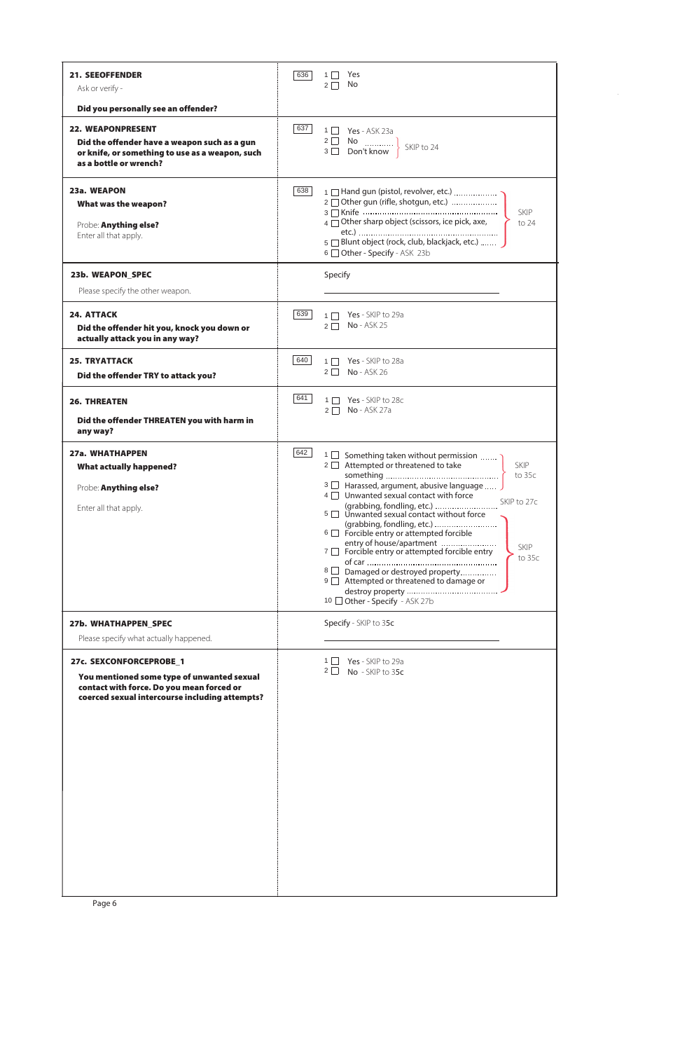| <b>21. SEEOFFENDER</b><br>Ask or verify -                                                                                                             | 636 | Yes<br>1 <sup>1</sup><br>No.<br>$2\Box$                                                                                                                                                                                                                                                                                                                                                                                                                                 |
|-------------------------------------------------------------------------------------------------------------------------------------------------------|-----|-------------------------------------------------------------------------------------------------------------------------------------------------------------------------------------------------------------------------------------------------------------------------------------------------------------------------------------------------------------------------------------------------------------------------------------------------------------------------|
|                                                                                                                                                       |     |                                                                                                                                                                                                                                                                                                                                                                                                                                                                         |
| Did you personally see an offender?                                                                                                                   |     |                                                                                                                                                                                                                                                                                                                                                                                                                                                                         |
| <b>22. WEAPONPRESENT</b><br>Did the offender have a weapon such as a gun<br>or knife, or something to use as a weapon, such<br>as a bottle or wrench? | 637 | $1 \Box$ Yes - ASK 23a<br>SKIP to 24                                                                                                                                                                                                                                                                                                                                                                                                                                    |
| 23a. WEAPON<br>What was the weapon?<br>Probe: Anything else?<br>Enter all that apply.                                                                 | 638 | 1 Hand gun (pistol, revolver, etc.)<br>2 Other gun (rifle, shotgun, etc.)<br><b>SKIP</b><br>$\overline{4}$ $\Box$ Other sharp object (scissors, ice pick, axe,<br>to 24<br>5 Blunt object (rock, club, blackjack, etc.)<br>6 Other - Specify - ASK 23b                                                                                                                                                                                                                  |
| 23b. WEAPON_SPEC                                                                                                                                      |     | Specify                                                                                                                                                                                                                                                                                                                                                                                                                                                                 |
| Please specify the other weapon.                                                                                                                      |     |                                                                                                                                                                                                                                                                                                                                                                                                                                                                         |
| <b>24. ATTACK</b><br>Did the offender hit you, knock you down or<br>actually attack you in any way?                                                   | 639 | Yes - SKIP to 29a<br>$1 \Box$<br>$No - ASK 25$<br>$2\Box$                                                                                                                                                                                                                                                                                                                                                                                                               |
| <b>25. TRYATTACK</b><br>Did the offender TRY to attack you?                                                                                           | 640 | Yes - SKIP to 28a<br>$1$    <br>$2 \mid \mid$<br><b>No</b> - ASK 26                                                                                                                                                                                                                                                                                                                                                                                                     |
| <b>26. THREATEN</b>                                                                                                                                   | 641 | 1 □ Yes - SKIP to 28c<br>$2 \Box$ No - ASK 27a                                                                                                                                                                                                                                                                                                                                                                                                                          |
| Did the offender THREATEN you with harm in<br>any way?                                                                                                |     |                                                                                                                                                                                                                                                                                                                                                                                                                                                                         |
| 27a. WHATHAPPEN<br><b>What actually happened?</b><br>Probe: Anything else?<br>Enter all that apply.                                                   | 642 | 1 □ Something taken without permission<br>$2 \Box$ Attempted or threatened to take<br><b>SKIP</b><br>to 35c<br>$3 \Box$ Harassed, argument, abusive language<br>4 Unwanted sexual contact with force<br>SKIP to 27c<br>(grabbing, fondling, etc.)<br>5 Vinwanted sexual contact without force<br>(grabbing, fondling, etc.)<br>6 Forcible entry or attempted forcible<br>entry of house/apartment<br><b>SKIP</b><br>7 <b>Forcible entry or attempted forcible entry</b> |
|                                                                                                                                                       |     | to 35c<br>8 Damaged or destroyed property<br>9 Attempted or threatened to damage or<br>10 □ Other - Specify - ASK 27b                                                                                                                                                                                                                                                                                                                                                   |
| 27b. WHATHAPPEN_SPEC                                                                                                                                  |     | Specify - SKIP to 35c                                                                                                                                                                                                                                                                                                                                                                                                                                                   |
| Please specify what actually happened.                                                                                                                |     |                                                                                                                                                                                                                                                                                                                                                                                                                                                                         |
| 27c. SEXCONFORCEPROBE_1                                                                                                                               |     | $1 \mid$<br>Yes - SKIP to 29a                                                                                                                                                                                                                                                                                                                                                                                                                                           |
| You mentioned some type of unwanted sexual<br>contact with force. Do you mean forced or<br>coerced sexual intercourse including attempts?             |     | $2 \mid$<br>No - SKIP to 35c                                                                                                                                                                                                                                                                                                                                                                                                                                            |
|                                                                                                                                                       |     |                                                                                                                                                                                                                                                                                                                                                                                                                                                                         |

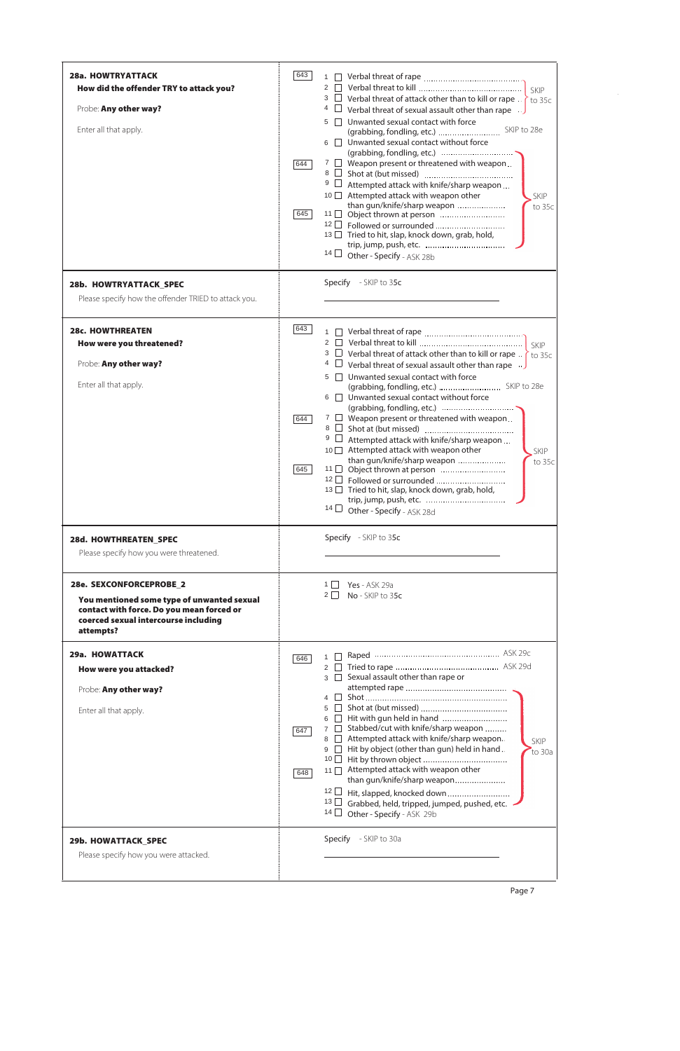| <b>28a. HOWTRYATTACK</b><br>How did the offender TRY to attack you?<br>Probe: Any other way?<br>Enter all that apply.                                                   | 643<br>644<br>645 | $2 \mid \mid$<br>SKIP<br>□ Verbal threat of attack other than to kill or rape . $\}$<br>3<br>$\overline{\phantom{a}}$ to 35c<br>4<br>Verbal threat of sexual assault other than rape $\Box$<br>Unwanted sexual contact with force<br>5<br>6 <b>J</b> Unwanted sexual contact without force<br>$7 \Box$ Weapon present or threatened with weapon<br>9<br>Attempted attack with knife/sharp weapon<br>Attempted attack with weapon other<br>$10$ $\Box$<br><b>SKIP</b><br>than gun/knife/sharp weapon<br>to 35c<br>13 □ Tried to hit, slap, knock down, grab, hold,<br>14 $\Box$ Other - Specify - ASK 28b |
|-------------------------------------------------------------------------------------------------------------------------------------------------------------------------|-------------------|----------------------------------------------------------------------------------------------------------------------------------------------------------------------------------------------------------------------------------------------------------------------------------------------------------------------------------------------------------------------------------------------------------------------------------------------------------------------------------------------------------------------------------------------------------------------------------------------------------|
| 28b. HOWTRYATTACK_SPEC<br>Please specify how the offender TRIED to attack you.                                                                                          |                   | Specify - SKIP to 35c                                                                                                                                                                                                                                                                                                                                                                                                                                                                                                                                                                                    |
| <b>28c. HOWTHREATEN</b><br>How were you threatened?<br>Probe: Any other way?<br>Enter all that apply.                                                                   | 643<br>644<br>645 | <b>SKIP</b><br>3<br>$\Box$ Verbal threat of attack other than to kill or rape<br>to 35c<br>$\Box$ Verbal threat of sexual assault other than rape $\Box$<br>4<br>Unwanted sexual contact with force<br>5<br>6   Unwanted sexual contact without force<br>$7 \Box$ Weapon present or threatened with weapon<br>8<br>9<br>Attempted attack with knife/sharp weapon<br>10 Attempted attack with weapon other<br>SKIP<br>than gun/knife/sharp weapon<br>to $35c$<br>13 □ Tried to hit, slap, knock down, grab, hold,<br>14 $\Box$<br>Other - Specify - ASK 28d                                               |
| 28d. HOWTHREATEN_SPEC<br>Please specify how you were threatened.                                                                                                        |                   | Specify - SKIP to 35c                                                                                                                                                                                                                                                                                                                                                                                                                                                                                                                                                                                    |
| 28e. SEXCONFORCEPROBE_2<br>You mentioned some type of unwanted sexual<br>contact with force. Do you mean forced or<br>coerced sexual intercourse including<br>attempts? |                   | $1 \mid$<br><b>Yes</b> - ASK 29a<br>$2 \mid$<br>No - SKIP to 35c                                                                                                                                                                                                                                                                                                                                                                                                                                                                                                                                         |
| 29a. HOWATTACK<br>How were you attacked?<br>Probe: Any other way?<br>Enter all that apply.                                                                              | 646<br>647<br>648 | 1<br>$2 \mid \mid$<br>Sexual assault other than rape or<br>3    <br>$4 \mid \mid$<br>$5 \mid \mid$<br>Hit with gun held in hand<br>$6 \mid \mid$<br>Stabbed/cut with knife/sharp weapon<br>$7 \mid$<br>Attempted attack with knife/sharp weapon.<br>$8 \mid \mid$<br>SKIP<br>Hit by object (other than gun) held in hand.<br>$9 \mid$<br>to 30a<br>10<br>Attempted attack with weapon other<br>11                                                                                                                                                                                                        |

|                                       | 040<br>than gun/knife/sharp weapon<br>12 Hit, slapped, knocked down<br>13 Grabbed, held, tripped, jumped, pushed, etc.<br>$14 \Box$ Other - Specify - ASK 29b |
|---------------------------------------|---------------------------------------------------------------------------------------------------------------------------------------------------------------|
| 29b. HOWATTACK_SPEC                   | - SKIP to 30a                                                                                                                                                 |
| Please specify how you were attacked. | <b>Specify</b>                                                                                                                                                |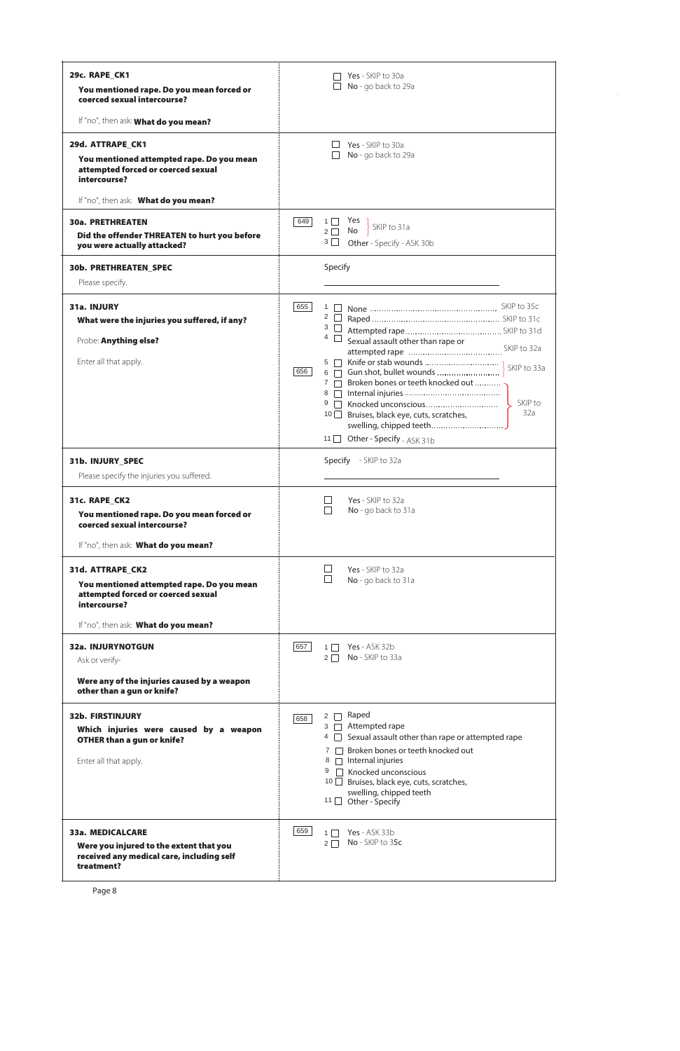| 29c. RAPE_CK1                                                                                          | Yes - SKIP to 30a<br>No - go back to 29a                                                        |
|--------------------------------------------------------------------------------------------------------|-------------------------------------------------------------------------------------------------|
| You mentioned rape. Do you mean forced or<br>coerced sexual intercourse?                               |                                                                                                 |
| If "no", then ask: What do you mean?                                                                   |                                                                                                 |
| 29d. ATTRAPE_CK1                                                                                       | Yes - SKIP to 30a                                                                               |
| You mentioned attempted rape. Do you mean<br>attempted forced or coerced sexual<br>intercourse?        | No - go back to 29a                                                                             |
| If "no", then ask: What do you mean?                                                                   |                                                                                                 |
| <b>30a. PRETHREATEN</b><br>Did the offender THREATEN to hurt you before<br>you were actually attacked? | 649<br>$1\Box$<br>Yes<br>SKIP to 31a<br>No<br>$2\Box$<br>$3\Box$<br>Other - Specify - ASK 30b   |
| <b>30b. PRETHREATEN_SPEC</b>                                                                           | Specify                                                                                         |
| Please specify.                                                                                        |                                                                                                 |
| 31a. INJURY<br>What were the injuries you suffered, if any?                                            | 655                                                                                             |
| Probe: Anything else?                                                                                  | $4 \Box$ Sexual assault other than rape or                                                      |
| Enter all that apply.                                                                                  |                                                                                                 |
|                                                                                                        | SKIP to 33a<br>6 Gun shot, bullet wounds<br>656<br>7 7 Broken bones or teeth knocked out        |
|                                                                                                        | SKIP to                                                                                         |
|                                                                                                        | 32a<br>10 Bruises, black eye, cuts, scratches,<br>swelling, chipped teeth                       |
|                                                                                                        | 11 □ Other - Specify - ASK 31b                                                                  |
| 31b. INJURY_SPEC<br>Please specify the injuries you suffered.                                          | Specify - SKIP to 32a                                                                           |
| 31c. RAPE CK2                                                                                          | Yes - SKIP to 32a                                                                               |
| You mentioned rape. Do you mean forced or<br>coerced sexual intercourse?                               | No - go back to 31a                                                                             |
| If "no", then ask: What do you mean?                                                                   |                                                                                                 |
| 31d. ATTRAPE_CK2                                                                                       | Yes - SKIP to 32a                                                                               |
| You mentioned attempted rape. Do you mean<br>attempted forced or coerced sexual<br>intercourse?        | No - go back to 31a                                                                             |
| If "no", then ask: What do you mean?                                                                   |                                                                                                 |
| <b>32a. INJURYNOTGUN</b>                                                                               | 657<br>$1 \Box$ Yes - ASK 32b                                                                   |
| Ask or verify-                                                                                         | $2 \Box$ No - SKIP to 33a                                                                       |
| Were any of the injuries caused by a weapon<br>other than a gun or knife?                              |                                                                                                 |
| <b>32b. FIRSTINJURY</b>                                                                                | $2 \cap$ Raped<br>658                                                                           |
| Which injuries were caused by a weapon<br><b>OTHER than a gun or knife?</b>                            | $3 \Box$ Attempted rape<br>4 Sexual assault other than rape or attempted rape                   |
| Enter all that apply.                                                                                  | Broken bones or teeth knocked out<br>7<br>8   Internal injuries<br>$9 \Box$ Knocked unconscious |

|                                           | INTUCKEU UHLUHSCIUUS<br>$10$ Bruises, black eye, cuts, scratches,<br>swelling, chipped teeth<br>Other - Specify<br>$11$ |
|-------------------------------------------|-------------------------------------------------------------------------------------------------------------------------|
| <b>33a. MEDICALCARE</b>                   | 659                                                                                                                     |
| Were you injured to the extent that you   | Yes - ASK 33b                                                                                                           |
| received any medical care, including self | No - SKIP to 35c                                                                                                        |
| treatment?                                | $2 \mid$                                                                                                                |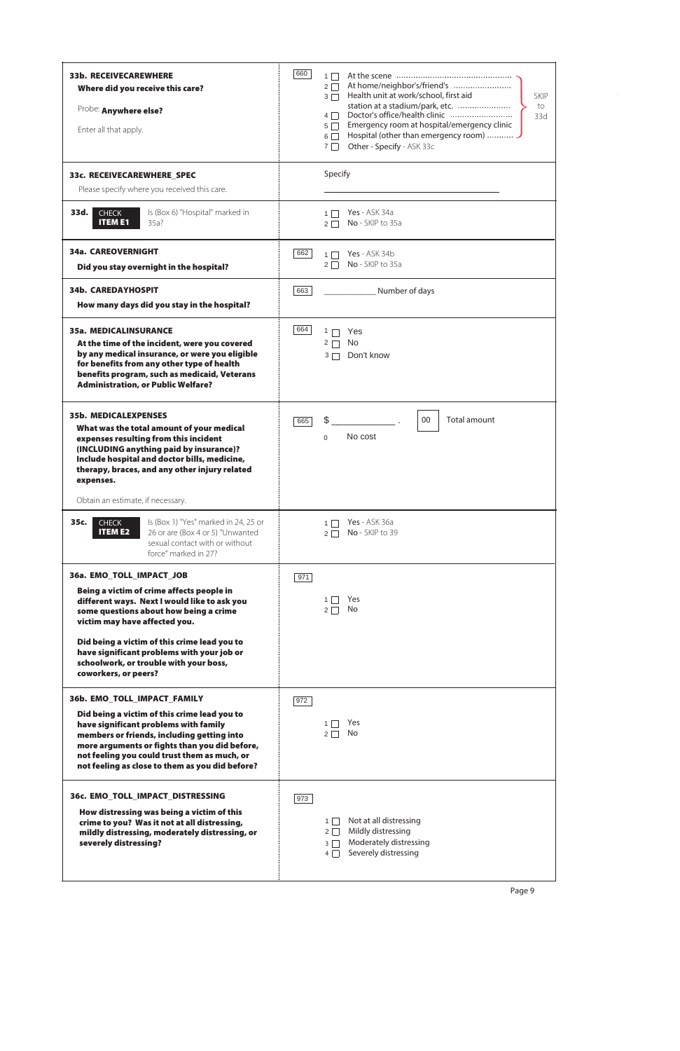| 33b. RECEIVECAREWHERE<br>Where did you receive this care?<br>Probe: Anywhere else?<br>Enter all that apply.                                                                                                                                                                                                            | 660<br>$1 \mid$<br>$2\Box$<br>Health unit at work/school, first aid<br><b>SKIP</b><br>$3\Box$<br>station at a stadium/park, etc.<br>to<br>$4\Box$<br>33d<br>Emergency room at hospital/emergency clinic<br>$5\Box$<br>Hospital (other than emergency room)<br>$6\Box$<br>Other - Specify - ASK 33c<br>$7 \mid$ |
|------------------------------------------------------------------------------------------------------------------------------------------------------------------------------------------------------------------------------------------------------------------------------------------------------------------------|----------------------------------------------------------------------------------------------------------------------------------------------------------------------------------------------------------------------------------------------------------------------------------------------------------------|
| 33c. RECEIVECAREWHERE_SPEC<br>Please specify where you received this care.                                                                                                                                                                                                                                             | Specify                                                                                                                                                                                                                                                                                                        |
| 33d.<br><b>CHECK</b><br>Is (Box 6) "Hospital" marked in<br><b>ITEM E1</b><br>$35a$ ?                                                                                                                                                                                                                                   | Yes - ASK 34a<br>$1 \mid$<br>No - SKIP to 35a<br>$2\Box$                                                                                                                                                                                                                                                       |
| <b>34a. CAREOVERNIGHT</b><br>Did you stay overnight in the hospital?                                                                                                                                                                                                                                                   | 662<br>Yes - ASK 34b<br>$1\Box$<br>No - SKIP to 35a<br>$2 \mid$                                                                                                                                                                                                                                                |
| <b>34b. CAREDAYHOSPIT</b><br>How many days did you stay in the hospital?                                                                                                                                                                                                                                               | Number of days<br>663                                                                                                                                                                                                                                                                                          |
| <b>35a. MEDICALINSURANCE</b><br>At the time of the incident, were you covered<br>by any medical insurance, or were you eligible<br>for benefits from any other type of health<br>benefits program, such as medicaid, Veterans<br><b>Administration, or Public Welfare?</b>                                             | 664<br>$1 \Box$<br>Yes<br>No.<br>$2 \square$<br>Don't know<br>$3\Box$                                                                                                                                                                                                                                          |
| <b>35b. MEDICALEXPENSES</b><br>What was the total amount of your medical<br>expenses resulting from this incident<br>(INCLUDING anything paid by insurance)?<br>Include hospital and doctor bills, medicine,<br>therapy, braces, and any other injury related<br>expenses.                                             | \$<br>Total amount<br>00<br>665<br>No cost<br>$\Omega$                                                                                                                                                                                                                                                         |
| Obtain an estimate, if necessary.                                                                                                                                                                                                                                                                                      |                                                                                                                                                                                                                                                                                                                |
| 35c.<br><b>CHECK</b><br>Is (Box 1) "Yes" marked in 24, 25 or<br><b>ITEM E2</b><br>26 or are (Box 4 or 5) "Unwanted<br>sexual contact with or without<br>force" marked in 27?                                                                                                                                           | <b>Yes</b> - ASK 36a<br>$1\Box$<br>No - SKIP to 39<br>$2\Box$                                                                                                                                                                                                                                                  |
| 36a. EMO_TOLL_IMPACT_JOB                                                                                                                                                                                                                                                                                               | 971                                                                                                                                                                                                                                                                                                            |
| Being a victim of crime affects people in<br>different ways. Next I would like to ask you<br>some questions about how being a crime<br>victim may have affected you.                                                                                                                                                   | Yes<br>$1 \mid$<br>No<br>$2\Box$                                                                                                                                                                                                                                                                               |
| Did being a victim of this crime lead you to<br>have significant problems with your job or<br>schoolwork, or trouble with your boss,<br>coworkers, or peers?                                                                                                                                                           |                                                                                                                                                                                                                                                                                                                |
| 36b. EMO_TOLL_IMPACT_FAMILY<br>Did being a victim of this crime lead you to<br>have significant problems with family<br>members or friends, including getting into<br>more arguments or fights than you did before,<br>not feeling you could trust them as much, or<br>not feeling as close to them as you did before? | 972<br>Yes<br>No<br>$2\Box$                                                                                                                                                                                                                                                                                    |

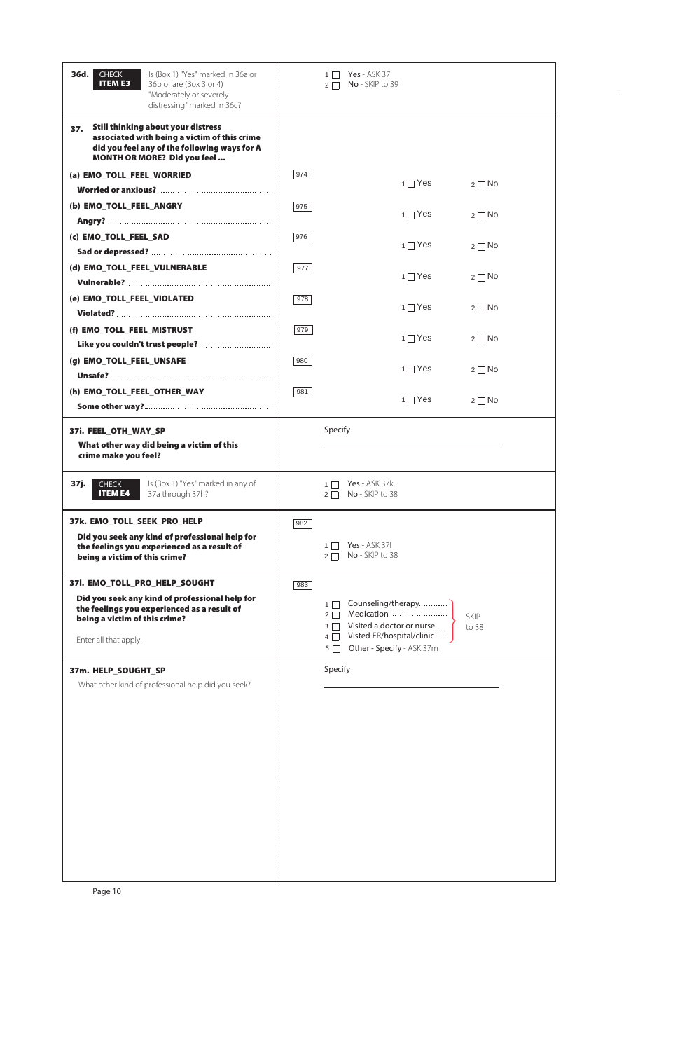| Is (Box 1) "Yes" marked in 36a or<br>36d.<br><b>CHECK</b><br><b>ITEM E3</b><br>36b or are (Box 3 or 4)<br>"Moderately or severely<br>distressing" marked in 36c?                         | <b>Yes</b> - ASK 37<br>$1 \mid$<br>No - SKIP to 39<br>$2\Box$                                                                                                              |
|------------------------------------------------------------------------------------------------------------------------------------------------------------------------------------------|----------------------------------------------------------------------------------------------------------------------------------------------------------------------------|
| <b>Still thinking about your distress</b><br>37.<br>associated with being a victim of this crime<br>did you feel any of the following ways for A<br><b>MONTH OR MORE? Did you feel</b>   |                                                                                                                                                                            |
| (a) EMO_TOLL_FEEL_WORRIED                                                                                                                                                                | 974<br>$1 \square$ Yes<br>$2 \square$ No                                                                                                                                   |
| (b) EMO_TOLL_FEEL_ANGRY                                                                                                                                                                  | 975<br>$1 \square$ Yes<br>$2 \square$ No                                                                                                                                   |
| (c) EMO_TOLL_FEEL_SAD                                                                                                                                                                    | 976<br>$1 \square$ Yes<br>$2 \square$ No                                                                                                                                   |
| (d) EMO_TOLL_FEEL_VULNERABLE                                                                                                                                                             | 977<br>$1 \square$ Yes<br>$2 \square$ No                                                                                                                                   |
| (e) EMO_TOLL_FEEL_VIOLATED                                                                                                                                                               | 978<br>$1 \square$ Yes<br>$2 \square$ No                                                                                                                                   |
| (f) EMO_TOLL_FEEL_MISTRUST                                                                                                                                                               | 979<br>$1 \square$ Yes<br>$2 \square$ No                                                                                                                                   |
| (g) EMO_TOLL_FEEL_UNSAFE                                                                                                                                                                 | 980<br>$1 \square$ Yes<br>$2 \square$ No                                                                                                                                   |
| (h) EMO_TOLL_FEEL_OTHER_WAY                                                                                                                                                              | 981<br>$1 \square$ Yes<br>$2 \square$ No                                                                                                                                   |
| 37i. FEEL_OTH_WAY_SP<br>What other way did being a victim of this<br>crime make you feel?                                                                                                | Specify                                                                                                                                                                    |
| Is (Box 1) "Yes" marked in any of<br>37j.<br><b>CHECK</b><br><b>ITEM E4</b><br>37a through 37h?                                                                                          | <b>Yes</b> - ASK 37k<br>$1 \mid$<br>No - SKIP to 38<br>$2\Box$                                                                                                             |
| 37k. EMO TOLL SEEK PRO HELP<br>Did you seek any kind of professional help for<br>the feelings you experienced as a result of<br>being a victim of this crime?                            | 982<br><b>Yes</b> - ASK 371<br>$1 \mid$<br>No - SKIP to 38<br>$2\Box$                                                                                                      |
| 371. EMO_TOLL_PRO_HELP_SOUGHT<br>Did you seek any kind of professional help for<br>the feelings you experienced as a result of<br>being a victim of this crime?<br>Enter all that apply. | 983<br>$1 \mid$<br>$2\Box$<br><b>SKIP</b><br>Visited a doctor or nurse<br>$3\Box$<br>to 38<br>Visted ER/hospital/clinic<br>$4\Box$<br>Other - Specify - ASK 37m<br>$5\Box$ |
| 37m. HELP_SOUGHT_SP<br>What other kind of professional help did you seek?                                                                                                                | Specify                                                                                                                                                                    |

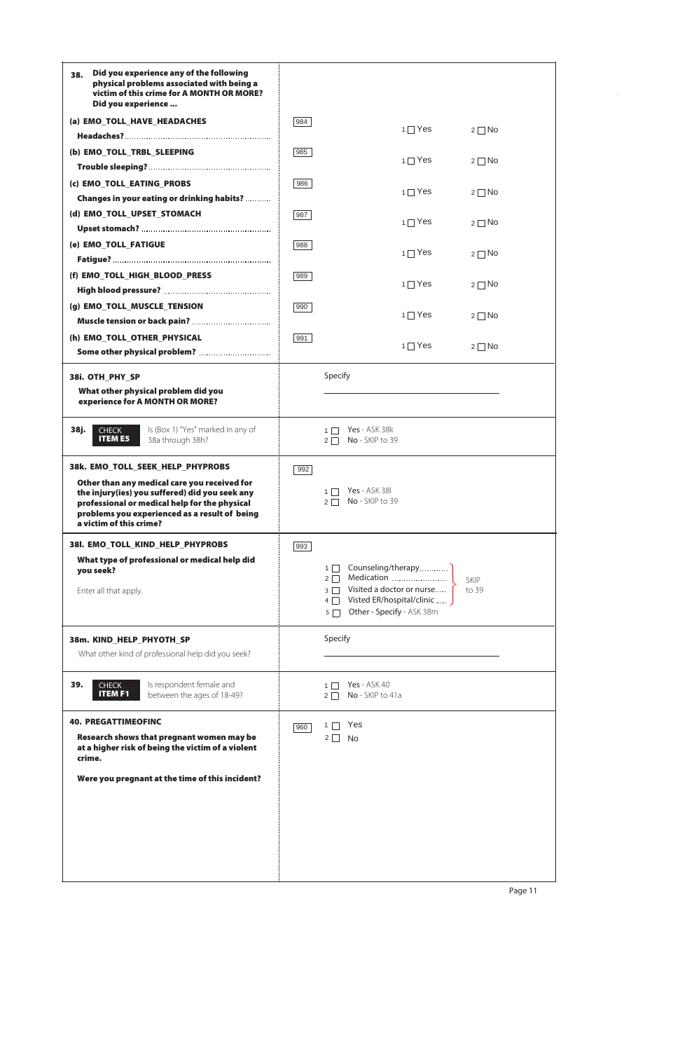| Did you experience any of the following<br>38.<br>physical problems associated with being a<br>victim of this crime for A MONTH OR MORE?<br>Did you experience                                                              |     |                                                                                                                                                                                          |
|-----------------------------------------------------------------------------------------------------------------------------------------------------------------------------------------------------------------------------|-----|------------------------------------------------------------------------------------------------------------------------------------------------------------------------------------------|
| (a) EMO_TOLL_HAVE_HEADACHES                                                                                                                                                                                                 | 984 | $1 \square Y$ es<br>$2 \square$ No                                                                                                                                                       |
| (b) EMO_TOLL_TRBL_SLEEPING                                                                                                                                                                                                  | 985 | $1 \square Y$ es<br>$2 \square$ No                                                                                                                                                       |
|                                                                                                                                                                                                                             |     |                                                                                                                                                                                          |
| (c) EMO_TOLL_EATING_PROBS<br>Changes in your eating or drinking habits?                                                                                                                                                     | 986 | $1 \square$ Yes<br>$2 \square$ No                                                                                                                                                        |
| (d) EMO_TOLL_UPSET_STOMACH                                                                                                                                                                                                  | 987 | $1 \square$ Yes<br>$2 \square$ No                                                                                                                                                        |
| (e) EMO_TOLL_FATIGUE                                                                                                                                                                                                        | 988 |                                                                                                                                                                                          |
|                                                                                                                                                                                                                             |     | $1 \square$ Yes<br>$2 \square$ No                                                                                                                                                        |
| (f) EMO_TOLL_HIGH_BLOOD_PRESS                                                                                                                                                                                               | 989 | $1 \square$ Yes<br>$2 \square$ No                                                                                                                                                        |
| (g) EMO_TOLL_MUSCLE_TENSION                                                                                                                                                                                                 | 990 | $1 \square$ Yes<br>$2 \square$ No                                                                                                                                                        |
| (h) EMO_TOLL_OTHER_PHYSICAL                                                                                                                                                                                                 | 991 |                                                                                                                                                                                          |
| Some other physical problem?                                                                                                                                                                                                |     | $1 \square$ Yes<br>$2 \square$ No                                                                                                                                                        |
| 38i. OTH_PHY_SP<br>What other physical problem did you<br>experience for A MONTH OR MORE?                                                                                                                                   |     | Specify                                                                                                                                                                                  |
| 38j.<br>Is (Box 1) "Yes" marked in any of<br><b>CHECK</b><br><b>ITEM E5</b><br>38a through 38h?                                                                                                                             |     | Yes - ASK 38k<br>No - SKIP to 39<br>$2 \mid$                                                                                                                                             |
| 38k. EMO TOLL SEEK HELP PHYPROBS                                                                                                                                                                                            | 992 |                                                                                                                                                                                          |
| Other than any medical care you received for<br>the injury(ies) you suffered) did you seek any<br>professional or medical help for the physical<br>problems you experienced as a result of being<br>a victim of this crime? |     | <b>Yes</b> - ASK 38<br>$1 \mid$<br>No - SKIP to 39                                                                                                                                       |
| 381. EMO_TOLL_KIND_HELP_PHYPROBS                                                                                                                                                                                            | 993 |                                                                                                                                                                                          |
| What type of professional or medical help did<br>you seek?<br>Enter all that apply.                                                                                                                                         |     | Counseling/therapy<br>$1\Box$<br>$2\Box$<br><b>SKIP</b><br>Visited a doctor or nurse<br>$3\Box$<br>to 39<br>Visted ER/hospital/clinic<br>$4\Box$<br>Other - Specify - ASK 38m<br>$5\Box$ |
| 38m. KIND_HELP_PHYOTH_SP<br>What other kind of professional help did you seek?                                                                                                                                              |     | Specify                                                                                                                                                                                  |
| Is respondent female and<br>39.<br><b>CHECK</b><br><b>ITEM F1</b><br>between the ages of 18-49?                                                                                                                             |     | <b>Yes</b> - ASK 40<br>$1 \mid$<br>No - SKIP to 41a<br>$2\Box$                                                                                                                           |
| <b>40. PREGATTIMEOFINC</b><br>Research shows that pregnant women may be<br>at a higher risk of being the victim of a violent<br>crime.                                                                                      | 960 | Yes<br>$1 \Box$<br>$2 \Box$ No                                                                                                                                                           |

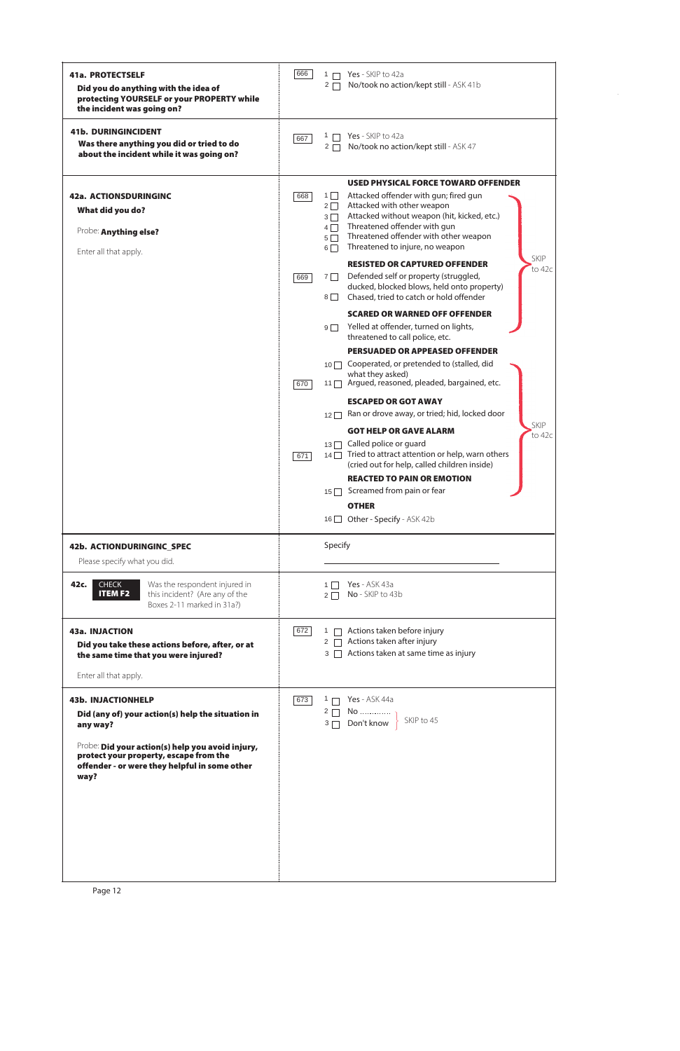| <b>41a. PROTECTSELF</b><br>Did you do anything with the idea of<br>protecting YOURSELF or your PROPERTY while<br>the incident was going on? | 666<br>Yes - SKIP to 42a<br>$1 \Box$<br>$2\Box$                                                                                                                                                                                                                                      | No/took no action/kept still - ASK 41b                                                                                                                                                                                                                                                                                                                                                                                                                                                                                                                                                                                                                                                                                                                                                                                                                                                                                                                                                                                    |
|---------------------------------------------------------------------------------------------------------------------------------------------|--------------------------------------------------------------------------------------------------------------------------------------------------------------------------------------------------------------------------------------------------------------------------------------|---------------------------------------------------------------------------------------------------------------------------------------------------------------------------------------------------------------------------------------------------------------------------------------------------------------------------------------------------------------------------------------------------------------------------------------------------------------------------------------------------------------------------------------------------------------------------------------------------------------------------------------------------------------------------------------------------------------------------------------------------------------------------------------------------------------------------------------------------------------------------------------------------------------------------------------------------------------------------------------------------------------------------|
| <b>41b. DURINGINCIDENT</b><br>Was there anything you did or tried to do<br>about the incident while it was going on?                        | Yes - SKIP to 42a<br>1 [<br>667<br>$2\Box$                                                                                                                                                                                                                                           | No/took no action/kept still - ASK 47                                                                                                                                                                                                                                                                                                                                                                                                                                                                                                                                                                                                                                                                                                                                                                                                                                                                                                                                                                                     |
| 42a. ACTIONSDURINGINC<br>What did you do?<br>Probe: Anything else?<br>Enter all that apply.                                                 | $1 \Box$<br>668<br>$2\Box$<br>$3\Box$<br>$4\Box$<br>$5\Box$<br>$6\Box$<br>$7$    <br>669<br>$8\Box$<br>$9\Box$<br>what they asked)<br>670<br>$12\Box$<br>Called police or quard<br>$13$   <br>671<br>$15$ Screamed from pain or fear<br><b>OTHER</b><br>16 Other - Specify - ASK 42b | <b>USED PHYSICAL FORCE TOWARD OFFENDER</b><br>Attacked offender with gun; fired gun<br>Attacked with other weapon<br>Attacked without weapon (hit, kicked, etc.)<br>Threatened offender with gun<br>Threatened offender with other weapon<br>Threatened to injure, no weapon<br>SKIP<br><b>RESISTED OR CAPTURED OFFENDER</b><br>to 42c<br>Defended self or property (struggled,<br>ducked, blocked blows, held onto property)<br>Chased, tried to catch or hold offender<br><b>SCARED OR WARNED OFF OFFENDER</b><br>Yelled at offender, turned on lights,<br>threatened to call police, etc.<br><b>PERSUADED OR APPEASED OFFENDER</b><br>10 □ Cooperated, or pretended to (stalled, did<br>11 □ Argued, reasoned, pleaded, bargained, etc.<br><b>ESCAPED OR GOT AWAY</b><br>Ran or drove away, or tried; hid, locked door<br>SKIP<br><b>GOT HELP OR GAVE ALARM</b><br>to 42c<br>14 □ Tried to attract attention or help, warn others<br>(cried out for help, called children inside)<br><b>REACTED TO PAIN OR EMOTION</b> |
| 42b. ACTIONDURINGINC_SPEC<br>Please specify what you did.                                                                                   | Specify                                                                                                                                                                                                                                                                              |                                                                                                                                                                                                                                                                                                                                                                                                                                                                                                                                                                                                                                                                                                                                                                                                                                                                                                                                                                                                                           |
| <b>CHECK</b><br>Was the respondent injured in<br>42c.<br><b>ITEM F2</b><br>this incident? (Are any of the<br>Boxes 2-11 marked in 31a?)     | <b>Yes</b> - ASK 43a<br>$1 \mid$<br>No - SKIP to 43b<br>$2\Box$                                                                                                                                                                                                                      |                                                                                                                                                                                                                                                                                                                                                                                                                                                                                                                                                                                                                                                                                                                                                                                                                                                                                                                                                                                                                           |
| <b>43a. INJACTION</b><br>Did you take these actions before, after, or at<br>the same time that you were injured?<br>Enter all that apply.   | 672<br>$1 \mid$<br>$2 \Box$                                                                                                                                                                                                                                                          | Actions taken before injury<br>Actions taken after injury<br>$3 \Box$ Actions taken at same time as injury                                                                                                                                                                                                                                                                                                                                                                                                                                                                                                                                                                                                                                                                                                                                                                                                                                                                                                                |
| <b>43b. INJACTIONHELP</b><br>Did (any of) your action(s) help the situation in<br>any way?                                                  | <b>Yes</b> - ASK 44a<br>673<br>$1 \Box$<br>No<br>$2\Box$<br>Don't know<br>3 <sub>1</sub>                                                                                                                                                                                             | SKIP to 45                                                                                                                                                                                                                                                                                                                                                                                                                                                                                                                                                                                                                                                                                                                                                                                                                                                                                                                                                                                                                |
| Probe: Did your action(s) help you avoid injury,<br>protect your property, escape from the<br>affandau auwana thay halpful in cama athau    |                                                                                                                                                                                                                                                                                      |                                                                                                                                                                                                                                                                                                                                                                                                                                                                                                                                                                                                                                                                                                                                                                                                                                                                                                                                                                                                                           |

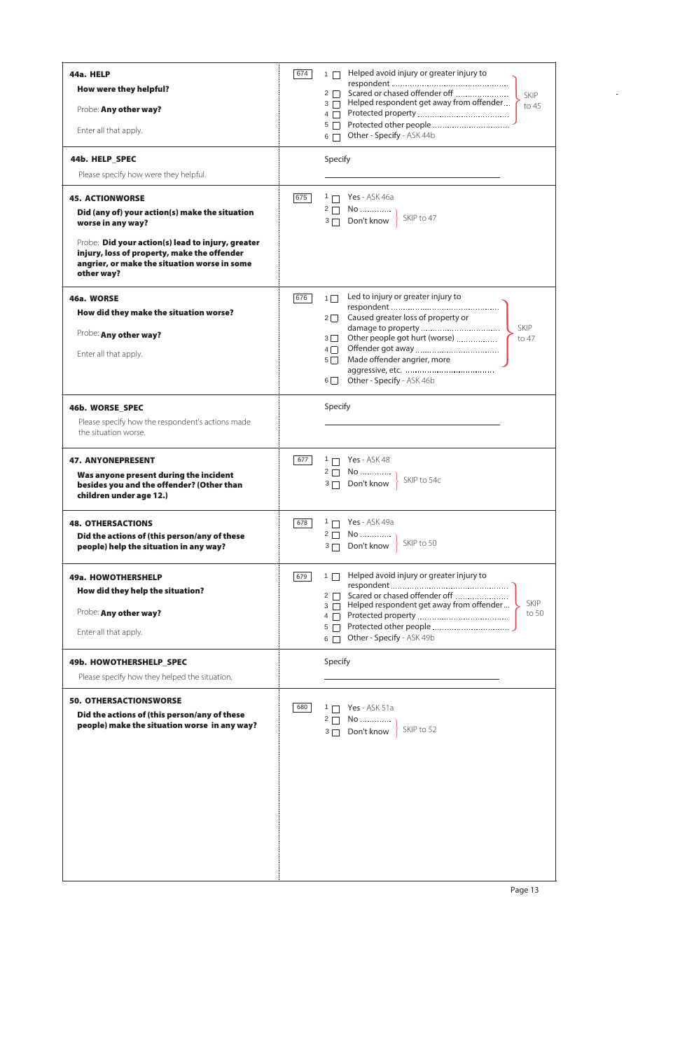| 44a. HELP<br>How were they helpful?<br>Probe: Any other way?<br>Enter all that apply.<br>44b. HELP_SPEC<br>Please specify how were they helpful.                                                                                                                | Helped avoid injury or greater injury to<br>674<br>$1 \Box$<br>$2 \Box$<br>SKIP<br>$3 \Box$ Helped respondent get away from offender.<br>to 45<br>Protected other people<br>$5\Box$<br>6 Other - Specify - ASK 44b<br>Specify                               |  |  |
|-----------------------------------------------------------------------------------------------------------------------------------------------------------------------------------------------------------------------------------------------------------------|-------------------------------------------------------------------------------------------------------------------------------------------------------------------------------------------------------------------------------------------------------------|--|--|
| <b>45. ACTIONWORSE</b><br>Did (any of) your action(s) make the situation<br>worse in any way?<br>Probe: Did your action(s) lead to injury, greater<br>injury, loss of property, make the offender<br>angrier, or make the situation worse in some<br>other way? | $1 \Box$ Yes - ASK 46a<br>675<br>$2 \Box$ No<br>SKIP to 47<br>$3 \Box$ Don't know                                                                                                                                                                           |  |  |
| 46a. WORSE<br>How did they make the situation worse?<br>Probe: Any other way?<br>Enter all that apply.                                                                                                                                                          | Led to injury or greater injury to<br>676<br>$1\Box$<br>Caused greater loss of property or<br>$2\Box$<br><b>SKIP</b><br>Other people got hurt (worse)<br>$3\Box$<br>to 47<br>Made offender angrier, more<br>$5\Box$<br>Other - Specify - ASK 46b<br>$6\Box$ |  |  |
| 46b. WORSE_SPEC<br>Please specify how the respondent's actions made<br>the situation worse.                                                                                                                                                                     | Specify                                                                                                                                                                                                                                                     |  |  |
| <b>47. ANYONEPRESENT</b><br>Was anyone present during the incident<br>besides you and the offender? (Other than<br>children under age 12.)                                                                                                                      | <b>Yes</b> - ASK 48<br>677<br>$1 \Box$<br>$2 \Box$ No<br>SKIP to 54c<br>$3 \Box$ Don't know                                                                                                                                                                 |  |  |
| <b>48. OTHERSACTIONS</b><br>Did the actions of (this person/any of these<br>people) help the situation in any way?                                                                                                                                              | Yes - ASK 49a<br>678<br>$1 \Box$<br>$2 \Box$ No<br>SKIP to 50<br>Don't know<br>$3\Box$                                                                                                                                                                      |  |  |
| 49a. HOWOTHERSHELP<br>How did they help the situation?<br>Probe: Any other way?<br>Enter all that apply.                                                                                                                                                        | Helped avoid injury or greater injury to<br>679<br>$1 \Box$<br>Scared or chased offender off<br>$2 \Box$<br><b>SKIP</b><br>Helped respondent get away from offender<br>$3 \Box$<br>to 50<br>$4\Box$<br>$5\Box$<br>Other - Specify - ASK 49b<br>$6 \Box$     |  |  |
| 49b. HOWOTHERSHELP_SPEC<br>Please specify how they helped the situation.                                                                                                                                                                                        | Specify                                                                                                                                                                                                                                                     |  |  |
| <b>50. OTHERSACTIONSWORSE</b><br>Did the actions of (this person/any of these<br>people) make the situation worse in any way?                                                                                                                                   | Yes - ASK 51a<br>680<br>$1 \Box$<br>$2 \Box$ No<br>SKIP to 52<br>$3\Box$<br>Don't know                                                                                                                                                                      |  |  |



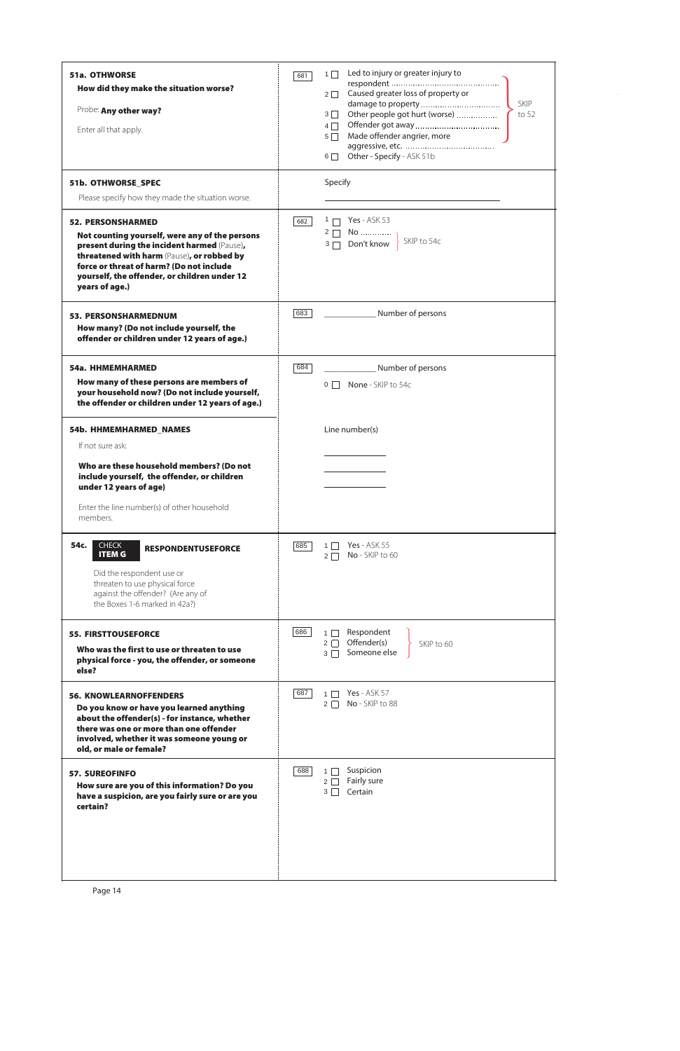| <b>51a. OTHWORSE</b><br>How did they make the situation worse?<br>Probe: Any other way?<br>Enter all that apply.                                                                                                                                                                      | 681 | Led to injury or greater injury to<br>$1 \mid$<br>Caused greater loss of property or<br>$2\Box$<br><b>SKIP</b><br>$3\Box$<br>$4\Box$<br>Made offender angrier, more<br>$5 \mid$<br>Other - Specify - ASK 51b<br>$6$ |  |
|---------------------------------------------------------------------------------------------------------------------------------------------------------------------------------------------------------------------------------------------------------------------------------------|-----|---------------------------------------------------------------------------------------------------------------------------------------------------------------------------------------------------------------------|--|
| 51b. OTHWORSE_SPEC<br>Please specify how they made the situation worse.                                                                                                                                                                                                               |     | Specify                                                                                                                                                                                                             |  |
| <b>52. PERSONSHARMED</b><br>Not counting yourself, were any of the persons<br>present during the incident harmed (Pause),<br>threatened with harm (Pause), or robbed by<br>force or threat of harm? (Do not include<br>yourself, the offender, or children under 12<br>years of age.) | 682 | <b>Yes</b> - ASK 53<br>$1 \Box$<br>$2\Box$<br>Don't know   SKIP to 54c<br>$3\Box$                                                                                                                                   |  |
| <b>53. PERSONSHARMEDNUM</b><br>How many? (Do not include yourself, the<br>offender or children under 12 years of age.)                                                                                                                                                                | 683 | Number of persons                                                                                                                                                                                                   |  |
| <b>54a. HHMEMHARMED</b><br>How many of these persons are members of<br>your household now? (Do not include yourself,<br>the offender or children under 12 years of age.)                                                                                                              | 684 | Number of persons<br>$0$ $\Box$ None - SKIP to 54c                                                                                                                                                                  |  |
| 54b. HHMEMHARMED_NAMES<br>If not sure ask:<br>Who are these household members? (Do not<br>include yourself, the offender, or children<br>under 12 years of age)<br>Enter the line number(s) of other household<br>members.                                                            |     | Line number(s)                                                                                                                                                                                                      |  |
| 54c.<br><b>CHECK</b><br><b>RESPONDENTUSEFORCE</b><br><b>ITEM G</b><br>Did the respondent use or<br>threaten to use physical force<br>against the offender? (Are any of<br>the Boxes 1-6 marked in 42a?)                                                                               | 685 | <b>Yes</b> - ASK 55<br>$1 \mid$<br>No - SKIP to 60<br>$2\Box$                                                                                                                                                       |  |
| <b>55. FIRSTTOUSEFORCE</b><br>Who was the first to use or threaten to use<br>physical force - you, the offender, or someone<br>else?                                                                                                                                                  | 686 | Respondent<br>$1 \mid$<br>Offender(s)<br>$2\Box$<br>SKIP to 60<br>Someone else<br>$3\Box$                                                                                                                           |  |
| <b>56. KNOWLEARNOFFENDERS</b><br>Do you know or have you learned anything<br>about the offender(s) - for instance, whether<br>there was one or more than one offender<br>involved, whether it was someone young or<br>old, or male or female?                                         | 687 | <b>Yes</b> - ASK 57<br>$1 \mid$<br>No - SKIP to 88<br>$2\Box$                                                                                                                                                       |  |
| 57 SURFOEINEO                                                                                                                                                                                                                                                                         | 688 | Suspicion<br>$1\Box$                                                                                                                                                                                                |  |

| <b>57. SUREOFINFO</b><br>How sure are you of this information? Do you<br>have a suspicion, are you fairly sure or are you<br>certain? | <b>OOO</b><br><b>SUSPICIOII</b><br>Fairly sure<br>$2 \mid$<br>Certain<br>3 <sup>1</sup> |
|---------------------------------------------------------------------------------------------------------------------------------------|-----------------------------------------------------------------------------------------|
|                                                                                                                                       |                                                                                         |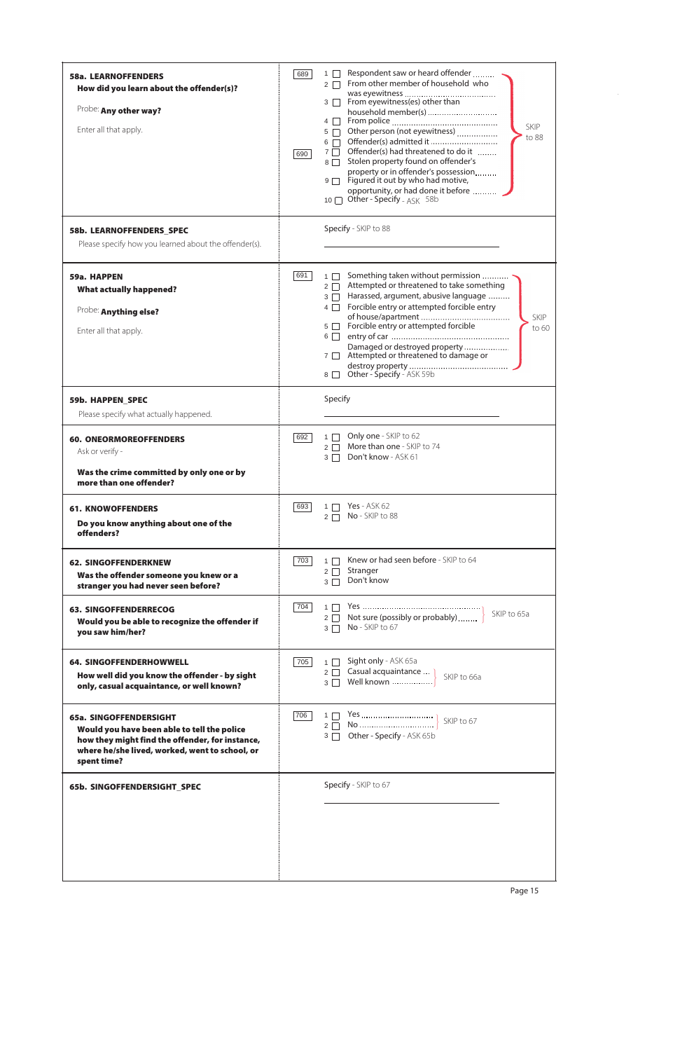| <b>58a. LEARNOFFENDERS</b><br>How did you learn about the offender(s)?<br>Probe: Any other way?<br>Enter all that apply.                                                                  | 689<br>690 | Respondent saw or heard offender<br>$1 \mid$<br>From other member of household who<br>$2\Box$<br>$3 \Box$ From eyewitness(es) other than<br>household member(s)<br>$4 \Box$<br><b>SKIP</b><br>Other person (not eyewitness)<br>$5\Box$<br>to 88<br>Offender(s) admitted it<br>$6\Box$<br>Offender(s) had threatened to do it<br>$7\Box$<br>Stolen property found on offender's<br>$8\Box$<br>property or in offender's possession<br>Figured it out by who had motive,<br>$9\Box$<br>opportunity, or had done it before<br>Other - Specify - $ASK$ 58b<br>$10$ $\Box$ |
|-------------------------------------------------------------------------------------------------------------------------------------------------------------------------------------------|------------|-----------------------------------------------------------------------------------------------------------------------------------------------------------------------------------------------------------------------------------------------------------------------------------------------------------------------------------------------------------------------------------------------------------------------------------------------------------------------------------------------------------------------------------------------------------------------|
| 58b. LEARNOFFENDERS SPEC<br>Please specify how you learned about the offender(s).                                                                                                         |            | Specify - SKIP to 88                                                                                                                                                                                                                                                                                                                                                                                                                                                                                                                                                  |
| 59a. HAPPEN<br><b>What actually happened?</b><br>Probe: Anything else?<br>Enter all that apply.                                                                                           | 691        | Something taken without permission<br>$1 \Box$<br>Attempted or threatened to take something<br>$2\Box$<br>Harassed, argument, abusive language<br>$3\Box$<br>Forcible entry or attempted forcible entry<br>$4\Box$<br><b>SKIP</b><br>5 <b>Forcible entry or attempted forcible</b><br>to 60<br>$6\Box$<br>Damaged or destroyed property<br>Attempted or threatened to damage or<br>$7\Box$<br>Other - Specify - ASK 59b<br>$8 \mid$                                                                                                                                   |
| <b>59b. HAPPEN SPEC</b><br>Please specify what actually happened.                                                                                                                         |            | Specify                                                                                                                                                                                                                                                                                                                                                                                                                                                                                                                                                               |
| <b>60. ONEORMOREOFFENDERS</b><br>Ask or verify -<br>Was the crime committed by only one or by<br>more than one offender?                                                                  | 692        | Only one - SKIP to 62<br>$1 \Box$<br>2 More than one - SKIP to 74<br>3 Don't know - ASK 61                                                                                                                                                                                                                                                                                                                                                                                                                                                                            |
| <b>61. KNOWOFFENDERS</b><br>Do you know anything about one of the<br>offenders?                                                                                                           | 693        | 1 7 Yes - ASK 62<br>No - SKIP to 88<br>$2\Box$                                                                                                                                                                                                                                                                                                                                                                                                                                                                                                                        |
| <b>62. SINGOFFENDERKNEW</b><br>Was the offender someone you knew or a<br>stranger you had never seen before?                                                                              | 703        | Knew or had seen before - SKIP to 64<br>$1$ $\Box$<br>Stranger<br>$2 \square$<br>Don't know<br>$3\Box$                                                                                                                                                                                                                                                                                                                                                                                                                                                                |
| <b>63. SINGOFFENDERRECOG</b><br>Would you be able to recognize the offender if<br>you saw him/her?                                                                                        | 704        | SKIP to 65a<br>2 $\Box$ Not sure (possibly or probably)<br>No - SKIP to 67<br>$3\Box$                                                                                                                                                                                                                                                                                                                                                                                                                                                                                 |
| <b>64. SINGOFFENDERHOWWELL</b><br>How well did you know the offender - by sight<br>only, casual acquaintance, or well known?                                                              | 705        | Sight only - ASK 65a<br>$1 \Box$<br>2 Casual acquaintance  ]<br>SKIP to 66a<br>Well known<br>$3 \Box$                                                                                                                                                                                                                                                                                                                                                                                                                                                                 |
| 65a. SINGOFFENDERSIGHT<br>Would you have been able to tell the police<br>how they might find the offender, for instance,<br>where he/she lived, worked, went to school, or<br>spent time? | 706        | 3 Other - Specify - ASK 65b                                                                                                                                                                                                                                                                                                                                                                                                                                                                                                                                           |



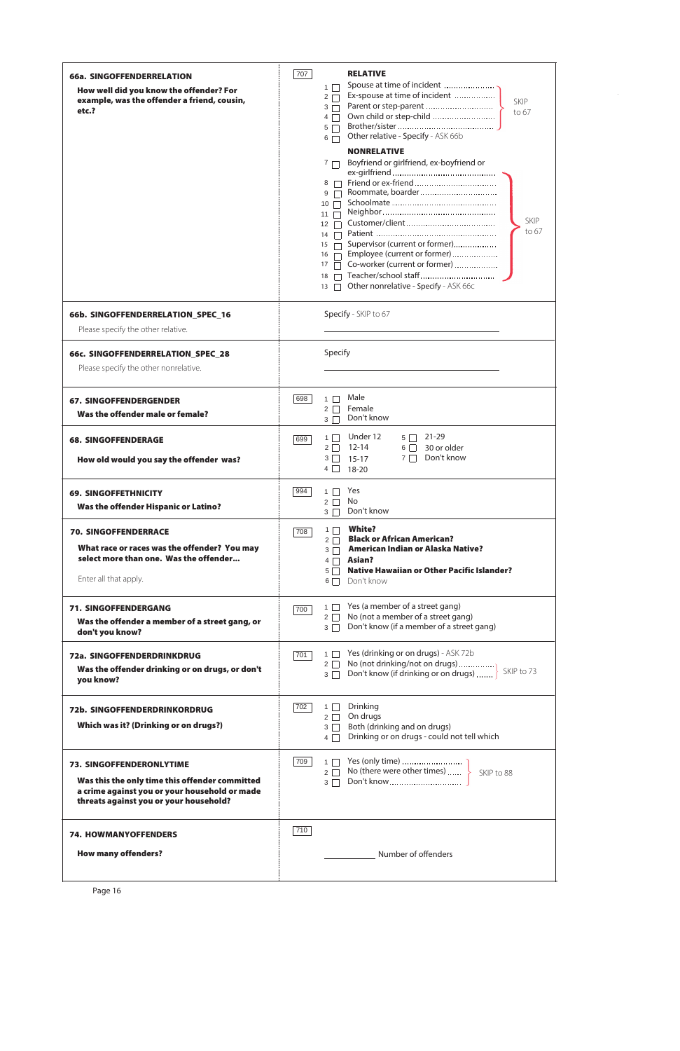| 66a. SINGOFFENDERRELATION<br>How well did you know the offender? For<br>example, was the offender a friend, cousin,<br>etc.?                                                 | 707<br><b>RELATIVE</b><br>Spouse at time of incident<br>$1 \mid$<br>Ex-spouse at time of incident<br>$2 \square$<br><b>SKIP</b><br>Parent or step-parent<br>$3\Box$<br>to 67<br>Own child or step-child<br>$4\Box$<br>$5\Box$<br>Other relative - Specify - ASK 66b<br>$6\Box$<br><b>NONRELATIVE</b><br>Boyfriend or girlfriend, ex-boyfriend or<br>7 <sub>1</sub><br>$8$ $\Box$<br>$9$ $\Box$<br>$10$ $\Box$<br>$11$ $\Box$<br><b>SKIP</b><br>$12 \square$<br>to 67<br>14<br>Supervisor (current or former)<br>15<br>Employee (current or former)<br>16<br>Co-worker (current or former)<br>17<br>Teacher/school staff<br>18<br>Other nonrelative - Specify - ASK 66c<br>13 |
|------------------------------------------------------------------------------------------------------------------------------------------------------------------------------|------------------------------------------------------------------------------------------------------------------------------------------------------------------------------------------------------------------------------------------------------------------------------------------------------------------------------------------------------------------------------------------------------------------------------------------------------------------------------------------------------------------------------------------------------------------------------------------------------------------------------------------------------------------------------|
| 66b. SINGOFFENDERRELATION_SPEC_16<br>Please specify the other relative.                                                                                                      | Specify - SKIP to 67                                                                                                                                                                                                                                                                                                                                                                                                                                                                                                                                                                                                                                                         |
| 66c. SINGOFFENDERRELATION_SPEC_28<br>Please specify the other nonrelative.                                                                                                   | Specify                                                                                                                                                                                                                                                                                                                                                                                                                                                                                                                                                                                                                                                                      |
| <b>67. SINGOFFENDERGENDER</b><br>Was the offender male or female?                                                                                                            | Male<br>698<br>$1 \Box$<br>Female<br>$2\Box$<br>Don't know<br>$3\Box$                                                                                                                                                                                                                                                                                                                                                                                                                                                                                                                                                                                                        |
| <b>68. SINGOFFENDERAGE</b><br>How old would you say the offender was?                                                                                                        | Under 12<br>$5 \Box 21-29$<br>$1 \mid$<br>699<br>$2 \Box$ 12-14<br>$6 \Box 30$ or older<br>Don't know<br>$3 \Box 15-17$<br>$7\Box$<br>$4 \Box 18-20$                                                                                                                                                                                                                                                                                                                                                                                                                                                                                                                         |
| <b>69. SINGOFFETHNICITY</b><br><b>Was the offender Hispanic or Latino?</b>                                                                                                   | Yes<br>994  <br>$1 \mid$<br><b>No</b><br>$2 \Box$<br>Don't know<br>$3\Box$                                                                                                                                                                                                                                                                                                                                                                                                                                                                                                                                                                                                   |
| <b>70. SINGOFFENDERRACE</b><br>What race or races was the offender? You may<br>select more than one. Was the offender<br>Enter all that apply.                               | <b>White?</b><br>$1 \Box$<br>708<br><b>Black or African American?</b><br>$2 \Box$<br>3 <sup>3</sup> American Indian or Alaska Native?<br>$4 \Box$ Asian?<br><b>Native Hawaiian or Other Pacific Islander?</b><br>$5\Box$<br>Don't know<br>$6\Box$                                                                                                                                                                                                                                                                                                                                                                                                                            |
| <b>71. SINGOFFENDERGANG</b><br>Was the offender a member of a street gang, or<br>don't you know?                                                                             | Yes (a member of a street gang)<br>$1 \Box$<br>700<br>$2 \Box$ No (not a member of a street gang)<br>Don't know (if a member of a street gang)<br>$3\Box$                                                                                                                                                                                                                                                                                                                                                                                                                                                                                                                    |
| 72a. SINGOFFENDERDRINKDRUG<br>Was the offender drinking or on drugs, or don't<br>you know?                                                                                   | Yes (drinking or on drugs) - ASK 72b<br>$1 \Box$<br>701<br>No (not drinking/not on drugs)<br>$2\Box$<br>SKIP to 73<br>Don't know (if drinking or on drugs)<br>$3\Box$                                                                                                                                                                                                                                                                                                                                                                                                                                                                                                        |
| 72b. SINGOFFENDERDRINKORDRUG<br>Which was it? (Drinking or on drugs?)                                                                                                        | Drinking<br>702<br>$1 \mid$<br>On drugs<br>$2\Box$<br>Both (drinking and on drugs)<br>$3\Box$<br>Drinking or on drugs - could not tell which<br>$4\Box$                                                                                                                                                                                                                                                                                                                                                                                                                                                                                                                      |
| <b>73. SINGOFFENDERONLYTIME</b><br>Was this the only time this offender committed<br>a crime against you or your household or made<br>threats against you or your household? | 709<br>No (there were other times)<br>$2\Box$<br>SKIP to 88<br>Don't know<br>$3\Box$                                                                                                                                                                                                                                                                                                                                                                                                                                                                                                                                                                                         |
| <b>74. HOWMANYOFFENDERS</b><br><b>How many offenders?</b>                                                                                                                    | $710$<br>Number of offenders                                                                                                                                                                                                                                                                                                                                                                                                                                                                                                                                                                                                                                                 |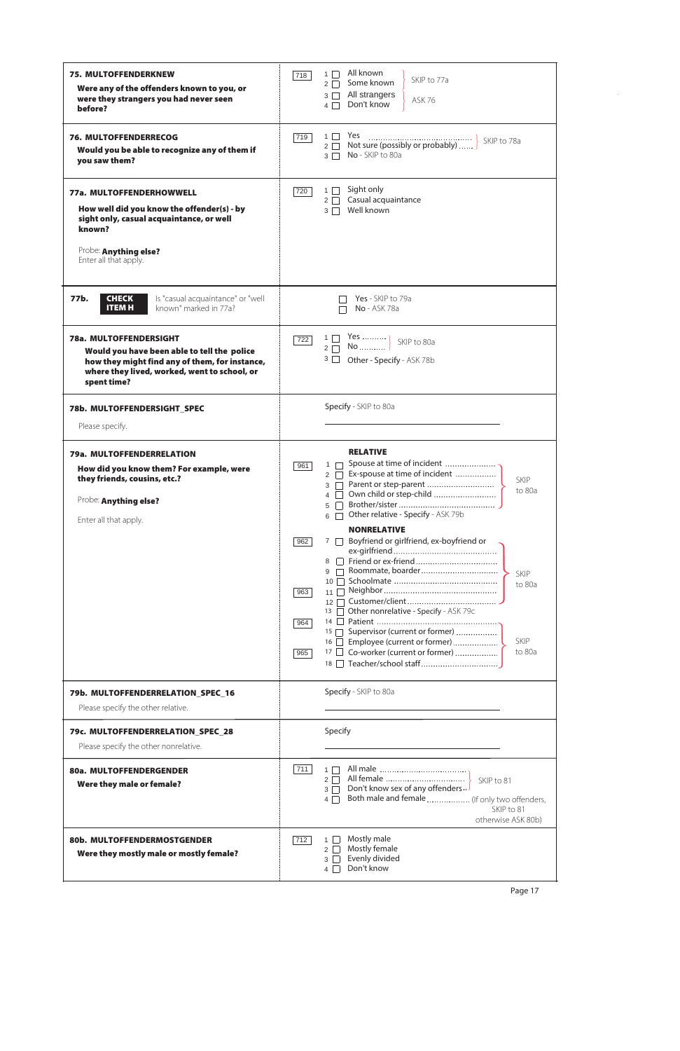| <b>75. MULTOFFENDERKNEW</b><br>Were any of the offenders known to you, or<br>were they strangers you had never seen<br>before?                                                         | All known<br>$1 \Box$<br>718<br>SKIP to 77a<br>Some known<br>$2\Box$<br>All strangers<br>$3\Box$<br><b>ASK 76</b><br>Don't know<br>$4\Box$                                                                                                                                                                                               |
|----------------------------------------------------------------------------------------------------------------------------------------------------------------------------------------|------------------------------------------------------------------------------------------------------------------------------------------------------------------------------------------------------------------------------------------------------------------------------------------------------------------------------------------|
| <b>76. MULTOFFENDERRECOG</b><br>Would you be able to recognize any of them if<br>you saw them?                                                                                         | $1 \Box$ Yes<br>719<br>No - SKIP to 80a<br>$3\Box$                                                                                                                                                                                                                                                                                       |
| 77a. MULTOFFENDERHOWWELL<br>How well did you know the offender(s) - by<br>sight only, casual acquaintance, or well<br>known?<br>Probe: Anything else?<br>Enter all that apply.         | Sight only<br>$1\Box$<br>720<br>Casual acquaintance<br>$2\Box$<br>Well known<br>$3\Box$                                                                                                                                                                                                                                                  |
| 77b.<br>Is "casual acquaintance" or "well<br><b>CHECK</b><br><b>ITEM H</b><br>known" marked in 77a?                                                                                    | Yes - SKIP to 79a<br><b>No</b> - ASK 78a                                                                                                                                                                                                                                                                                                 |
| 78a. MULTOFFENDERSIGHT<br>Would you have been able to tell the police<br>how they might find any of them, for instance,<br>where they lived, worked, went to school, or<br>spent time? | $\begin{array}{c} 1 \ \square \quad \  \textsf{Yes} \  \  \ . \ 2 \ \square \quad \  \textsf{No} \  \end{array} \bigg \}$<br>722<br>SKIP to 80a<br>$3\Box$<br>Other - Specify - ASK 78b                                                                                                                                                  |
| 78b. MULTOFFENDERSIGHT SPEC                                                                                                                                                            | Specify - SKIP to 80a                                                                                                                                                                                                                                                                                                                    |
| Please specify.                                                                                                                                                                        |                                                                                                                                                                                                                                                                                                                                          |
| 79a. MULTOFFENDERRELATION<br>How did you know them? For example, were<br>they friends, cousins, etc.?<br>Probe: Anything else?<br>Enter all that apply.                                | <b>RELATIVE</b><br>Spouse at time of incident<br>$1 \Box$<br>961<br>Ex-spouse at time of incident<br>2 $\Box$<br>SKIP<br>Parent or step-parent<br>$3 \Box$<br>to 80a<br>Own child or step-child<br>4<br>5<br>Other relative - Specify - ASK 79b<br>6<br><b>NONRELATIVE</b><br>7 <b>D</b> Boyfriend or girlfriend, ex-boyfriend or<br>962 |
|                                                                                                                                                                                        | SKIP<br>to 80a<br>963<br>11 $\Box$<br>12 <sup>1</sup><br>13 Other nonrelative - Specify - ASK 79c<br>14<br>964<br>15 Supervisor (current or former)<br><b>SKIP</b><br>16 Employee (current or former)<br>17 Co-worker (current or former)<br>to 80a<br>965                                                                               |
| 79b. MULTOFFENDERRELATION_SPEC_16<br>Please specify the other relative.                                                                                                                | Specify - SKIP to 80a                                                                                                                                                                                                                                                                                                                    |
| 79c. MULTOFFENDERRELATION_SPEC_28<br>Please specify the other nonrelative.                                                                                                             | Specify                                                                                                                                                                                                                                                                                                                                  |
| 80a. MULTOFFENDERGENDER<br>Were they male or female?                                                                                                                                   | 711<br>$1\Box$<br>All female<br>$2\Box$<br>SKIP to 81<br>Don't know sex of any offenders<br>$3\Box$<br>Both male and female  (If only two offenders,<br>$4\Box$<br>SKIP to 81<br>otherwise ASK 80b)                                                                                                                                      |
| 80b. MULTOFFENDERMOSTGENDER<br>Were they mostly male or mostly female?                                                                                                                 | Mostly male<br>$1 \Box$<br>712<br>Mostly female<br>2 <sup>1</sup><br>Evenly divided<br>$3 \mid$<br>Don't know<br>$4\Box$                                                                                                                                                                                                                 |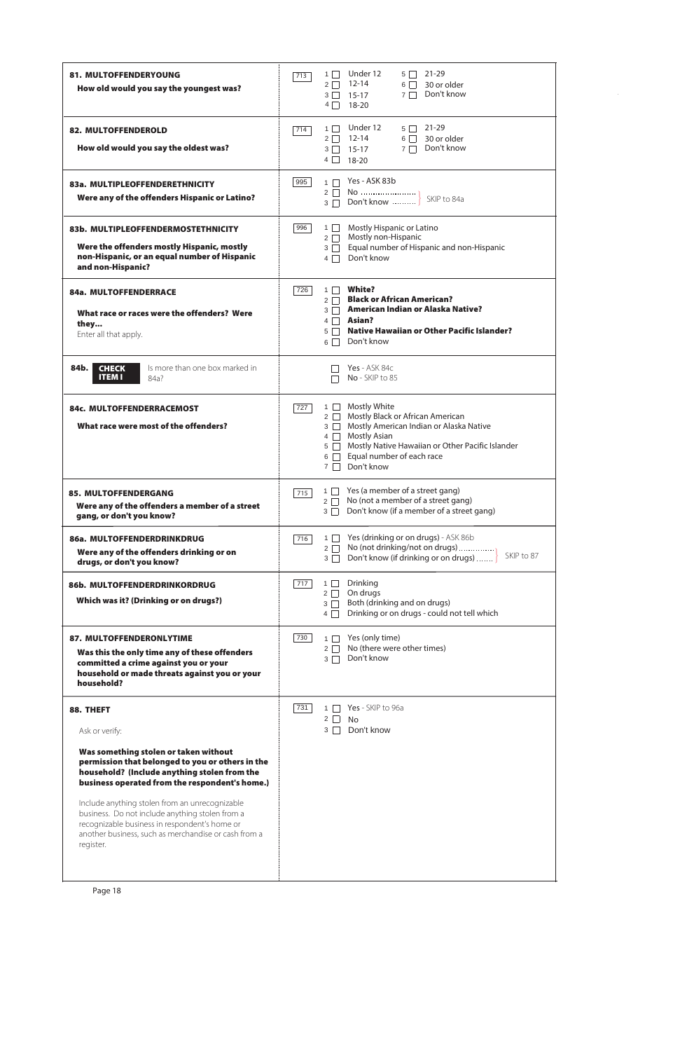| <b>81. MULTOFFENDERYOUNG</b><br>How old would you say the youngest was?                                                                                                                  | Under 12<br>21-29<br>$1 \mid$<br>$5\Box$<br>713<br>$2 \Box$ 12-14<br>$6 \Box 30$ or older<br>Don't know<br>$7\Box$<br>$3 \square$ 15-17<br>$4 \Box 18-20$                                                                                                                 |
|------------------------------------------------------------------------------------------------------------------------------------------------------------------------------------------|---------------------------------------------------------------------------------------------------------------------------------------------------------------------------------------------------------------------------------------------------------------------------|
| <b>82. MULTOFFENDEROLD</b><br>How old would you say the oldest was?                                                                                                                      | Under 12<br>$5 \Box 21-29$<br>$1 \mid$<br>714<br>12-14<br>$6 \Box 30$ or older<br>$2 \mid$<br>7 □ Don't know<br>$3 \Box 15-17$<br>$4 \Box 18-20$                                                                                                                          |
| 83a. MULTIPLEOFFENDERETHNICITY<br>Were any of the offenders Hispanic or Latino?                                                                                                          | Yes - ASK 83b<br>995<br>$1 \Box$<br>SKIP to 84a<br>Don't know<br>$3 \Box$                                                                                                                                                                                                 |
| 83b. MULTIPLEOFFENDERMOSTETHNICITY<br>Were the offenders mostly Hispanic, mostly<br>non-Hispanic, or an equal number of Hispanic<br>and non-Hispanic?                                    | Mostly Hispanic or Latino<br>$1 \Box$<br>996<br>Mostly non-Hispanic<br>$2\Box$<br>Equal number of Hispanic and non-Hispanic<br>$3 \Box$<br>Don't know<br>$4\Box$                                                                                                          |
| 84a. MULTOFFENDERRACE<br>What race or races were the offenders? Were<br>they<br>Enter all that apply.                                                                                    | <b>White?</b><br>$1 \Box$<br>726<br>2 Black or African American?<br>3 <b>American Indian or Alaska Native?</b><br>$4 \Box$ Asian?<br><b>Native Hawaiian or Other Pacific Islander?</b><br>$5 \mid$<br>Don't know<br>$6 \mid \cdot \mid$                                   |
| Is more than one box marked in<br>84b.<br><b>CHECK</b><br><b>ITEM I</b><br>84a?                                                                                                          | Yes - ASK 84c<br>No - SKIP to 85                                                                                                                                                                                                                                          |
| 84c. MULTOFFENDERRACEMOST<br>What race were most of the offenders?                                                                                                                       | 1   Mostly White<br>727<br>2   Mostly Black or African American<br>3   Mostly American Indian or Alaska Native<br><b>Mostly Asian</b><br>$4 \Box$<br>5 Mostly Native Hawaiian or Other Pacific Islander<br>Equal number of each race<br>$6 \Box$<br>Don't know<br>$7\Box$ |
| <b>85. MULTOFFENDERGANG</b><br>Were any of the offenders a member of a street<br>gang, or don't you know?                                                                                | Yes (a member of a street gang)<br>1    <br>715<br>No (not a member of a street gang)<br>$2\Box$<br>Don't know (if a member of a street gang)<br>$3\Box$                                                                                                                  |
| 86a. MULTOFFENDERDRINKDRUG<br>Were any of the offenders drinking or on<br>drugs, or don't you know?                                                                                      | Yes (drinking or on drugs) - ASK 86b<br>$1 \mid$<br>716<br>No (not drinking/not on drugs)<br>$2\Box$<br>SKIP to 87<br>Don't know (if drinking or on drugs)<br>$3 \Box$                                                                                                    |
| 86b. MULTOFFENDERDRINKORDRUG<br>Which was it? (Drinking or on drugs?)                                                                                                                    | Drinking<br>$1 \mid$<br>717<br>On drugs<br>$2\Box$<br>Both (drinking and on drugs)<br>$3\Box$<br>Drinking or on drugs - could not tell which<br>$4\Box$                                                                                                                   |
| <b>87. MULTOFFENDERONLYTIME</b><br>Was this the only time any of these offenders<br>committed a crime against you or your<br>household or made threats against you or your<br>household? | 730<br>Yes (only time)<br>$1 \mid$<br>No (there were other times)<br>$2 \mid$<br>Don't know<br>$3\Box$                                                                                                                                                                    |
| 88. THEFT<br>Ask or verify:<br>Was something stolen or taken without<br>permission that belonged to you or others in the<br>household? (Include anuthing stalen from the                 | 731<br>Yes - SKIP to 96a<br>$1 \mid$<br>$2 \Box$<br><b>No</b><br>Don't know<br>$3 \mid \mid$                                                                                                                                                                              |

household? (Include anything stolen from the business operated from the respondent's home.)

Include anything stolen from an unrecognizable business. Do not include anything stolen from a recognizable business in respondent's home or another business, such as merchandise or cash from a register.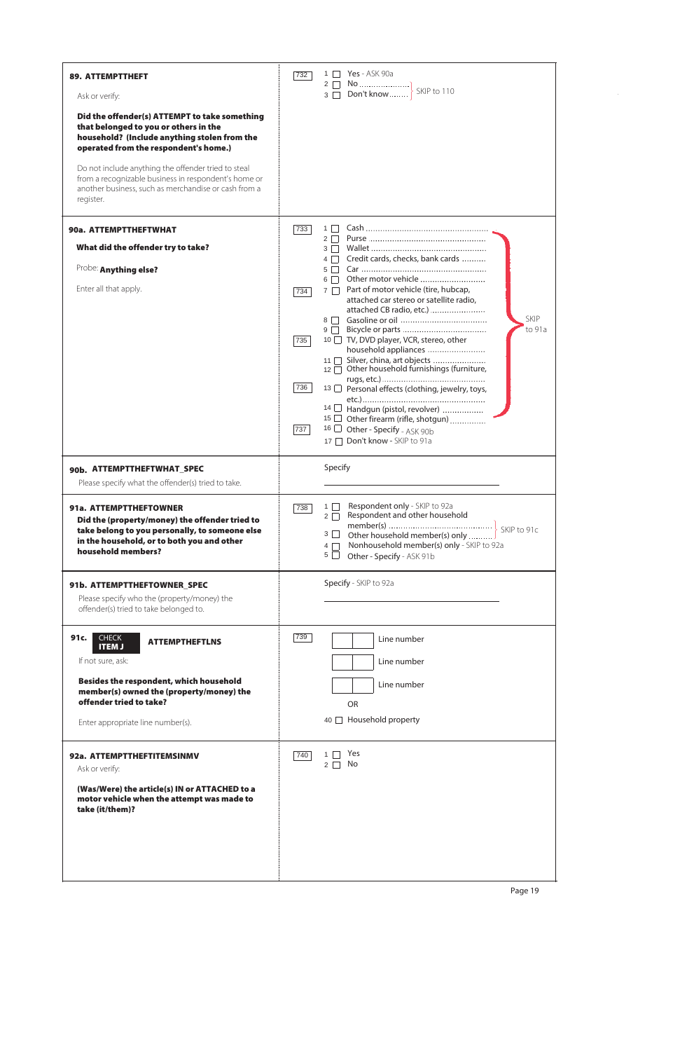| <b>89. ATTEMPTTHEFT</b>                                                                                                                                                          | Yes - ASK 90a<br>$1 \mid$<br>732<br>$2 \square$                                                                                                                 |
|----------------------------------------------------------------------------------------------------------------------------------------------------------------------------------|-----------------------------------------------------------------------------------------------------------------------------------------------------------------|
| Ask or verify:                                                                                                                                                                   | SKIP to 110<br>Don't know<br>$3 \Box$                                                                                                                           |
| Did the offender(s) ATTEMPT to take something<br>that belonged to you or others in the<br>household? (Include anything stolen from the<br>operated from the respondent's home.)  |                                                                                                                                                                 |
| Do not include anything the offender tried to steal<br>from a recognizable business in respondent's home or<br>another business, such as merchandise or cash from a<br>register. |                                                                                                                                                                 |
| 90a. ATTEMPTTHEFTWHAT                                                                                                                                                            | 733<br>$1 \mid$<br>$2 \mid$                                                                                                                                     |
| What did the offender try to take?                                                                                                                                               | $3 \Box$<br>Credit cards, checks, bank cards<br>$4\Box$                                                                                                         |
| Probe: Anything else?                                                                                                                                                            | $5 \mid$                                                                                                                                                        |
| Enter all that apply.                                                                                                                                                            | Other motor vehicle<br>$6\Box$<br>Part of motor vehicle (tire, hubcap,<br>$7\Box$<br>734<br>attached car stereo or satellite radio,<br>attached CB radio, etc.) |
|                                                                                                                                                                                  | SKIP<br>$8 \mid$<br>to 91a<br>$9\Box$                                                                                                                           |
|                                                                                                                                                                                  | 10 □ TV, DVD player, VCR, stereo, other<br>735<br>household appliances                                                                                          |
|                                                                                                                                                                                  | Silver, china, art objects<br>11<br>Other household furnishings (furniture,<br>$12 \square$                                                                     |
|                                                                                                                                                                                  | 736<br>13 □ Personal effects (clothing, jewelry, toys,                                                                                                          |
|                                                                                                                                                                                  | 14 Handgun (pistol, revolver)                                                                                                                                   |
|                                                                                                                                                                                  | 15 Other firearm (rifle, shotgun)<br>16 $\Box$ Other - Specify - ASK 90b<br>737<br>17 □ Don't know - SKIP to 91a                                                |
| 90b. ATTEMPTTHEFTWHAT_SPEC                                                                                                                                                       | Specify                                                                                                                                                         |
| Please specify what the offender(s) tried to take.                                                                                                                               |                                                                                                                                                                 |
| 91a. ATTEMPTTHEFTOWNER<br>Did the (property/money) the offender tried to<br>take belong to you personally, to someone else                                                       | Respondent only - SKIP to 92a<br>$1 \mid$<br>738<br>Respondent and other household<br>$2\Box$<br>$3\Box$<br>Other household member(s) only                      |
| in the household, or to both you and other<br>household members?                                                                                                                 | Nonhousehold member(s) only - SKIP to 92a<br>$4\Box$<br>$5\Box$<br>Other - Specify - ASK 91b                                                                    |
| 91b. ATTEMPTTHEFTOWNER_SPEC                                                                                                                                                      | Specify - SKIP to 92a                                                                                                                                           |
| Please specify who the (property/money) the<br>offender(s) tried to take belonged to.                                                                                            |                                                                                                                                                                 |
| 91c.<br><b>CHECK</b><br><b>ATTEMPTHEFTLNS</b><br><b>ITEM J</b>                                                                                                                   | 739<br>Line number                                                                                                                                              |
| If not sure, ask:                                                                                                                                                                | Line number                                                                                                                                                     |
| Besides the respondent, which household<br>member(s) owned the (property/money) the<br>offender tried to take?                                                                   | Line number<br><b>OR</b>                                                                                                                                        |
| Enter appropriate line number(s).                                                                                                                                                | 40   Household property                                                                                                                                         |
| 92a. ATTEMPTTHEFTITEMSINMV<br>Ask or verify:                                                                                                                                     | Yes<br>740<br>$1 \mid$<br>No<br>$2 \mid$                                                                                                                        |

(Was/Were) the article(s) IN or ATTACHED to a motor vehicle when the attempt was made to take (it/them)?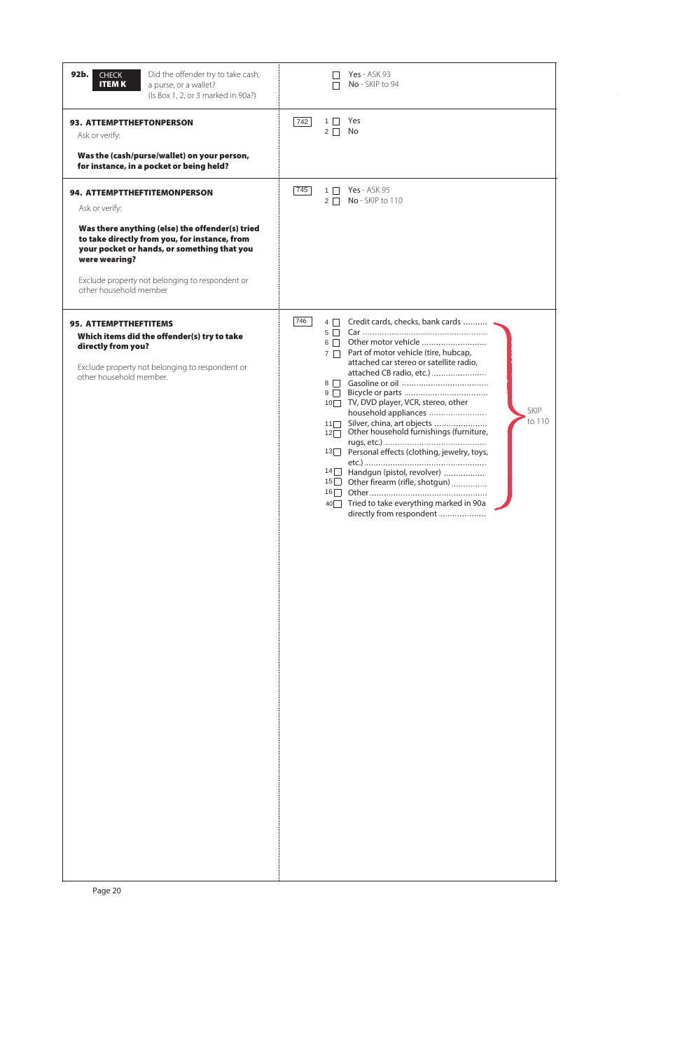| 92b.<br>Did the offender try to take cash,<br><b>CHECK</b><br><b>ITEMK</b><br>a purse, or a wallet?<br>(Is Box 1, 2, or 3 marked in 90a?)                                                                                                                                                       |     |                                                                                                                                       | <b>Yes</b> - ASK 93<br>No - SKIP to 94                                                                                                                                                                                                                                                                                                                                                                                                                                                                                                     |
|-------------------------------------------------------------------------------------------------------------------------------------------------------------------------------------------------------------------------------------------------------------------------------------------------|-----|---------------------------------------------------------------------------------------------------------------------------------------|--------------------------------------------------------------------------------------------------------------------------------------------------------------------------------------------------------------------------------------------------------------------------------------------------------------------------------------------------------------------------------------------------------------------------------------------------------------------------------------------------------------------------------------------|
| <b>93. ATTEMPTTHEFTONPERSON</b><br>Ask or verify:<br>Was the (cash/purse/wallet) on your person,<br>for instance, in a pocket or being held?                                                                                                                                                    | 742 | $1\vert$ $\vert$<br>$2\Box$                                                                                                           | Yes<br>No                                                                                                                                                                                                                                                                                                                                                                                                                                                                                                                                  |
| 94. ATTEMPTTHEFTITEMONPERSON<br>Ask or verify:<br>Was there anything (else) the offender(s) tried<br>to take directly from you, for instance, from<br>your pocket or hands, or something that you<br>were wearing?<br>Exclude property not belonging to respondent or<br>other household member | 745 | $1 \Box$<br>$2 \mid \mid$                                                                                                             | <b>Yes</b> - ASK 95<br>No - SKIP to 110                                                                                                                                                                                                                                                                                                                                                                                                                                                                                                    |
| <b>95. ATTEMPTTHEFTITEMS</b><br>Which items did the offender(s) try to take<br>directly from you?<br>Exclude property not belonging to respondent or<br>other household member.                                                                                                                 | 746 | $4\Box$<br>$5\Box$<br>$6 \Box$<br>$7\Box$<br>$8\Box$<br>$9\Box$<br>11<br>$12\Box$<br> 13 <br>14<br>15<br>$16\Box$<br>$40\blacksquare$ | Credit cards, checks, bank cards<br>Other motor vehicle<br>Part of motor vehicle (tire, hubcap,<br>attached car stereo or satellite radio,<br>attached CB radio, etc.)<br>10 <sup>O</sup> TV, DVD player, VCR, stereo, other<br><b>SKIP</b><br>household appliances<br>to 110<br>Silver, china, art objects<br>Other household furnishings (furniture,<br>Personal effects (clothing, jewelry, toys,<br>Handgun (pistol, revolver)<br>Other firearm (rifle, shotgun)<br>Tried to take everything marked in 90a<br>directly from respondent |

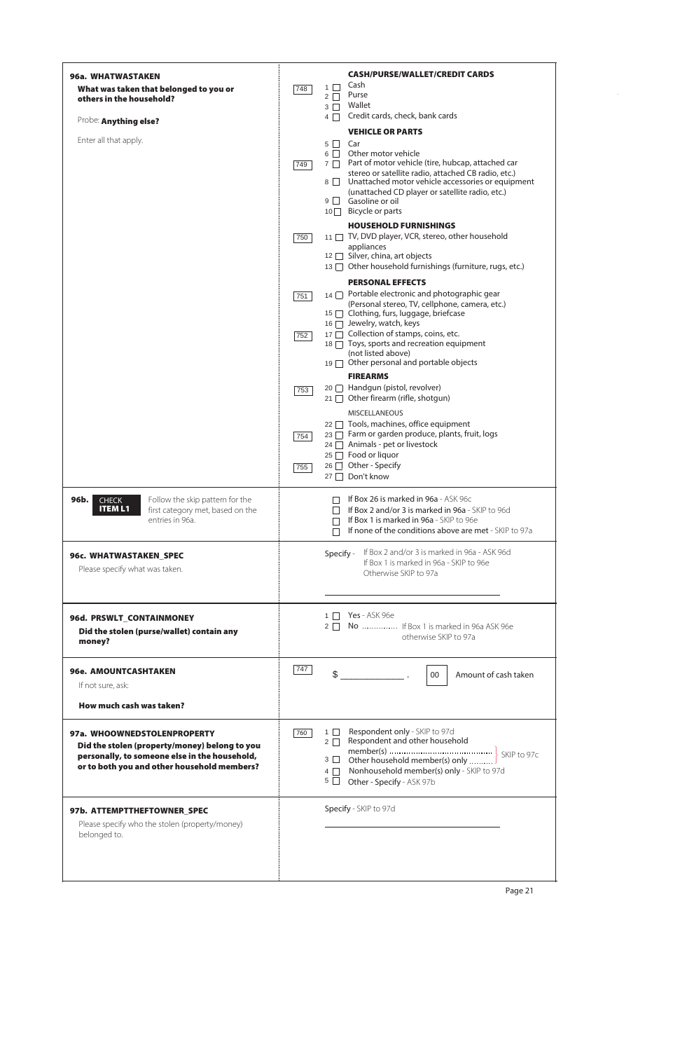| 96a. WHATWASTAKEN<br>What was taken that belonged to you or<br>others in the household?                                                                                      | <b>CASH/PURSE/WALLET/CREDIT CARDS</b><br>Cash<br>$1 \mid$<br>748<br>Purse<br>$2\Box$<br>Wallet<br>$3\Box$<br>Credit cards, check, bank cards<br>$4\Box$                                                                                                                                                                                                                                          |
|------------------------------------------------------------------------------------------------------------------------------------------------------------------------------|--------------------------------------------------------------------------------------------------------------------------------------------------------------------------------------------------------------------------------------------------------------------------------------------------------------------------------------------------------------------------------------------------|
| Probe: Anything else?<br>Enter all that apply.                                                                                                                               | <b>VEHICLE OR PARTS</b><br>$5\Box$<br>Car<br>Other motor vehicle<br>$6\Box$<br>Part of motor vehicle (tire, hubcap, attached car<br>$7\Box$<br>749<br>stereo or satellite radio, attached CB radio, etc.)<br>Unattached motor vehicle accessories or equipment<br>8<br>(unattached CD player or satellite radio, etc.)<br>Gasoline or oil<br>$9 \mid$<br>10 Bicycle or parts                     |
|                                                                                                                                                                              | <b>HOUSEHOLD FURNISHINGS</b><br>11 TV, DVD player, VCR, stereo, other household<br>750<br>appliances<br>12 □ Silver, china, art objects<br>13 Other household furnishings (furniture, rugs, etc.)                                                                                                                                                                                                |
|                                                                                                                                                                              | <b>PERSONAL EFFECTS</b><br>Portable electronic and photographic gear<br>14<br>751<br>(Personal stereo, TV, cellphone, camera, etc.)<br>15   Clothing, furs, luggage, briefcase<br>16 □ Jewelry, watch, keys<br>17 □ Collection of stamps, coins, etc.<br>752<br>18   Toys, sports and recreation equipment<br>(not listed above)<br>Other personal and portable objects<br>19<br><b>FIREARMS</b> |
|                                                                                                                                                                              | 20 □ Handgun (pistol, revolver)<br>753<br>Other firearm (rifle, shotgun)<br>$21 \Box$<br><b>MISCELLANEOUS</b><br>Tools, machines, office equipment<br>$22 \Box$<br>23 □ Farm or garden produce, plants, fruit, logs<br>754<br>24 □ Animals - pet or livestock<br>$25 \Box$ Food or liquor<br>26 <u>□</u> Other - Specify<br>755<br>27 □ Don't know                                               |
| 96b.<br><b>CHECK</b><br>Follow the skip pattern for the<br><b>ITEM L1</b><br>first category met, based on the<br>entries in 96a.                                             | If Box 26 is marked in 96a - ASK 96c<br>If Box 2 and/or 3 is marked in 96a - SKIP to 96d<br>If Box 1 is marked in 96a - SKIP to 96e<br>If none of the conditions above are met - SKIP to 97a                                                                                                                                                                                                     |
| 96c. WHATWASTAKEN_SPEC<br>Please specify what was taken.                                                                                                                     | If Box 2 and/or 3 is marked in 96a - ASK 96d<br>Specify -<br>If Box 1 is marked in 96a - SKIP to 96e<br>Otherwise SKIP to 97a                                                                                                                                                                                                                                                                    |
| 96d. PRSWLT_CONTAINMONEY<br>Did the stolen (purse/wallet) contain any<br>money?                                                                                              | <b>Yes</b> - ASK 96e<br>$1 \Box$<br>2 No  If Box 1 is marked in 96a ASK 96e<br>otherwise SKIP to 97a                                                                                                                                                                                                                                                                                             |
| <b>96e. AMOUNTCASHTAKEN</b><br>If not sure, ask:<br>How much cash was taken?                                                                                                 | 747<br>Amount of cash taken<br>$00\,$                                                                                                                                                                                                                                                                                                                                                            |
| 97a. WHOOWNEDSTOLENPROPERTY<br>Did the stolen (property/money) belong to you<br>personally, to someone else in the household,<br>or to both you and other household members? | Respondent only - SKIP to 97d<br>$1 \Box$<br>760<br>Respondent and other household<br>$2 \Box$<br>$3\Box$<br>Other household member(s) only<br>Nonhousehold member(s) only - SKIP to 97d<br>$4\Box$<br>$5\Box$<br>Other - Specify - ASK 97b                                                                                                                                                      |
| 97b. ATTEMPTTHEFTOWNER_SPEC<br>Please specify who the stolen (property/money)<br>belonged to.                                                                                | Specify - SKIP to 97d                                                                                                                                                                                                                                                                                                                                                                            |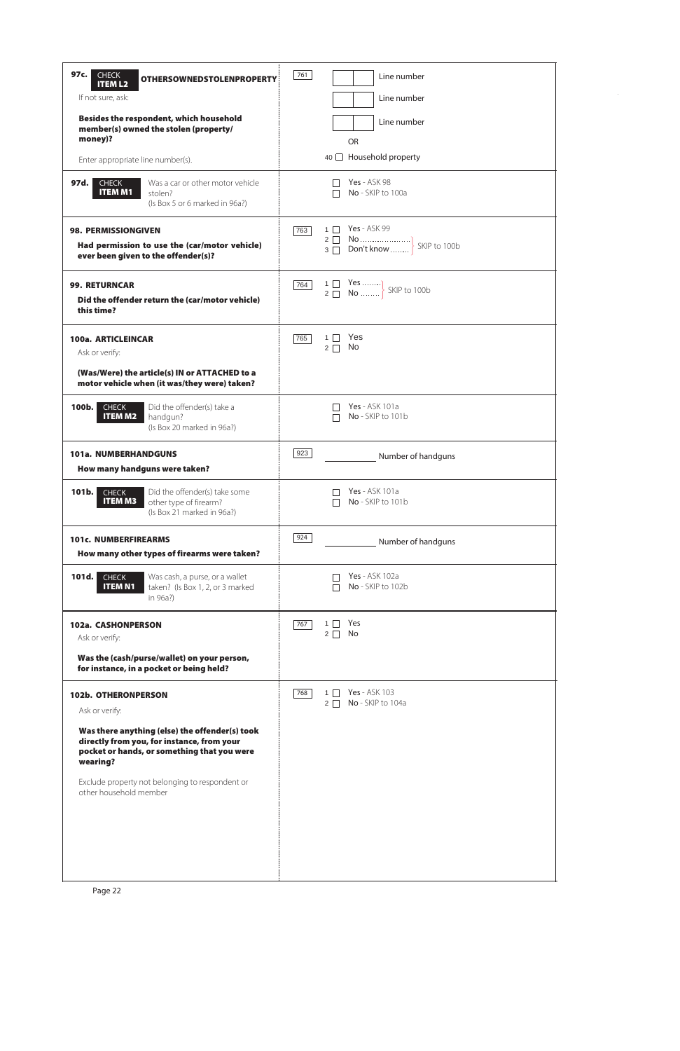| 97c.<br><b>CHECK</b><br><b>OTHERSOWNEDSTOLENPROPERTY</b><br><b>ITEM L2</b>                                                                              | 761<br>Line number                                                         |
|---------------------------------------------------------------------------------------------------------------------------------------------------------|----------------------------------------------------------------------------|
| If not sure, ask:                                                                                                                                       | Line number                                                                |
| Besides the respondent, which household<br>member(s) owned the stolen (property/<br>money)?                                                             | Line number<br><b>OR</b>                                                   |
| Enter appropriate line number(s).                                                                                                                       | 40   Household property                                                    |
| Was a car or other motor vehicle<br>97d. l<br><b>CHECK</b><br><b>ITEM M1</b><br>stolen?<br>(Is Box 5 or 6 marked in 96a?)                               | <b>Yes</b> - ASK 98<br>No - SKIP to 100a                                   |
| <b>98. PERMISSIONGIVEN</b><br>Had permission to use the (car/motor vehicle)<br>ever been given to the offender(s)?                                      | <b>Yes</b> - ASK 99<br>$1$ $\Box$<br>763                                   |
| <b>99. RETURNCAR</b><br>Did the offender return the (car/motor vehicle)<br>this time?                                                                   | 1 Yes  SKIP to 100b<br>764                                                 |
| 100a. ARTICLEINCAR<br>Ask or verify:                                                                                                                    | Yes<br>765<br>No<br>$2\Box$                                                |
| (Was/Were) the article(s) IN or ATTACHED to a<br>motor vehicle when (it was/they were) taken?                                                           |                                                                            |
| Did the offender(s) take a<br>100b.<br><b>CHECK</b><br><b>ITEM M2</b><br>handgun?<br>(Is Box 20 marked in 96a?)                                         | <b>Yes</b> - ASK 101a<br>No - SKIP to 101b                                 |
| <b>101a. NUMBERHANDGUNS</b><br>How many handguns were taken?                                                                                            | 923<br>Number of handguns                                                  |
| Did the offender(s) take some<br>$101b$ .<br><b>CHECK</b><br><b>ITEM M3</b><br>other type of firearm?<br>(Is Box 21 marked in 96a?)                     | Yes - ASK 101a<br>No - SKIP to 101b                                        |
| <b>101c. NUMBERFIREARMS</b><br>How many other types of firearms were taken?                                                                             | 924<br>Number of handguns                                                  |
| 101d.<br>Was cash, a purse, or a wallet<br><b>CHECK</b><br><b>ITEM N1</b><br>taken? (Is Box 1, 2, or 3 marked<br>in 96a?)                               | <b>Yes</b> - ASK 102a<br>No - SKIP to 102b                                 |
| 102a. CASHONPERSON<br>Ask or verify:                                                                                                                    | Yes<br>$1$ $\Box$<br>767<br>No<br>$2\Box$                                  |
| Was the (cash/purse/wallet) on your person,<br>for instance, in a pocket or being held?                                                                 |                                                                            |
| 102b. OTHERONPERSON<br>Ask or verify:                                                                                                                   | <b>Yes</b> - ASK 103<br>768<br>$1$ $\Box$<br>No - SKIP to 104a<br>$2 \mid$ |
| Was there anything (else) the offender(s) took<br>directly from you, for instance, from your<br>pocket or hands, or something that you were<br>wearing? |                                                                            |

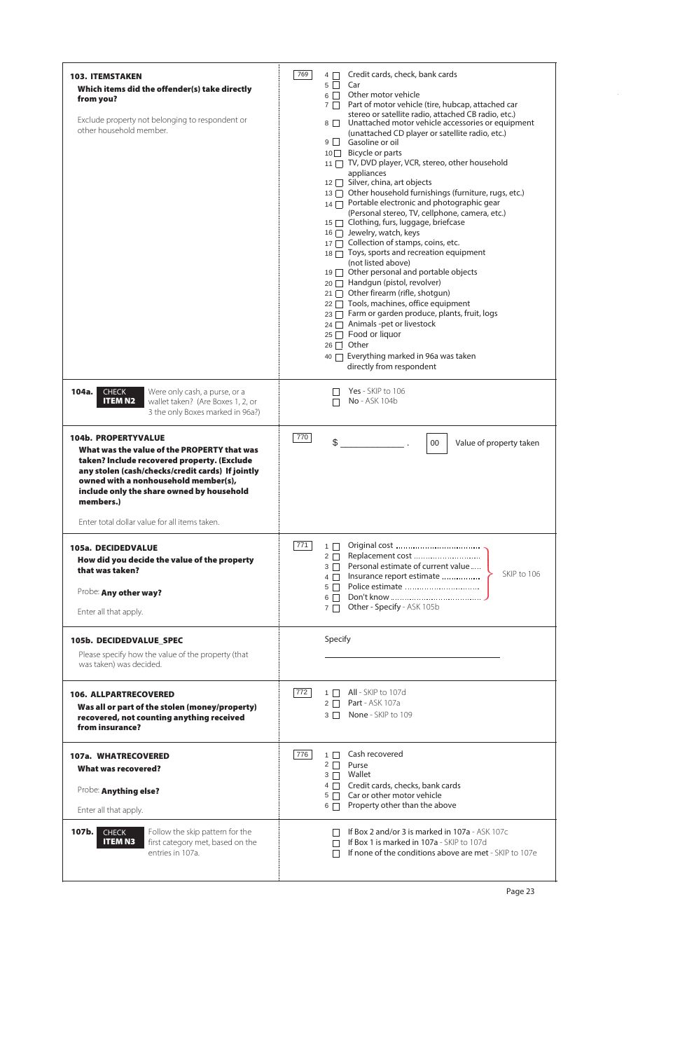| <b>103. ITEMSTAKEN</b><br>Which items did the offender(s) take directly<br>from you?<br>Exclude property not belonging to respondent or<br>other household member.                                                                                                                                                              | 769 | Credit cards, check, bank cards<br>$4\Box$<br>Car<br>$5 \mid \mid$<br>Other motor vehicle<br>6    <br>Part of motor vehicle (tire, hubcap, attached car<br>$7\Box$<br>stereo or satellite radio, attached CB radio, etc.)<br>Unattached motor vehicle accessories or equipment<br>$8$    <br>(unattached CD player or satellite radio, etc.)<br>Gasoline or oil<br>9    <br>Bicycle or parts<br>10<br>11 TV, DVD player, VCR, stereo, other household<br>appliances<br>12 Silver, china, art objects<br>13 Other household furnishings (furniture, rugs, etc.)<br>$_{14}$ $\Box$ Portable electronic and photographic gear<br>(Personal stereo, TV, cellphone, camera, etc.)<br>15   Clothing, furs, luggage, briefcase<br>16 □ Jewelry, watch, keys<br>17 □ Collection of stamps, coins, etc.<br>18 \[ Toys, sports and recreation equipment<br>(not listed above)<br>$19 \Box$ Other personal and portable objects<br>20 Handgun (pistol, revolver)<br>Other firearm (rifle, shotgun)<br>21 I<br>Tools, machines, office equipment<br>$22 \Box$<br>Farm or garden produce, plants, fruit, logs<br>23   1<br>Animals -pet or livestock<br>24 I<br>Food or liquor<br>25    <br>Other<br>26    <br>Everything marked in 96a was taken<br>$40$ $\Box$<br>directly from respondent |
|---------------------------------------------------------------------------------------------------------------------------------------------------------------------------------------------------------------------------------------------------------------------------------------------------------------------------------|-----|---------------------------------------------------------------------------------------------------------------------------------------------------------------------------------------------------------------------------------------------------------------------------------------------------------------------------------------------------------------------------------------------------------------------------------------------------------------------------------------------------------------------------------------------------------------------------------------------------------------------------------------------------------------------------------------------------------------------------------------------------------------------------------------------------------------------------------------------------------------------------------------------------------------------------------------------------------------------------------------------------------------------------------------------------------------------------------------------------------------------------------------------------------------------------------------------------------------------------------------------------------------------------------|
| 104a.<br><b>CHECK</b><br>Were only cash, a purse, or a<br><b>ITEM N2</b><br>wallet taken? (Are Boxes 1, 2, or<br>3 the only Boxes marked in 96a?)                                                                                                                                                                               |     | Yes - SKIP to 106<br>No - ASK 104b                                                                                                                                                                                                                                                                                                                                                                                                                                                                                                                                                                                                                                                                                                                                                                                                                                                                                                                                                                                                                                                                                                                                                                                                                                              |
| <b>104b. PROPERTYVALUE</b><br>What was the value of the PROPERTY that was<br>taken? Include recovered property. (Exclude<br>any stolen (cash/checks/credit cards) If jointly<br>owned with a nonhousehold member(s),<br>include only the share owned by household<br>members.)<br>Enter total dollar value for all items taken. | 770 | \$<br>Value of property taken<br>00                                                                                                                                                                                                                                                                                                                                                                                                                                                                                                                                                                                                                                                                                                                                                                                                                                                                                                                                                                                                                                                                                                                                                                                                                                             |
| 105a. DECIDEDVALUE<br>How did you decide the value of the property<br>that was taken?<br>Probe: Any other way?<br>Enter all that apply.                                                                                                                                                                                         | 771 | $1 \Box$<br>Replacement cost<br>$2\Box$<br>Personal estimate of current value<br>$3 \Box$<br>SKIP to 106<br>Insurance report estimate<br>$4\Box$<br>5    <br>6    <br>Other - Specify - ASK 105b<br>$7 \mid$                                                                                                                                                                                                                                                                                                                                                                                                                                                                                                                                                                                                                                                                                                                                                                                                                                                                                                                                                                                                                                                                    |
| 105b. DECIDEDVALUE_SPEC<br>Please specify how the value of the property (that<br>was taken) was decided.                                                                                                                                                                                                                        |     | Specify                                                                                                                                                                                                                                                                                                                                                                                                                                                                                                                                                                                                                                                                                                                                                                                                                                                                                                                                                                                                                                                                                                                                                                                                                                                                         |
| <b>106. ALLPARTRECOVERED</b><br>Was all or part of the stolen (money/property)<br>recovered, not counting anything received<br>from insurance?                                                                                                                                                                                  | 772 | $1 \Box$ All - SKIP to 107d<br>2 □ Part - ASK 107a<br>3 □ None - SKIP to 109                                                                                                                                                                                                                                                                                                                                                                                                                                                                                                                                                                                                                                                                                                                                                                                                                                                                                                                                                                                                                                                                                                                                                                                                    |
| 107a. WHATRECOVERED<br>What was recovered?                                                                                                                                                                                                                                                                                      | 776 | Cash recovered<br>$1 \mid$<br>$2 \Box$<br>Purse                                                                                                                                                                                                                                                                                                                                                                                                                                                                                                                                                                                                                                                                                                                                                                                                                                                                                                                                                                                                                                                                                                                                                                                                                                 |

| Probe: Anything else?<br>Enter all that apply.                                                                                     | Wallet<br>3<br>Credit cards, checks, bank cards<br>Car or other motor vehicle<br>5 <sup>1</sup><br>Property other than the above<br>6                        |
|------------------------------------------------------------------------------------------------------------------------------------|--------------------------------------------------------------------------------------------------------------------------------------------------------------|
| Follow the skip pattern for the<br>107b.<br><b>CHECK</b><br><b>ITEM N3</b><br>first category met, based on the<br>entries in 107a. | <b>If Box 2 and/or 3 is marked in 107a - ASK 107c</b><br>If Box 1 is marked in 107a - SKIP to 107d<br>If none of the conditions above are met - SKIP to 107e |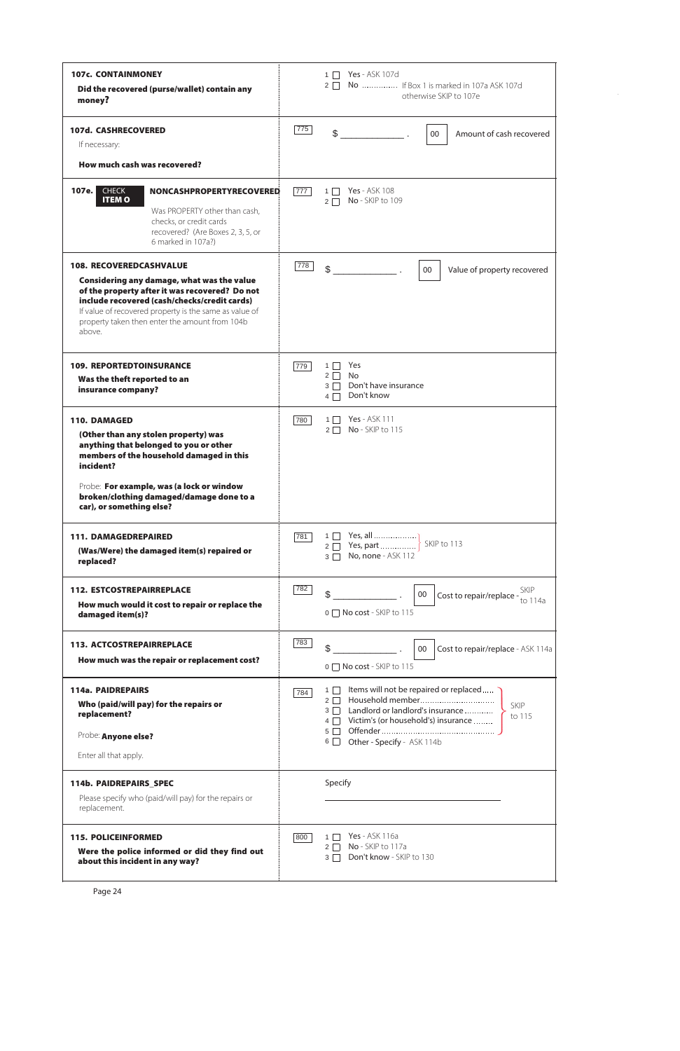| <b>107c. CONTAINMONEY</b><br>Did the recovered (purse/wallet) contain any<br>money?                                                                                                                                                                                                                  |     | <b>Yes</b> - ASK 107d<br>$1$ $\Box$<br>No  If Box 1 is marked in 107a ASK 107d<br>$2 \mid$<br>otherwise SKIP to 107e                                                                                                    |
|------------------------------------------------------------------------------------------------------------------------------------------------------------------------------------------------------------------------------------------------------------------------------------------------------|-----|-------------------------------------------------------------------------------------------------------------------------------------------------------------------------------------------------------------------------|
| <b>107d. CASHRECOVERED</b><br>If necessary:<br>How much cash was recovered?                                                                                                                                                                                                                          | 775 | $\mathbb{S}$<br>Amount of cash recovered<br>00                                                                                                                                                                          |
|                                                                                                                                                                                                                                                                                                      |     |                                                                                                                                                                                                                         |
| 107e.<br><b>CHECK</b><br><b>NONCASHPROPERTYRECOVERED</b><br><b>ITEMO</b><br>Was PROPERTY other than cash,<br>checks, or credit cards<br>recovered? (Are Boxes 2, 3, 5, or<br>6 marked in 107a?)                                                                                                      | 777 | <b>Yes</b> - ASK 108<br>$1\Box$<br>No - SKIP to 109<br>$2\Box$                                                                                                                                                          |
| <b>108. RECOVEREDCASHVALUE</b><br>Considering any damage, what was the value<br>of the property after it was recovered? Do not<br>include recovered (cash/checks/credit cards)<br>If value of recovered property is the same as value of<br>property taken then enter the amount from 104b<br>above. | 778 | \$<br>Value of property recovered<br>00                                                                                                                                                                                 |
| <b>109. REPORTEDTOINSURANCE</b><br>Was the theft reported to an<br>insurance company?                                                                                                                                                                                                                | 779 | Yes<br>$1 \mid$<br>No<br>$2\Box$<br>Don't have insurance<br>$3\Box$<br>Don't know<br>$4\Box$                                                                                                                            |
| <b>110. DAMAGED</b><br>(Other than any stolen property) was<br>anything that belonged to you or other<br>members of the household damaged in this<br>incident?<br>Probe: For example, was (a lock or window<br>broken/clothing damaged/damage done to a<br>car), or something else?                  | 780 | <b>Yes</b> - ASK 111<br>$1 \mid$<br>No - SKIP to 115<br>$2 \mid$                                                                                                                                                        |
| <b>111. DAMAGEDREPAIRED</b><br>(Was/Were) the damaged item(s) repaired or<br>replaced?                                                                                                                                                                                                               | 781 | Yes, all<br>$1\Box$<br>No, none - ASK 112<br>$3\Box$                                                                                                                                                                    |
| <b>112. ESTCOSTREPAIRREPLACE</b><br>How much would it cost to repair or replace the<br>damaged item(s)?                                                                                                                                                                                              | 782 | Cost to repair/replace $\frac{\text{SKIP}}{\text{to }114a}$<br>\$<br>$00\,$<br>0 □ No cost - SKIP to 115                                                                                                                |
| <b>113. ACTCOSTREPAIRREPLACE</b><br>How much was the repair or replacement cost?                                                                                                                                                                                                                     | 783 | \$<br>00<br>Cost to repair/replace - ASK 114a<br>0 □ No cost - SKIP to 115                                                                                                                                              |
| <b>114a. PAIDREPAIRS</b><br>Who (paid/will pay) for the repairs or<br>replacement?<br>Probe: Anyone else?<br>Enter all that apply.                                                                                                                                                                   | 784 | Items will not be repaired or replaced<br>$1 \Box$<br>SKIP<br>Landlord or landlord's insurance<br>$3 \mid \mid$<br>to 115<br>4 Victim's (or household's) insurance<br>Other - Specify - ASK 114b<br>$6 \mid \cdot \mid$ |

| <b>114b. PAIDREPAIRS SPEC</b><br>Please specify who (paid/will pay) for the repairs or<br>replacement.         | Specify                                                                                       |  |
|----------------------------------------------------------------------------------------------------------------|-----------------------------------------------------------------------------------------------|--|
| <b>115. POLICEINFORMED</b><br>Were the police informed or did they find out<br>about this incident in any way? | <b>Yes</b> - ASK 116a<br>800<br>No - SKIP to 117a<br>2<br>Don't know - SKIP to 130<br>$3\Box$ |  |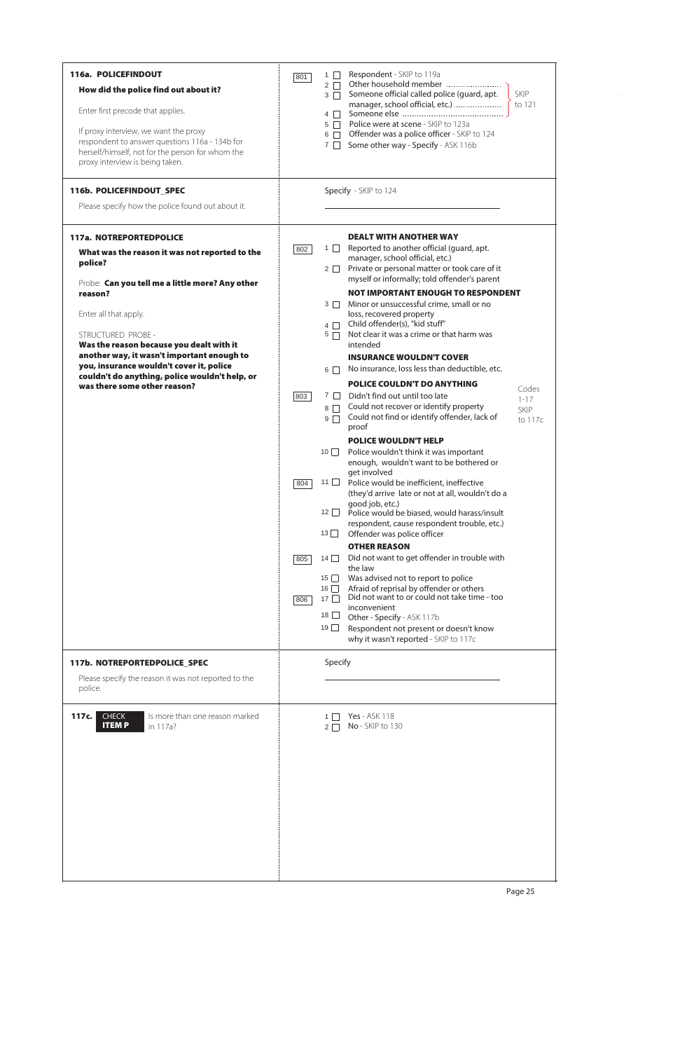| 116a. POLICEFINDOUT<br>How did the police find out about it?<br>Enter first precode that applies.<br>If proxy interview, we want the proxy<br>respondent to answer questions 116a - 134b for<br>herself/himself, not for the person for whom the<br>proxy interview is being taken.<br>116b. POLICEFINDOUT_SPEC<br>Please specify how the police found out about it.                                                             | Respondent - SKIP to 119a<br>1<br>801<br>Other household member<br>$2 \Box$<br>Someone official called police (guard, apt.<br>$3 \Box$<br>manager, school official, etc.)<br>$4\Box$<br>Police were at scene - SKIP to 123a<br>$5\Box$<br>Offender was a police officer - SKIP to 124<br>$6\Box$<br>Some other way - Specify - ASK 116b<br>$7 \square$<br>Specify - SKIP to 124                                                                                                                                                                                                                                                                                                                                                                                                                                                                                                                                                                                                                                                                                                                                                                                                                                                                                                                                                                                                                                                                                                                                                                                                                                                                                                                                      | <b>SKIP</b><br>to 121                       |
|----------------------------------------------------------------------------------------------------------------------------------------------------------------------------------------------------------------------------------------------------------------------------------------------------------------------------------------------------------------------------------------------------------------------------------|----------------------------------------------------------------------------------------------------------------------------------------------------------------------------------------------------------------------------------------------------------------------------------------------------------------------------------------------------------------------------------------------------------------------------------------------------------------------------------------------------------------------------------------------------------------------------------------------------------------------------------------------------------------------------------------------------------------------------------------------------------------------------------------------------------------------------------------------------------------------------------------------------------------------------------------------------------------------------------------------------------------------------------------------------------------------------------------------------------------------------------------------------------------------------------------------------------------------------------------------------------------------------------------------------------------------------------------------------------------------------------------------------------------------------------------------------------------------------------------------------------------------------------------------------------------------------------------------------------------------------------------------------------------------------------------------------------------------|---------------------------------------------|
| <b>117a. NOTREPORTEDPOLICE</b><br>What was the reason it was not reported to the<br>police?<br>Probe: Can you tell me a little more? Any other<br>reason?<br>Enter all that apply.<br>STRUCTURED PROBE -<br>Was the reason because you dealt with it<br>another way, it wasn't important enough to<br>you, insurance wouldn't cover it, police<br>couldn't do anything, police wouldn't help, or<br>was there some other reason? | <b>DEALT WITH ANOTHER WAY</b><br>Reported to another official (guard, apt.<br>$1 \Box$<br>802<br>manager, school official, etc.)<br>Private or personal matter or took care of it<br>$2 \Box$<br>myself or informally; told offender's parent<br><b>NOT IMPORTANT ENOUGH TO RESPONDENT</b><br>Minor or unsuccessful crime, small or no<br>$3 \Box$<br>loss, recovered property<br>Child offender(s), "kid stuff"<br>$4\Box$<br>Not clear it was a crime or that harm was<br>$5\Box$<br>intended<br><b>INSURANCE WOULDN'T COVER</b><br>No insurance, loss less than deductible, etc.<br>$6 \mid$<br><b>POLICE COULDN'T DO ANYTHING</b><br>Didn't find out until too late<br>$7 \mid \mid$<br>803<br>Could not recover or identify property<br>$8\Box$<br>Could not find or identify offender, lack of<br>$9\Box$<br>proof<br><b>POLICE WOULDN'T HELP</b><br>$10$ $\Box$<br>Police wouldn't think it was important<br>enough, wouldn't want to be bothered or<br>get involved<br>11 $\Box$<br>Police would be inefficient, ineffective<br>804<br>(they'd arrive late or not at all, wouldn't do a<br>good job, etc.)<br>12 $\Box$<br>Police would be biased, would harass/insult<br>respondent, cause respondent trouble, etc.)<br>$13$ $\Box$<br>Offender was police officer<br><b>OTHER REASON</b><br>Did not want to get offender in trouble with<br>14<br>805<br>the law<br>Was advised not to report to police<br>15<br>Afraid of reprisal by offender or others<br>$16$ $\Box$<br>Did not want to or could not take time - too<br>$17\Box$<br>806<br>inconvenient<br>$18$ $\Box$<br>Other - Specify - ASK 117b<br>$19$ $\Box$<br>Respondent not present or doesn't know<br>why it wasn't reported - SKIP to 117c | Codes<br>$1 - 17$<br><b>SKIP</b><br>to 117c |
| 117b. NOTREPORTEDPOLICE_SPEC<br>Please specify the reason it was not reported to the<br>police.                                                                                                                                                                                                                                                                                                                                  | Specify                                                                                                                                                                                                                                                                                                                                                                                                                                                                                                                                                                                                                                                                                                                                                                                                                                                                                                                                                                                                                                                                                                                                                                                                                                                                                                                                                                                                                                                                                                                                                                                                                                                                                                              |                                             |
| Is more than one reason marked<br>117c.<br><b>CHECK</b><br><b>ITEMP</b><br>in 117a?                                                                                                                                                                                                                                                                                                                                              | <b>Yes</b> - ASK 118<br>$1\Box$<br>No - SKIP to 130<br>$2 \mid \cdot \mid$                                                                                                                                                                                                                                                                                                                                                                                                                                                                                                                                                                                                                                                                                                                                                                                                                                                                                                                                                                                                                                                                                                                                                                                                                                                                                                                                                                                                                                                                                                                                                                                                                                           |                                             |



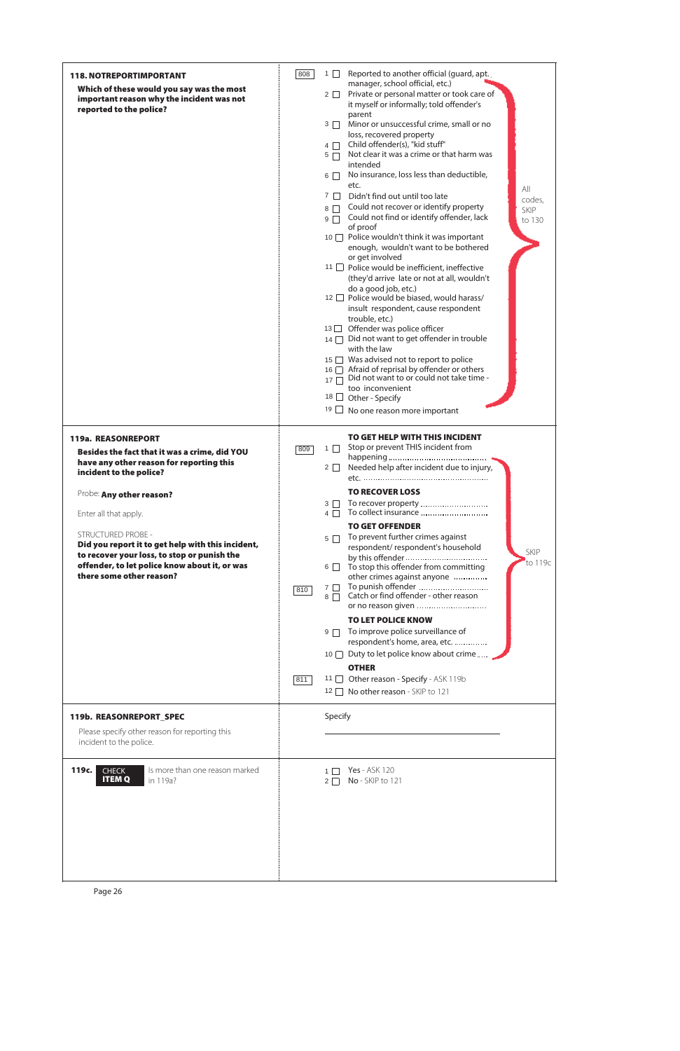| <b>118. NOTREPORTIMPORTANT</b><br>Which of these would you say was the most<br>important reason why the incident was not<br>reported to the police?                                                        | 808        | Reported to another official (guard, apt.<br>1<br>manager, school official, etc.)<br>Private or personal matter or took care of<br>$2 \Box$<br>it myself or informally; told offender's<br>parent<br>Minor or unsuccessful crime, small or no<br>$3 \Box$<br>loss, recovered property<br>Child offender(s), "kid stuff"<br>$4\Box$<br>Not clear it was a crime or that harm was<br>$5\Box$<br>intended<br>No insurance, loss less than deductible,<br>$6\Box$<br>etc.<br>All<br>$7 \mid$<br>Didn't find out until too late<br>codes,<br>Could not recover or identify property<br>$8\Box$<br>SKIP<br>Could not find or identify offender, lack<br>$9\Box$<br>to 130<br>of proof<br>10 □ Police wouldn't think it was important<br>enough, wouldn't want to be bothered<br>or get involved<br>11 □ Police would be inefficient, ineffective<br>(they'd arrive late or not at all, wouldn't<br>do a good job, etc.)<br>12 □ Police would be biased, would harass/<br>insult respondent, cause respondent<br>trouble, etc.)<br>13 □ Offender was police officer<br>14 <b>Didnot want to get offender in trouble</b><br>with the law<br>15 Was advised not to report to police<br>Afraid of reprisal by offender or others<br>16<br>Did not want to or could not take time -<br>17<br>too inconvenient<br>$18$   <br>Other - Specify<br>19<br>No one reason more important |
|------------------------------------------------------------------------------------------------------------------------------------------------------------------------------------------------------------|------------|------------------------------------------------------------------------------------------------------------------------------------------------------------------------------------------------------------------------------------------------------------------------------------------------------------------------------------------------------------------------------------------------------------------------------------------------------------------------------------------------------------------------------------------------------------------------------------------------------------------------------------------------------------------------------------------------------------------------------------------------------------------------------------------------------------------------------------------------------------------------------------------------------------------------------------------------------------------------------------------------------------------------------------------------------------------------------------------------------------------------------------------------------------------------------------------------------------------------------------------------------------------------------------------------------------------------------------------------------------------------|
| 119a. REASONREPORT<br>Besides the fact that it was a crime, did YOU<br>have any other reason for reporting this<br>incident to the police?                                                                 | 809        | <b>TO GET HELP WITH THIS INCIDENT</b><br>Stop or prevent THIS incident from<br>$1\Box$<br>Needed help after incident due to injury,<br>$2\Box$                                                                                                                                                                                                                                                                                                                                                                                                                                                                                                                                                                                                                                                                                                                                                                                                                                                                                                                                                                                                                                                                                                                                                                                                                         |
| Probe: Any other reason?                                                                                                                                                                                   |            | <b>TO RECOVER LOSS</b><br>To recover property<br>$3 \Box$                                                                                                                                                                                                                                                                                                                                                                                                                                                                                                                                                                                                                                                                                                                                                                                                                                                                                                                                                                                                                                                                                                                                                                                                                                                                                                              |
| Enter all that apply.                                                                                                                                                                                      |            | To collect insurance<br>$4\Box$                                                                                                                                                                                                                                                                                                                                                                                                                                                                                                                                                                                                                                                                                                                                                                                                                                                                                                                                                                                                                                                                                                                                                                                                                                                                                                                                        |
| <b>STRUCTURED PROBE -</b><br>Did you report it to get help with this incident,<br>to recover your loss, to stop or punish the<br>offender, to let police know about it, or was<br>there some other reason? | 810<br>811 | <b>TO GET OFFENDER</b><br>To prevent further crimes against<br>$5\Box$<br>respondent/respondent's household<br><b>SKIP</b><br>to 119c<br>To stop this offender from committing<br>$6 \quad \blacksquare$<br>other crimes against anyone<br>To punish offender<br>$7 \mid$<br>Catch or find offender - other reason<br>$8\Box$<br><b>TO LET POLICE KNOW</b><br>To improve police surveillance of<br>$9\Box$<br>respondent's home, area, etc.<br>Duty to let police know about crime<br>10<br><b>OTHER</b><br>11 Other reason - Specify - ASK 119b<br>No other reason - SKIP to 121<br>$12 \mid$                                                                                                                                                                                                                                                                                                                                                                                                                                                                                                                                                                                                                                                                                                                                                                         |
| 119b. REASONREPORT_SPEC<br>Please specify other reason for reporting this<br>incident to the police.                                                                                                       |            | Specify                                                                                                                                                                                                                                                                                                                                                                                                                                                                                                                                                                                                                                                                                                                                                                                                                                                                                                                                                                                                                                                                                                                                                                                                                                                                                                                                                                |
| <b>119c.</b> CHECK Is more than one reason marked                                                                                                                                                          |            | 1 7 Yes - ASK 120                                                                                                                                                                                                                                                                                                                                                                                                                                                                                                                                                                                                                                                                                                                                                                                                                                                                                                                                                                                                                                                                                                                                                                                                                                                                                                                                                      |

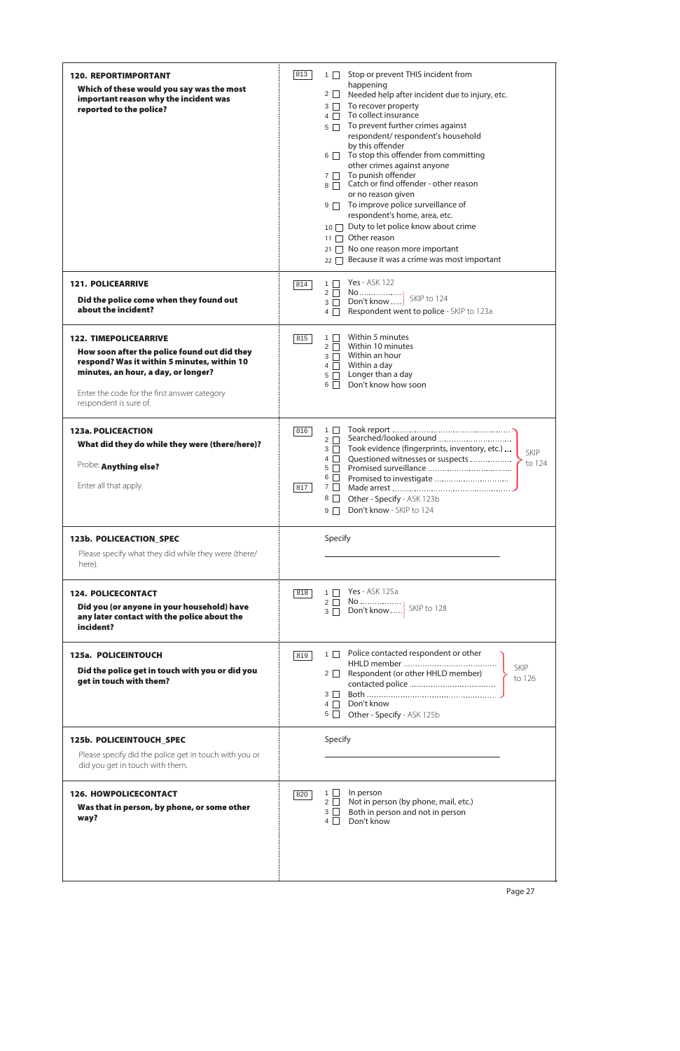| <b>120. REPORTIMPORTANT</b><br>Which of these would you say was the most<br>important reason why the incident was<br>reported to the police?                                                                                                 | 813        | Stop or prevent THIS incident from<br>$1 \mid$<br>happening<br>$2 \Box$<br>Needed help after incident due to injury, etc.<br>To recover property<br>$3\Box$<br>To collect insurance<br>$4 \Box$<br>To prevent further crimes against<br>$5\Box$<br>respondent/respondent's household<br>by this offender<br>6 To stop this offender from committing<br>other crimes against anyone<br>To punish offender<br>$7\Box$<br>$8 \overline{\bigcap}$ Catch or find offender - other reason<br>or no reason given<br>$9 \Box$ To improve police surveillance of<br>respondent's home, area, etc.<br>10 □ Duty to let police know about crime<br>$11 \Box$ Other reason<br>21 □ No one reason more important<br>$22 \cap$ Because it was a crime was most important |
|----------------------------------------------------------------------------------------------------------------------------------------------------------------------------------------------------------------------------------------------|------------|------------------------------------------------------------------------------------------------------------------------------------------------------------------------------------------------------------------------------------------------------------------------------------------------------------------------------------------------------------------------------------------------------------------------------------------------------------------------------------------------------------------------------------------------------------------------------------------------------------------------------------------------------------------------------------------------------------------------------------------------------------|
| <b>121. POLICEARRIVE</b><br>Did the police come when they found out<br>about the incident?                                                                                                                                                   | 814        | Yes - ASK 122<br>$1 \mid$<br>$2\Box$<br>SKIP to 124<br>Don't know<br>$3 \Box$<br>Respondent went to police - SKIP to 123a<br>$4 \mid$                                                                                                                                                                                                                                                                                                                                                                                                                                                                                                                                                                                                                      |
| <b>122. TIMEPOLICEARRIVE</b><br>How soon after the police found out did they<br>respond? Was it within 5 minutes, within 10<br>minutes, an hour, a day, or longer?<br>Enter the code for the first answer category<br>respondent is sure of. | 815        | Within 5 minutes<br>$1 \mid$<br>Within 10 minutes<br>$2\Box$<br>Within an hour<br>$3 \Box$<br>Within a day<br>$4\Box$<br>Longer than a day<br>$5 \Box$<br>Don't know how soon<br>6                                                                                                                                                                                                                                                                                                                                                                                                                                                                                                                                                                         |
| 123a. POLICEACTION<br>What did they do while they were (there/here)?<br>Probe: Anything else?<br>Enter all that apply.                                                                                                                       | 816<br>817 | $1 \mid$<br>Searched/looked around<br>$2 \square$<br>Took evidence (fingerprints, inventory, etc.)<br>$3\Box$<br>SKIP<br>Questioned witnesses or suspects<br>$4 \mid$<br>to 124<br>$5 \mid \cdot \mid$<br>$6 \quad \Box$<br>Promised to investigate<br>7 <u> </u><br>Other - Specify - ASK 123b<br>8<br>Don't know - SKIP to 124<br>$9 \mid$                                                                                                                                                                                                                                                                                                                                                                                                               |
| 123b. POLICEACTION_SPEC<br>Please specify what they did while they were (there/<br>here).                                                                                                                                                    |            | Specify                                                                                                                                                                                                                                                                                                                                                                                                                                                                                                                                                                                                                                                                                                                                                    |
| <b>124. POLICECONTACT</b><br>Did you (or anyone in your household) have<br>any later contact with the police about the<br>incident?                                                                                                          | 818        | <b>Yes</b> - ASK 125a<br>$1 \mid \cdot$                                                                                                                                                                                                                                                                                                                                                                                                                                                                                                                                                                                                                                                                                                                    |
| 125a. POLICEINTOUCH<br>Did the police get in touch with you or did you<br>get in touch with them?                                                                                                                                            | 819        | Police contacted respondent or other<br>$1 \quad \Box$<br>SKIP<br>Respondent (or other HHLD member)<br>$2\Box$<br>to 126<br>$3 \mid \mid$<br>Don't know<br>$4\Box$<br>$5 \Box$<br>Other - Specify - ASK 125b                                                                                                                                                                                                                                                                                                                                                                                                                                                                                                                                               |
| 125b. POLICEINTOUCH_SPEC<br>Please specify did the police get in touch with you or<br>did you get in touch with them.                                                                                                                        |            | Specify                                                                                                                                                                                                                                                                                                                                                                                                                                                                                                                                                                                                                                                                                                                                                    |



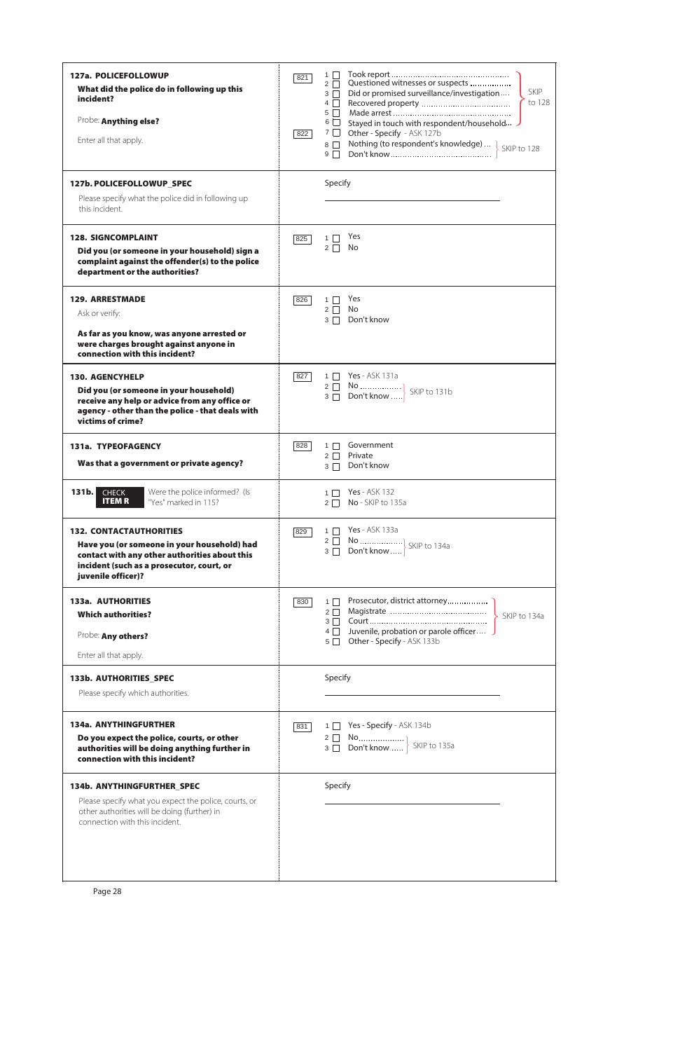| 127a. POLICEFOLLOWUP<br>What did the police do in following up this<br>incident?<br>Probe: Anything else?<br>Enter all that apply.<br>127b. POLICEFOLLOWUP_SPEC<br>Please specify what the police did in following up<br>this incident. | 821<br>822 | $1 \mid$<br>Questioned witnesses or suspects<br>$2\Box$<br>SKIP<br>Did or promised surveillance/investigation<br>$3\Box$<br>to 128<br>$4\Box$<br>$5 \Box$<br>Stayed in touch with respondent/household<br>$6 \Box$<br>$7 \Box$<br>Other - Specify - ASK 127b<br>Nothing (to respondent's knowledge)  > SKIP to 128<br>$8\Box$<br>$9\Box$<br>Specify |
|-----------------------------------------------------------------------------------------------------------------------------------------------------------------------------------------------------------------------------------------|------------|-----------------------------------------------------------------------------------------------------------------------------------------------------------------------------------------------------------------------------------------------------------------------------------------------------------------------------------------------------|
| <b>128. SIGNCOMPLAINT</b><br>Did you (or someone in your household) sign a<br>complaint against the offender(s) to the police<br>department or the authorities?                                                                         | 825        | Yes<br>$1 \Box$<br>No<br>$2\Box$                                                                                                                                                                                                                                                                                                                    |
| <b>129. ARRESTMADE</b><br>Ask or verify:<br>As far as you know, was anyone arrested or<br>were charges brought against anyone in<br>connection with this incident?                                                                      | 826        | Yes<br>$1 \Box$<br>$2 \Box$ No<br>Don't know<br>$3\Box$                                                                                                                                                                                                                                                                                             |
| <b>130. AGENCYHELP</b><br>Did you (or someone in your household)<br>receive any help or advice from any office or<br>agency - other than the police - that deals with<br>victims of crime?                                              | 827        | 1 □ Yes - ASK 131a<br>2 $\begin{array}{ c c c c c } \hline \text{No} & \text{} & \text{} \\ \hline \text{3} & \text{Don't know} & \text{} \hline \end{array}$ SKIP to 131b                                                                                                                                                                          |
| 131a. TYPEOFAGENCY<br>Was that a government or private agency?                                                                                                                                                                          | 828        | Government<br>$1 \Box$<br>$2\Box$<br>Private<br>Don't know<br>$3\Box$                                                                                                                                                                                                                                                                               |
| Were the police informed? (Is<br>131 <sub>b</sub><br><b>CHECK</b><br><b>ITEMR</b><br>"Yes" marked in 115?                                                                                                                               |            | <b>Yes</b> - ASK 132<br>$1 \square$<br>No - SKIP to 135a<br>$2\Box$                                                                                                                                                                                                                                                                                 |
| <b>132. CONTACTAUTHORITIES</b><br>Have you (or someone in your household) had<br>contact with any other authorities about this<br>incident (such as a prosecutor, court, or<br>juvenile officer)?                                       | 829        | 1 □ Yes - ASK 133a                                                                                                                                                                                                                                                                                                                                  |
| <b>133a. AUTHORITIES</b><br><b>Which authorities?</b><br>Probe: Any others?<br>Enter all that apply.                                                                                                                                    | 830        | $1 \mid$<br>SKIP to 134a<br>4 Juvenile, probation or parole officer<br>Other - Specify - ASK 133b<br>$5\Box$                                                                                                                                                                                                                                        |
| 133b. AUTHORITIES_SPEC<br>Please specify which authorities.                                                                                                                                                                             |            | Specify                                                                                                                                                                                                                                                                                                                                             |
| 134a. ANYTHINGFURTHER<br>Do you expect the police, courts, or other<br>authorities will be doing anything further in<br>connection with this incident?                                                                                  | 831        | Yes - Specify - ASK 134b<br>$1 \mid$                                                                                                                                                                                                                                                                                                                |

## 134b. ANYTHINGFURTHER\_SPEC

Please specify what you expect the police, courts, or other authorities will be doing (further) in connection with this incident.

|  | Specify |
|--|---------|
|  |         |
|  |         |
|  |         |
|  |         |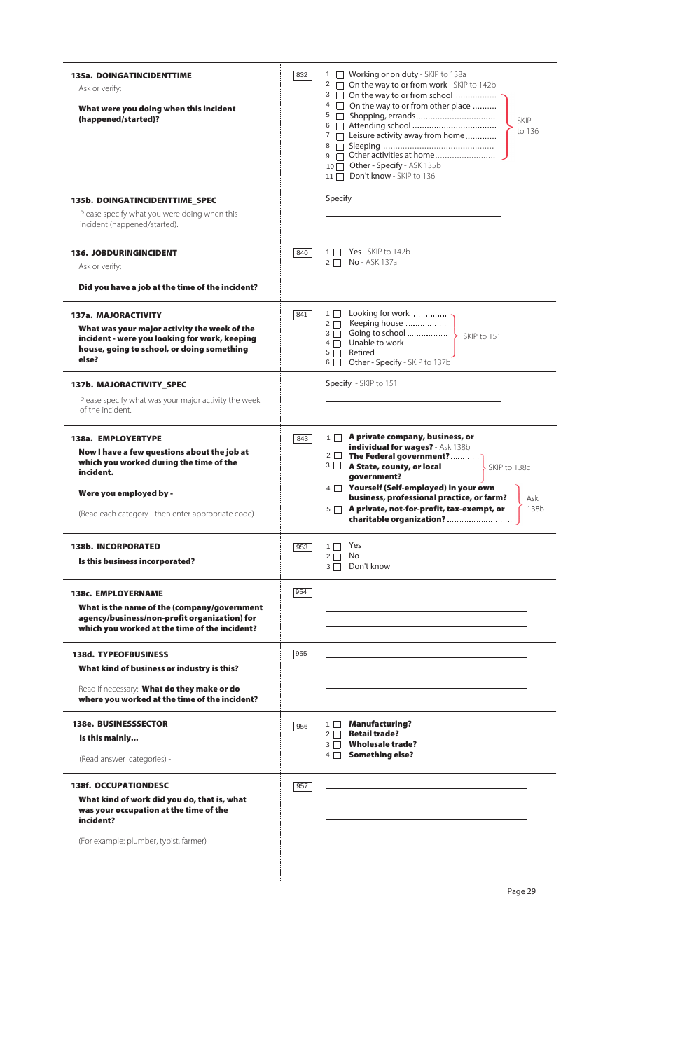| <b>135a. DOINGATINCIDENTTIME</b><br>Ask or verify:<br>What were you doing when this incident<br>(happened/started)?                                                                                       | 832 | Working or on duty - SKIP to 138a<br>$\mathbf{1}$<br>$\pm$<br>2 On the way to or from work - SKIP to 142b<br>3 On the way to or from school<br>4 <sup>o</sup> On the way to or from other place<br>$5 \mid \mid$<br><b>SKIP</b><br>$6 \Box$<br>to 136<br>$7 \Box$ Leisure activity away from home<br>$8 \Box$<br>Other activities at home<br>$9$ $\Box$<br>$10$ Other - Specify - ASK 135b<br>Don't know - SKIP to 136<br>11 $\Box$ |
|-----------------------------------------------------------------------------------------------------------------------------------------------------------------------------------------------------------|-----|-------------------------------------------------------------------------------------------------------------------------------------------------------------------------------------------------------------------------------------------------------------------------------------------------------------------------------------------------------------------------------------------------------------------------------------|
| 135b. DOINGATINCIDENTTIME_SPEC<br>Please specify what you were doing when this<br>incident (happened/started).                                                                                            |     | Specify                                                                                                                                                                                                                                                                                                                                                                                                                             |
| <b>136. JOBDURINGINCIDENT</b><br>Ask or verify:<br>Did you have a job at the time of the incident?                                                                                                        | 840 | Yes - SKIP to 142b<br>$1 \mid$<br>No - ASK 137a<br>$2 \mid \mid$                                                                                                                                                                                                                                                                                                                                                                    |
| 137a. MAJORACTIVITY<br>What was your major activity the week of the<br>incident - were you looking for work, keeping<br>house, going to school, or doing something<br>else?                               | 841 | Looking for work<br>$1 \mid$<br>Keeping house<br>$2 \Box$<br>$3 \Box$<br>Unable to work<br>$4\Box$<br>$5\Box$<br>Other - Specify - SKIP to 137b<br>$6 \mid \mid$                                                                                                                                                                                                                                                                    |
| 137b. MAJORACTIVITY_SPEC<br>Please specify what was your major activity the week<br>of the incident.                                                                                                      |     | Specify - SKIP to 151                                                                                                                                                                                                                                                                                                                                                                                                               |
| 138a. EMPLOYERTYPE<br>Now I have a few questions about the job at<br>which you worked during the time of the<br>incident.<br>Were you employed by -<br>(Read each category - then enter appropriate code) | 843 | A private company, business, or<br>$1 \mid$<br>individual for wages? - Ask 138b<br>2 The Federal government?<br>A State, county, or local<br>$3 \mid \cdot \mid$<br>SKIP to 138c<br>4 Yourself (Self-employed) in your own<br>business, professional practice, or farm?<br>Ask<br>A private, not-for-profit, tax-exempt, or<br>138b<br>$5\Box$                                                                                      |
| <b>138b. INCORPORATED</b><br>Is this business incorporated?                                                                                                                                               | 953 | Yes<br>$1 \mid$<br>No<br>$2\Box$<br>Don't know<br>$3\Box$                                                                                                                                                                                                                                                                                                                                                                           |
| <b>138c. EMPLOYERNAME</b><br>What is the name of the (company/government<br>agency/business/non-profit organization) for<br>which you worked at the time of the incident?                                 | 954 |                                                                                                                                                                                                                                                                                                                                                                                                                                     |
| <b>138d. TYPEOFBUSINESS</b><br>What kind of business or industry is this?<br>Read if necessary: What do they make or do<br>where you worked at the time of the incident?                                  | 955 |                                                                                                                                                                                                                                                                                                                                                                                                                                     |
| <b>138e. BUSINESSSECTOR</b><br>Is this mainly<br>(Read answer categories) -                                                                                                                               | 956 | <b>Manufacturing?</b><br>$1 \mid$<br><b>Retail trade?</b><br>$2\Box$<br><b>Wholesale trade?</b><br>$3 \Box$<br><b>Something else?</b><br>$4 \mid$                                                                                                                                                                                                                                                                                   |

| <b>138f. OCCUPATIONDESC</b>                                                                        | 957 |
|----------------------------------------------------------------------------------------------------|-----|
| What kind of work did you do, that is, what<br>was your occupation at the time of the<br>incident? |     |
| (For example: plumber, typist, farmer)                                                             |     |
|                                                                                                    |     |

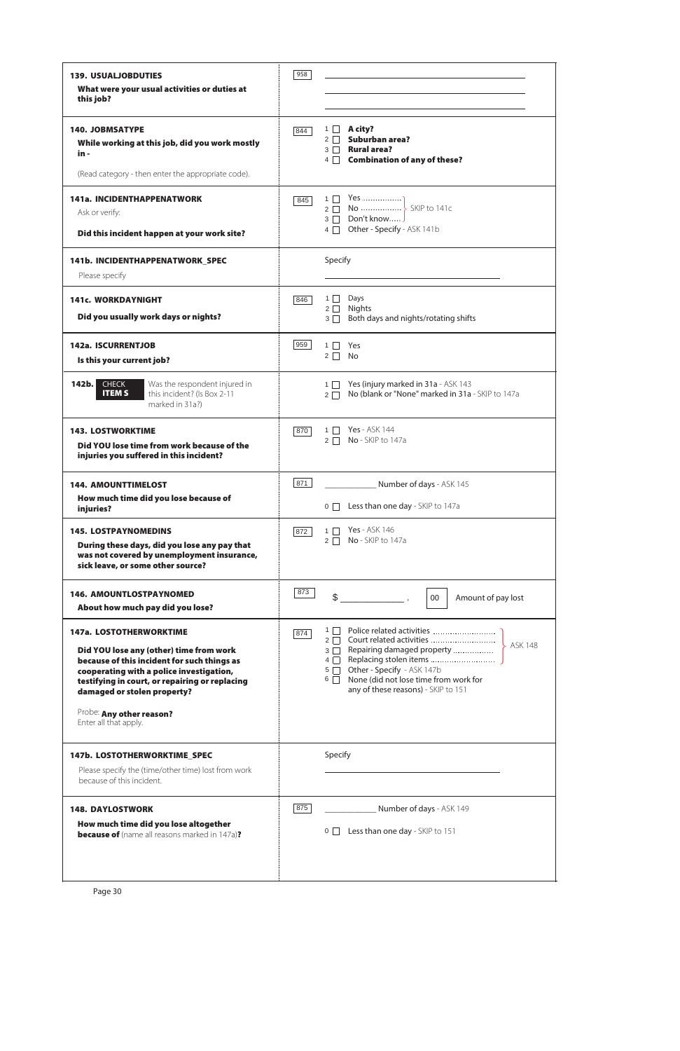| <b>139. USUALJOBDUTIES</b><br>What were your usual activities or duties at                                                                                                                                                                                                                                 | 958 |                                                                                                                                                                                                                                                    |  |  |  |  |
|------------------------------------------------------------------------------------------------------------------------------------------------------------------------------------------------------------------------------------------------------------------------------------------------------------|-----|----------------------------------------------------------------------------------------------------------------------------------------------------------------------------------------------------------------------------------------------------|--|--|--|--|
| this job?                                                                                                                                                                                                                                                                                                  |     |                                                                                                                                                                                                                                                    |  |  |  |  |
| <b>140. JOBMSATYPE</b><br>While working at this job, did you work mostly<br>in -                                                                                                                                                                                                                           | 844 | $1 \Box$ A city?<br>Suburban area?<br>$2 \Box$<br><b>Rural area?</b><br>$3 \mid \mid$<br>4 Combination of any of these?                                                                                                                            |  |  |  |  |
| (Read category - then enter the appropriate code).                                                                                                                                                                                                                                                         |     |                                                                                                                                                                                                                                                    |  |  |  |  |
| <b>141a. INCIDENTHAPPENATWORK</b><br>Ask or verify:<br>Did this incident happen at your work site?                                                                                                                                                                                                         | 845 | Yes<br>$1 \mid$<br>2 $\Box$ No  SKIP to 141c<br>$3 \Box$ Don't know<br>4 Other - Specify - ASK 141b                                                                                                                                                |  |  |  |  |
| 141b. INCIDENTHAPPENATWORK_SPEC<br>Please specify                                                                                                                                                                                                                                                          |     | Specify                                                                                                                                                                                                                                            |  |  |  |  |
| <b>141c. WORKDAYNIGHT</b><br>Did you usually work days or nights?                                                                                                                                                                                                                                          | 846 | $1\Box$<br>Days<br>$2\Box$<br>Nights<br>Both days and nights/rotating shifts<br>$3\Box$                                                                                                                                                            |  |  |  |  |
| 142a. ISCURRENTJOB<br>Is this your current job?                                                                                                                                                                                                                                                            | 959 | $1 \Box$<br>Yes<br>$2 \Box$<br>No                                                                                                                                                                                                                  |  |  |  |  |
| Was the respondent injured in<br>$142b$ .<br><b>CHECK</b><br><b>ITEMS</b><br>this incident? (Is Box 2-11<br>marked in 31a?)                                                                                                                                                                                |     | Yes (injury marked in 31a - ASK 143<br>$1$ $\Box$<br>No (blank or "None" marked in 31a - SKIP to 147a<br>$2\Box$                                                                                                                                   |  |  |  |  |
| <b>143. LOSTWORKTIME</b><br>Did YOU lose time from work because of the<br>injuries you suffered in this incident?                                                                                                                                                                                          | 870 | <b>Yes</b> - ASK 144<br>$1 \mid$<br>No - SKIP to 147a<br>$2\Box$                                                                                                                                                                                   |  |  |  |  |
| <b>144. AMOUNTTIMELOST</b><br>How much time did you lose because of<br>injuries?                                                                                                                                                                                                                           | 871 | Number of days - ASK 145<br>0   Less than one day - SKIP to 147a                                                                                                                                                                                   |  |  |  |  |
| <b>145. LOSTPAYNOMEDINS</b><br>During these days, did you lose any pay that<br>was not covered by unemployment insurance,<br>sick leave, or some other source?                                                                                                                                             | 872 | <b>Yes</b> - ASK 146<br>1<br>No - SKIP to 147a<br>$2\Box$                                                                                                                                                                                          |  |  |  |  |
| <b>146. AMOUNTLOSTPAYNOMED</b><br>About how much pay did you lose?                                                                                                                                                                                                                                         | 873 | Amount of pay lost<br>$00\,$                                                                                                                                                                                                                       |  |  |  |  |
| <b>147a. LOSTOTHERWORKTIME</b><br>Did YOU lose any (other) time from work<br>because of this incident for such things as<br>cooperating with a police investigation,<br>testifying in court, or repairing or replacing<br>damaged or stolen property?<br>Probe: Any other reason?<br>Enter all that apply. | 874 | Police related activities<br>$1 \mid$<br>2 Court related activities<br>3 C Repairing damaged property<br><b>ASK 148</b><br>5 Other - Specify - ASK 147b<br>None (did not lose time from work for<br>$6\Box$<br>any of these reasons) - SKIP to 151 |  |  |  |  |
| 147b. LOSTOTHERWORKTIME_SPEC<br>Please specify the (time/other time) lost from work<br>because of this incident.                                                                                                                                                                                           |     | Specify                                                                                                                                                                                                                                            |  |  |  |  |
| <b>148. DAYLOSTWORK</b><br>How much time did you lose altogether<br><b>because of</b> (name all reasons marked in 147a)?                                                                                                                                                                                   | 875 | Number of days - ASK 149<br>Less than one day - SKIP to 151<br>$0 \mid$                                                                                                                                                                            |  |  |  |  |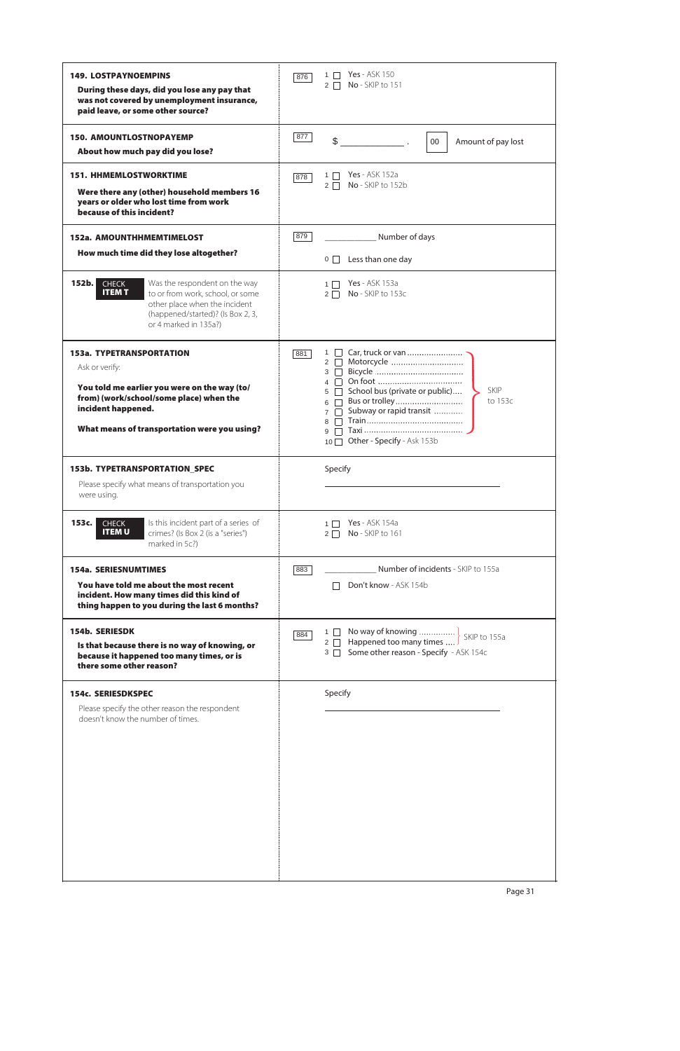| <b>149. LOSTPAYNOEMPINS</b><br>During these days, did you lose any pay that                                                                                                                               | <b>Yes</b> - ASK 150<br>1    <br>876<br>No - SKIP to 151<br>$2\Box$                                                                                                                   |
|-----------------------------------------------------------------------------------------------------------------------------------------------------------------------------------------------------------|---------------------------------------------------------------------------------------------------------------------------------------------------------------------------------------|
| was not covered by unemployment insurance,<br>paid leave, or some other source?                                                                                                                           |                                                                                                                                                                                       |
| <b>150. AMOUNTLOSTNOPAYEMP</b><br>About how much pay did you lose?                                                                                                                                        | 877<br>$\mathbb{S}$<br>$00\,$<br>Amount of pay lost                                                                                                                                   |
|                                                                                                                                                                                                           |                                                                                                                                                                                       |
| <b>151. HHMEMLOSTWORKTIME</b><br>Were there any (other) household members 16<br>years or older who lost time from work<br>because of this incident?                                                       | <b>Yes</b> - ASK 152a<br>$1 \Box$<br>878<br>No - SKIP to 152b<br>$2\Box$                                                                                                              |
| <b>152a. AMOUNTHHMEMTIMELOST</b>                                                                                                                                                                          | 879<br>Number of days                                                                                                                                                                 |
| How much time did they lose altogether?                                                                                                                                                                   | $0$ $\Box$ Less than one day                                                                                                                                                          |
| 152b.<br><b>CHECK</b><br>Was the respondent on the way<br><b>ITEMT</b><br>to or from work, school, or some<br>other place when the incident<br>(happened/started)? (Is Box 2, 3,<br>or 4 marked in 135a?) | <b>Yes</b> - ASK 153a<br>$1\Box$<br>No - SKIP to 153c<br>$2\Box$                                                                                                                      |
| <b>153a. TYPETRANSPORTATION</b>                                                                                                                                                                           | Car, truck or van<br>$1 \mid$<br>881<br>2 Motorcycle                                                                                                                                  |
| Ask or verify:                                                                                                                                                                                            | 3<br>$\overline{4}$                                                                                                                                                                   |
| You told me earlier you were on the way (to/<br>from) (work/school/some place) when the<br>incident happened.<br>What means of transportation were you using?                                             | <b>SKIP</b><br>School bus (private or public)<br>5<br>to 153c<br>Bus or trolley<br>6<br>Subway or rapid transit<br>$7\Box$<br>$8 \Box$<br>$9 \Box$<br>10 □ Other - Specify - Ask 153b |
| <b>153b. TYPETRANSPORTATION_SPEC</b>                                                                                                                                                                      | Specify                                                                                                                                                                               |
| Please specify what means of transportation you<br>were using.                                                                                                                                            |                                                                                                                                                                                       |
| Is this incident part of a series of<br>153c.<br><b>CHECK</b><br><b>ITEMU</b><br>crimes? (Is Box 2 (is a "series")<br>marked in 5c?)                                                                      | <b>Yes</b> - ASK 154a<br>$1 \square$<br>No - SKIP to 161<br>$2\Box$                                                                                                                   |
| <b>154a. SERIESNUMTIMES</b>                                                                                                                                                                               | Number of incidents - SKIP to 155a<br>883                                                                                                                                             |
| You have told me about the most recent<br>incident. How many times did this kind of<br>thing happen to you during the last 6 months?                                                                      | Don't know - ASK 154b                                                                                                                                                                 |
| <b>154b. SERIESDK</b><br>Is that because there is no way of knowing, or<br>because it happened too many times, or is<br>there some other reason?                                                          | 1   No way of knowing<br>2   Happened too many times  SKIP to 155a<br>884<br>Some other reason - Specify - ASK 154c<br>$3 \Box$                                                       |
| 154c. SERIESDKSPEC                                                                                                                                                                                        | Specify                                                                                                                                                                               |
| Please specify the other reason the respondent<br>doesn't know the number of times.                                                                                                                       |                                                                                                                                                                                       |



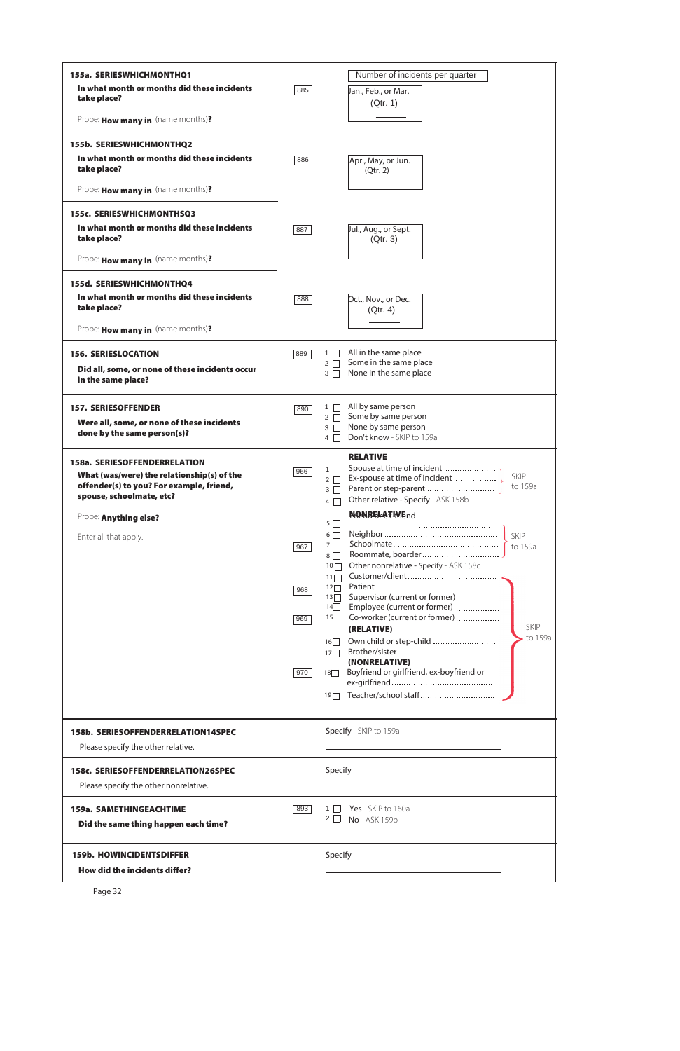| 155a. SERIESWHICHMONTHQ1                                                                                           |     | Number of incidents per quarter                                                                                                     |
|--------------------------------------------------------------------------------------------------------------------|-----|-------------------------------------------------------------------------------------------------------------------------------------|
| In what month or months did these incidents<br>take place?                                                         | 885 | Jan., Feb., or Mar.                                                                                                                 |
| Probe: How many in (name months)?                                                                                  |     | (Qtr. 1)                                                                                                                            |
|                                                                                                                    |     |                                                                                                                                     |
| <b>155b. SERIESWHICHMONTHQ2</b><br>In what month or months did these incidents<br>take place?                      | 886 | Apr., May, or Jun.<br>(Qtr. 2)                                                                                                      |
| Probe: How many in (name months)?                                                                                  |     |                                                                                                                                     |
| 155c. SERIESWHICHMONTHSQ3                                                                                          |     |                                                                                                                                     |
| In what month or months did these incidents<br>take place?                                                         | 887 | Jul., Aug., or Sept.<br>(Qtr. 3)                                                                                                    |
| Probe: How many in (name months)?                                                                                  |     |                                                                                                                                     |
| 155d. SERIESWHICHMONTHQ4                                                                                           |     |                                                                                                                                     |
| In what month or months did these incidents<br>take place?                                                         | 888 | Oct., Nov., or Dec.<br>(Qtr. 4)                                                                                                     |
| Probe: How many in (name months)?                                                                                  |     |                                                                                                                                     |
| <b>156. SERIESLOCATION</b>                                                                                         | 889 | All in the same place<br>$1 \Box$<br>Some in the same place<br>$2 \square$                                                          |
| Did all, some, or none of these incidents occur<br>in the same place?                                              |     | None in the same place<br>$3 \Box$                                                                                                  |
| <b>157. SERIESOFFENDER</b>                                                                                         | 890 | All by same person<br>$1$ $\Box$                                                                                                    |
| Were all, some, or none of these incidents<br>done by the same person(s)?                                          |     | Some by same person<br>$2 \mid \cdot \mid$<br>None by same person<br>$3 \mid \mid$<br>Don't know - SKIP to 159a<br>4                |
| 158a. SERIESOFFENDERRELATION                                                                                       |     | <b>RELATIVE</b><br>Spouse at time of incident                                                                                       |
| What (was/were) the relationship(s) of the<br>offender(s) to you? For example, friend,<br>spouse, schoolmate, etc? | 966 | $1\Box$<br>SKIP<br>Ex-spouse at time of incident<br>$2\Box$<br>to 159a<br>$3\Box$<br>Other relative - Specify - ASK 158b<br>$4\Box$ |
| Probe: Anything else?                                                                                              |     | <b>NONRELATIVEnd</b><br>$5\Box$                                                                                                     |
| Enter all that apply.                                                                                              | 967 | $6\Box$<br><b>SKIP</b><br>$7\Box$<br>to 159a<br>$8\Box$<br>Other nonrelative - Specify - ASK 158c<br>10                             |
|                                                                                                                    |     | 11<br>$12\Box$                                                                                                                      |
|                                                                                                                    | 968 | Supervisor (current or former)<br>$13\Box$<br>Employee (current or former)<br>14                                                    |
|                                                                                                                    | 969 | Co-worker (current or former)<br>15<br><b>SKIP</b>                                                                                  |
|                                                                                                                    |     | (RELATIVE)<br>to 159a<br>Own child or step-child<br>16                                                                              |
|                                                                                                                    |     | 17<br>(NONRELATIVE)                                                                                                                 |
|                                                                                                                    | 970 | Boyfriend or girlfriend, ex-boyfriend or<br>18                                                                                      |
|                                                                                                                    |     | Teacher/school staff<br>19                                                                                                          |
| <b>158b. SERIESOFFENDERRELATION14SPEC</b><br>Please specify the other relative.                                    |     | Specify - SKIP to 159a                                                                                                              |
| 158c. SERIESOFFENDERRELATION26SPEC<br>Please specify the other nonrelative.                                        |     | Specify                                                                                                                             |
|                                                                                                                    |     |                                                                                                                                     |
| <b>159a. SAMETHINGEACHTIME</b><br>Did the same thing happen each time?                                             | 893 | Yes - SKIP to 160a<br>1    <br>$2 \mid$<br>No - ASK 159b                                                                            |
| <b>159b. HOWINCIDENTSDIFFER</b>                                                                                    |     | Specify                                                                                                                             |
| How did the incidents differ?                                                                                      |     |                                                                                                                                     |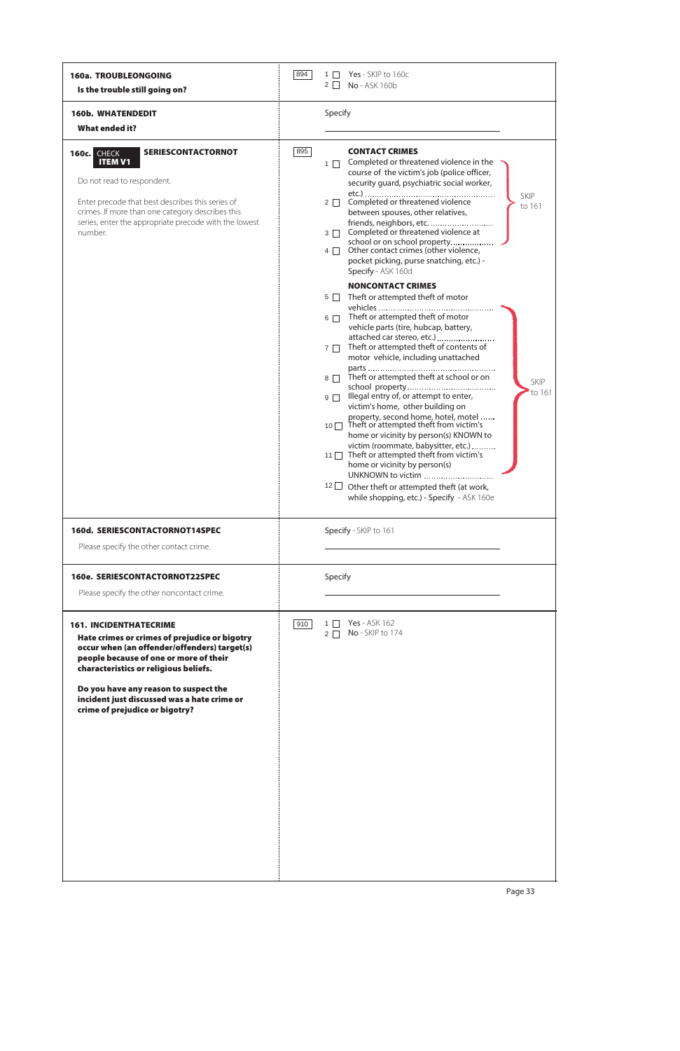| 160a. TROUBLEONGOING<br>Is the trouble still going on?                                                                                                                                                                                                                                                                                      | 894 | Yes - SKIP to 160c<br>$1 \mid$<br>$2 \mid$<br>No - ASK 160b                                                                                                                                                                                                                                                                                                                                                                                                                                                                                                                                                                                                                                                                                                                                                                               |
|---------------------------------------------------------------------------------------------------------------------------------------------------------------------------------------------------------------------------------------------------------------------------------------------------------------------------------------------|-----|-------------------------------------------------------------------------------------------------------------------------------------------------------------------------------------------------------------------------------------------------------------------------------------------------------------------------------------------------------------------------------------------------------------------------------------------------------------------------------------------------------------------------------------------------------------------------------------------------------------------------------------------------------------------------------------------------------------------------------------------------------------------------------------------------------------------------------------------|
| <b>160b. WHATENDEDIT</b><br><b>What ended it?</b>                                                                                                                                                                                                                                                                                           |     | Specify                                                                                                                                                                                                                                                                                                                                                                                                                                                                                                                                                                                                                                                                                                                                                                                                                                   |
| <b>SERIESCONTACTORNOT</b><br>160c. CHECK<br><b>ITEM V1</b><br>Do not read to respondent.<br>Enter precode that best describes this series of<br>crimes. If more than one category describes this<br>series, enter the appropriate precode with the lowest<br>number.                                                                        | 895 | <b>CONTACT CRIMES</b><br>Completed or threatened violence in the<br>$1 \Box$<br>course of the victim's job (police officer,<br>security guard, psychiatric social worker,<br><b>SKIP</b><br>Completed or threatened violence<br>$2\Box$<br>to 161<br>between spouses, other relatives,<br>friends, neighbors, etc.<br>Completed or threatened violence at<br>$3 \Box$<br>school or on school property<br>Other contact crimes (other violence,<br>$4 \Box$<br>pocket picking, purse snatching, etc.) -<br>Specify - ASK 160d<br><b>NONCONTACT CRIMES</b>                                                                                                                                                                                                                                                                                  |
|                                                                                                                                                                                                                                                                                                                                             |     | Theft or attempted theft of motor<br>$5\Box$<br>Theft or attempted theft of motor<br>$6\Box$<br>vehicle parts (tire, hubcap, battery,<br>attached car stereo, etc.)<br>Theft or attempted theft of contents of<br>$7\Box$<br>motor vehicle, including unattached<br>Theft or attempted theft at school or on<br>$8\Box$<br><b>SKIP</b><br>to 161<br>Illegal entry of, or attempt to enter,<br>$9\Box$<br>victim's home, other building on<br>property, second home, hotel, motel<br>Theft or attempted theft from victim's<br>$10$ $\Box$<br>home or vicinity by person(s) KNOWN to<br>victim (roommate, babysitter, etc.)<br>Theft or attempted theft from victim's<br>11<br>home or vicinity by person(s)<br>UNKNOWN to victim<br>$12$ $\Box$<br>Other theft or attempted theft (at work,<br>while shopping, etc.) - Specify - ASK 160e |
| 160d. SERIESCONTACTORNOT14SPEC                                                                                                                                                                                                                                                                                                              |     | Specify - SKIP to 161                                                                                                                                                                                                                                                                                                                                                                                                                                                                                                                                                                                                                                                                                                                                                                                                                     |
| Please specify the other contact crime.                                                                                                                                                                                                                                                                                                     |     |                                                                                                                                                                                                                                                                                                                                                                                                                                                                                                                                                                                                                                                                                                                                                                                                                                           |
| 160e. SERIESCONTACTORNOT22SPEC                                                                                                                                                                                                                                                                                                              |     | Specify                                                                                                                                                                                                                                                                                                                                                                                                                                                                                                                                                                                                                                                                                                                                                                                                                                   |
| Please specify the other noncontact crime.                                                                                                                                                                                                                                                                                                  |     |                                                                                                                                                                                                                                                                                                                                                                                                                                                                                                                                                                                                                                                                                                                                                                                                                                           |
| <b>161. INCIDENTHATECRIME</b><br>Hate crimes or crimes of prejudice or bigotry<br>occur when (an offender/offenders) target(s)<br>people because of one or more of their<br>characteristics or religious beliefs.<br>Do you have any reason to suspect the<br>incident just discussed was a hate crime or<br>crime of prejudice or bigotry? | 910 | <b>Yes</b> - ASK 162<br>1 <sup>1</sup><br>No - SKIP to 174<br>$2\Box$                                                                                                                                                                                                                                                                                                                                                                                                                                                                                                                                                                                                                                                                                                                                                                     |



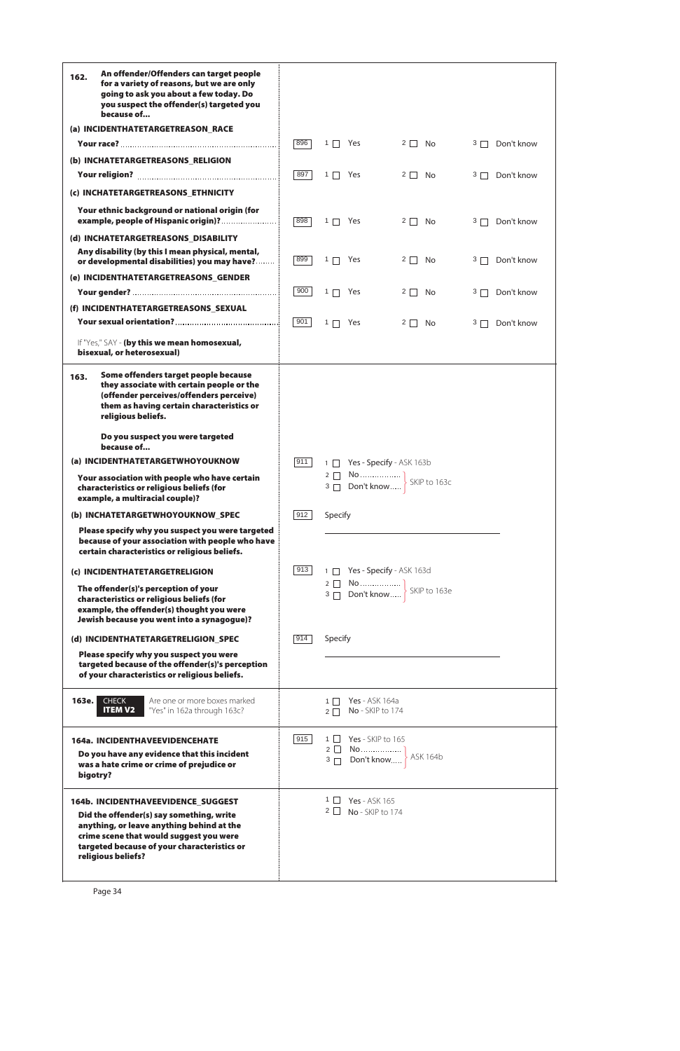| An offender/Offenders can target people<br>162.<br>for a variety of reasons, but we are only<br>going to ask you about a few today. Do<br>you suspect the offender(s) targeted you<br>because of        |            |                                                 |                |         |            |
|---------------------------------------------------------------------------------------------------------------------------------------------------------------------------------------------------------|------------|-------------------------------------------------|----------------|---------|------------|
| (a) INCIDENTHATETARGETREASON_RACE                                                                                                                                                                       |            |                                                 |                |         |            |
|                                                                                                                                                                                                         | 896        | $1 \Box$ Yes                                    | $2 \Box$ No    | $3\Box$ | Don't know |
| (b) INCHATETARGETREASONS_RELIGION                                                                                                                                                                       |            |                                                 |                |         |            |
|                                                                                                                                                                                                         | 897        | $1 \Box$ Yes                                    | $2 \Box$ No    | $3\Box$ | Don't know |
| (c) INCHATETARGETREASONS_ETHNICITY                                                                                                                                                                      |            |                                                 |                |         |            |
| Your ethnic background or national origin (for<br>example, people of Hispanic origin)?                                                                                                                  | 898        | $1 \Box$ Yes                                    | $2 \Box$ No    | $3\Box$ | Don't know |
| (d) INCHATETARGETREASONS_DISABILITY                                                                                                                                                                     |            |                                                 |                |         |            |
| Any disability (by this I mean physical, mental,<br>or developmental disabilities) you may have?                                                                                                        | 899        | $1 \Box$ Yes                                    | $2 \Box$ No    | 3       | Don't know |
| (e) INCIDENTHATETARGETREASONS_GENDER                                                                                                                                                                    |            |                                                 |                |         |            |
|                                                                                                                                                                                                         | 900        | $1 \Box$ Yes                                    | $2 \Box$<br>No | $3\Box$ | Don't know |
| (f) INCIDENTHATETARGETREASONS_SEXUAL                                                                                                                                                                    |            |                                                 |                |         |            |
|                                                                                                                                                                                                         | 901        | $1 \Box$ Yes                                    | $2 \Box$<br>No | $3\Box$ | Don't know |
| If "Yes," SAY - (by this we mean homosexual,<br>bisexual, or heterosexual)                                                                                                                              |            |                                                 |                |         |            |
| Some offenders target people because<br>163.<br>they associate with certain people or the<br>(offender perceives/offenders perceive)<br>them as having certain characteristics or<br>religious beliefs. |            |                                                 |                |         |            |
| Do you suspect you were targeted<br>because of                                                                                                                                                          |            |                                                 |                |         |            |
| (a) INCIDENTHATETARGETWHOYOUKNOW                                                                                                                                                                        | 911        | 1 Yes - Specify - ASK 163b                      |                |         |            |
| Your association with people who have certain<br>characteristics or religious beliefs (for<br>example, a multiracial couple)?                                                                           |            |                                                 |                |         |            |
| (b) INCHATETARGETWHOYOUKNOW_SPEC                                                                                                                                                                        | 912        | Specify                                         |                |         |            |
| Please specify why you suspect you were targeted<br>because of your association with people who have<br>certain characteristics or religious beliefs.                                                   |            |                                                 |                |         |            |
| (c) INCIDENTHATETARGETRELIGION                                                                                                                                                                          | $913 \mid$ | 1 Yes - Specify - ASK 163d                      |                |         |            |
| The offender(s)'s perception of your<br>characteristics or religious beliefs (for<br>example, the offender(s) thought you were<br>Jewish because you went into a synagogue)?                            |            |                                                 |                |         |            |
| (d) INCIDENTHATETARGETRELIGION_SPEC                                                                                                                                                                     | 914        | Specify                                         |                |         |            |
| Please specify why you suspect you were<br>targeted because of the offender(s)'s perception<br>of your characteristics or religious beliefs.                                                            |            |                                                 |                |         |            |
| Are one or more boxes marked<br>163e.<br><b>CHECK</b><br><b>ITEM V2</b><br>"Yes" in 162a through 163c?                                                                                                  |            | $1 \Box$ Yes - ASK 164a<br>2 □ No - SKIP to 174 |                |         |            |
| 164a. INCIDENTHAVEEVIDENCEHATE                                                                                                                                                                          | 915        | $1 \Box$ Yes - SKIP to 165                      |                |         |            |
| Do you have any evidence that this incident<br>was a hate crime or crime of prejudice or                                                                                                                |            | $2\Box$<br>$3 \Box$                             |                |         |            |

| bigotry?                                                                                                                                                                                                                                           |                                                   |
|----------------------------------------------------------------------------------------------------------------------------------------------------------------------------------------------------------------------------------------------------|---------------------------------------------------|
| <b>164b. INCIDENTHAVEEVIDENCE SUGGEST</b><br>Did the offender(s) say something, write<br>anything, or leave anything behind at the<br>crime scene that would suggest you were<br>targeted because of your characteristics or<br>religious beliefs? | <b>Yes</b> - ASK 165<br>$2 \Box$ No - SKIP to 174 |